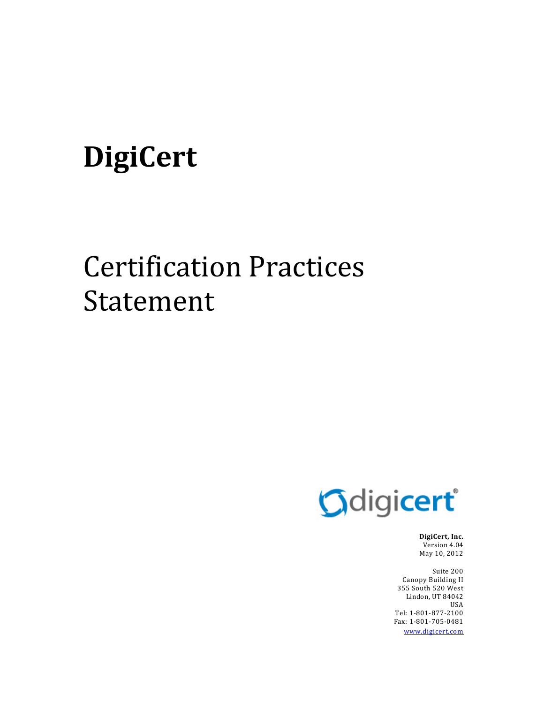# **DigiCert**

## Certification Practices Statement



**DigiCert, Inc.** Version 4.04 May 10, 2012

Suite 200 Canopy Building II 355 South 520 West Lindon, UT 84042 USA Tel: 1‐801‐877‐2100 Fax: 1‐801‐705‐0481 www.digicert.com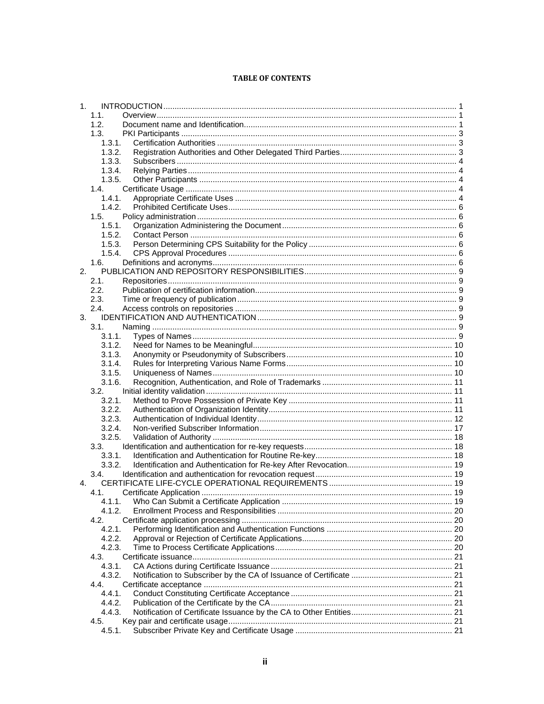#### **TABLE OF CONTENTS**

| 1 <sub>1</sub> |        |  |
|----------------|--------|--|
|                | 1.1.   |  |
|                | 1.2.   |  |
|                | 1.3.   |  |
|                | 1.3.1. |  |
|                | 1.3.2. |  |
|                | 1.3.3. |  |
|                | 1.3.4. |  |
|                | 1.3.5. |  |
|                | 1.4.   |  |
|                | 1.4.1. |  |
|                | 1.4.2. |  |
|                | 1.5.   |  |
|                | 1.5.1. |  |
|                | 1.5.2. |  |
|                | 1.5.3. |  |
|                | 1.5.4. |  |
|                | 1.6.   |  |
| 2.             |        |  |
|                | 2.1.   |  |
|                |        |  |
|                | 2.2.   |  |
|                | 2.3.   |  |
|                | 2.4.   |  |
| 3.             |        |  |
|                | 3.1.   |  |
|                | 3.1.1. |  |
|                | 3.1.2. |  |
|                | 3.1.3. |  |
|                | 3.1.4. |  |
|                | 3.1.5. |  |
|                | 3.1.6. |  |
|                | 3.2.   |  |
|                | 3.2.1. |  |
|                | 3.2.2. |  |
|                | 3.2.3. |  |
|                | 3.2.4. |  |
|                | 3.2.5. |  |
|                | 3.3.   |  |
|                | 3.3.1. |  |
|                | 3.3.2. |  |
|                | 3.4.   |  |
| 4.             |        |  |
|                | 4.1.   |  |
|                |        |  |
|                | 4.1.2. |  |
|                | 4.2.   |  |
|                | 4.2.1. |  |
|                | 4.2.2. |  |
|                | 4.2.3. |  |
|                | 4.3.   |  |
|                | 4.3.1. |  |
|                | 4.3.2. |  |
|                | 4.4.   |  |
|                | 4.4.1. |  |
|                | 4.4.2. |  |
|                | 4.4.3. |  |
|                | 4.5.   |  |
|                | 4.5.1. |  |
|                |        |  |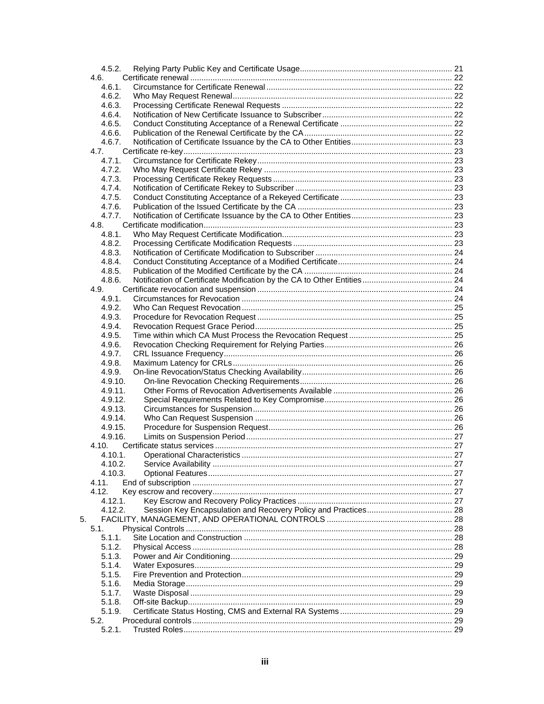|    | 4.5.2.             |  |
|----|--------------------|--|
|    | 4.6.               |  |
|    | 4.6.1.             |  |
|    | 4.6.2.             |  |
|    | 4.6.3.             |  |
|    | 4.6.4.             |  |
|    | 4.6.5.             |  |
|    | 4.6.6.             |  |
|    | 4.6.7.             |  |
|    | 4.7.               |  |
|    | 4.7.1.<br>4.7.2.   |  |
|    | 4.7.3.             |  |
|    | 4.7.4.             |  |
|    | 4.7.5.             |  |
|    | 4.7.6.             |  |
|    | 4.7.7.             |  |
|    | 4.8.               |  |
|    | 4.8.1.             |  |
|    | 4.8.2.             |  |
|    | 4.8.3.             |  |
|    | 4.8.4.             |  |
|    | 4.8.5.             |  |
|    | 4.8.6.             |  |
|    | 4.9.               |  |
|    | 4.9.1.             |  |
|    | 4.9.2.             |  |
|    | 4.9.3.             |  |
|    | 4.9.4.             |  |
|    | 4.9.5.             |  |
|    | 4.9.6.             |  |
|    | 4.9.7.             |  |
|    | 4.9.8.             |  |
|    | 4.9.9.             |  |
|    | 4.9.10.            |  |
|    | 4.9.11.            |  |
|    | 4.9.12.            |  |
|    | 4.9.13.            |  |
|    | 4.9.14.            |  |
|    | 4.9.15.            |  |
|    | 4.9.16.            |  |
|    | 4.10.              |  |
|    | 4.10.1.<br>4.10.2. |  |
|    | 4.10.3.            |  |
|    | 4.11.              |  |
|    | 4.12.              |  |
|    | 4.12.1.            |  |
|    | 4.12.2.            |  |
| 5. |                    |  |
|    | 5.1.               |  |
|    | 5.1.1.             |  |
|    | 5.1.2.             |  |
|    | 5.1.3.             |  |
|    | 5.1.4.             |  |
|    | 5.1.5.             |  |
|    | 5.1.6.             |  |
|    | 5.1.7.             |  |
|    | 5.1.8.             |  |
|    | 5.1.9.             |  |
|    | 5.2.               |  |
|    | 5.2.1.             |  |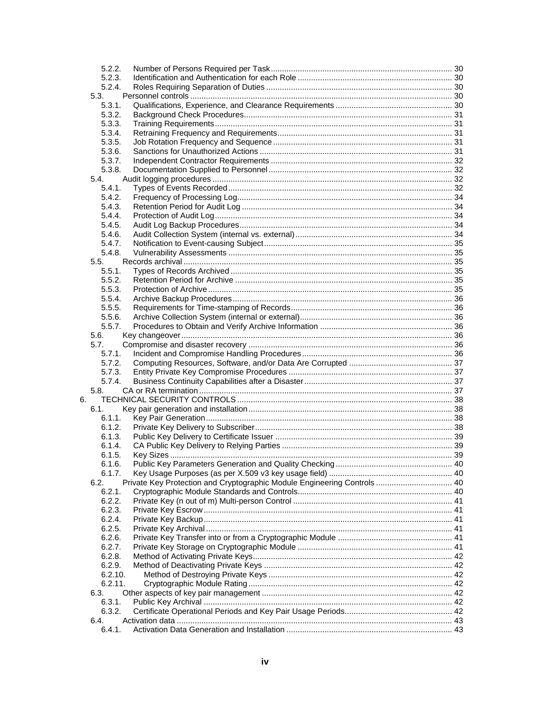|    | 5.2.2.  |                                                                          |  |
|----|---------|--------------------------------------------------------------------------|--|
|    | 5.2.3.  |                                                                          |  |
|    | 5.2.4.  |                                                                          |  |
|    |         |                                                                          |  |
|    | 5.3.    |                                                                          |  |
|    | 5.3.1.  |                                                                          |  |
|    | 5.3.2.  |                                                                          |  |
|    | 5.3.3.  |                                                                          |  |
|    | 5.3.4.  |                                                                          |  |
|    | 5.3.5.  |                                                                          |  |
|    | 5.3.6.  |                                                                          |  |
|    | 5.3.7.  |                                                                          |  |
|    | 5.3.8.  |                                                                          |  |
|    | 5.4.    |                                                                          |  |
|    | 5.4.1.  |                                                                          |  |
|    | 5.4.2.  |                                                                          |  |
|    |         |                                                                          |  |
|    | 5.4.3.  |                                                                          |  |
|    | 5.4.4.  |                                                                          |  |
|    | 5.4.5.  |                                                                          |  |
|    | 5.4.6.  |                                                                          |  |
|    | 5.4.7.  |                                                                          |  |
|    | 5.4.8.  |                                                                          |  |
|    | 5.5.    |                                                                          |  |
|    | 5.5.1.  |                                                                          |  |
|    | 5.5.2.  |                                                                          |  |
|    | 5.5.3.  |                                                                          |  |
|    | 5.5.4.  |                                                                          |  |
|    | 5.5.5.  |                                                                          |  |
|    | 5.5.6.  |                                                                          |  |
|    | 5.5.7.  |                                                                          |  |
|    |         |                                                                          |  |
|    | 5.6.    |                                                                          |  |
|    | 5.7.    |                                                                          |  |
|    | 5.7.1.  |                                                                          |  |
|    | 5.7.2.  |                                                                          |  |
|    | 5.7.3.  |                                                                          |  |
|    | 5.7.4.  |                                                                          |  |
|    | 5.8.    |                                                                          |  |
| 6. |         |                                                                          |  |
|    | 6.1.    |                                                                          |  |
|    | 6.1.1.  |                                                                          |  |
|    | 6.1.2.  |                                                                          |  |
|    | 6.1.3.  |                                                                          |  |
|    | 6.1.4.  |                                                                          |  |
|    | 6.1.5.  |                                                                          |  |
|    |         |                                                                          |  |
|    | 6.1.6.  |                                                                          |  |
|    | 6.1.7.  |                                                                          |  |
|    | 6.2.    | Private Key Protection and Cryptographic Module Engineering Controls  40 |  |
|    | 6.2.1.  |                                                                          |  |
|    | 6.2.2.  |                                                                          |  |
|    | 6.2.3.  |                                                                          |  |
|    | 6.2.4.  |                                                                          |  |
|    | 6.2.5.  |                                                                          |  |
|    | 6.2.6.  |                                                                          |  |
|    | 6.2.7.  |                                                                          |  |
|    | 6.2.8.  |                                                                          |  |
|    | 6.2.9.  |                                                                          |  |
|    | 6.2.10. |                                                                          |  |
|    | 6.2.11. |                                                                          |  |
|    |         |                                                                          |  |
|    | 6.3.    |                                                                          |  |
|    | 6.3.1.  |                                                                          |  |
|    | 6.3.2.  |                                                                          |  |
|    | 6.4.    |                                                                          |  |
|    | 6.4.1.  |                                                                          |  |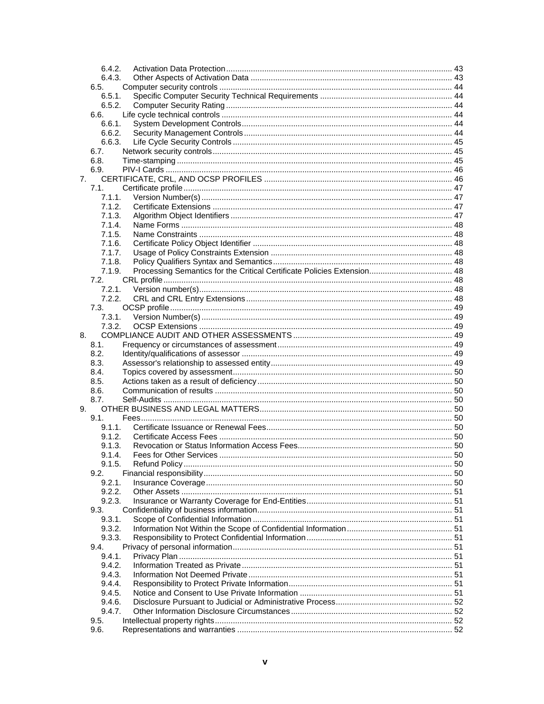|    | 6.4.2.         |  |
|----|----------------|--|
|    | 6.4.3.         |  |
|    | 6.5.           |  |
|    | 6.5.1.         |  |
|    | 6.5.2.         |  |
|    | 6.6.           |  |
|    | 6.6.1.         |  |
|    | 6.6.2.         |  |
|    | 6.6.3.         |  |
|    | 6.7.           |  |
|    | 6.8.<br>6.9.   |  |
| 7. |                |  |
|    | 7.1.           |  |
|    | 7.1.1.         |  |
|    | 7.1.2.         |  |
|    | 7.1.3.         |  |
|    | 7.1.4.         |  |
|    | 7.1.5.         |  |
|    | 7.1.6.         |  |
|    | 7.1.7.         |  |
|    | 7.1.8.         |  |
|    | 7.1.9.         |  |
|    | 7.2.           |  |
|    | 7.2.1.         |  |
|    | 7.2.2.         |  |
|    | 7.3.           |  |
|    | 7.3.1.         |  |
|    | 7.3.2.         |  |
| 8. |                |  |
|    | 8.1.<br>8.2.   |  |
|    | 8.3.           |  |
|    | 8.4.           |  |
|    | 8.5.           |  |
|    | 8.6.           |  |
|    | 8.7.           |  |
| 9. |                |  |
|    | 9.1.           |  |
|    | 9.1.1.         |  |
|    | 9.1.2.         |  |
|    | 9.1.3.         |  |
|    | 9.1.4.         |  |
|    | 9.1.5.         |  |
|    | 9.2.<br>9.2.1. |  |
|    | 9.2.2.         |  |
|    | 9.2.3.         |  |
|    | 9.3.           |  |
|    | 9.3.1.         |  |
|    | 9.3.2.         |  |
|    | 9.3.3.         |  |
|    | 9.4.           |  |
|    | 9.4.1.         |  |
|    | 9.4.2.         |  |
|    | 9.4.3.         |  |
|    | 9.4.4.         |  |
|    | 9.4.5.         |  |
|    | 9.4.6.         |  |
|    | 9.4.7.<br>9.5. |  |
|    | 9.6.           |  |
|    |                |  |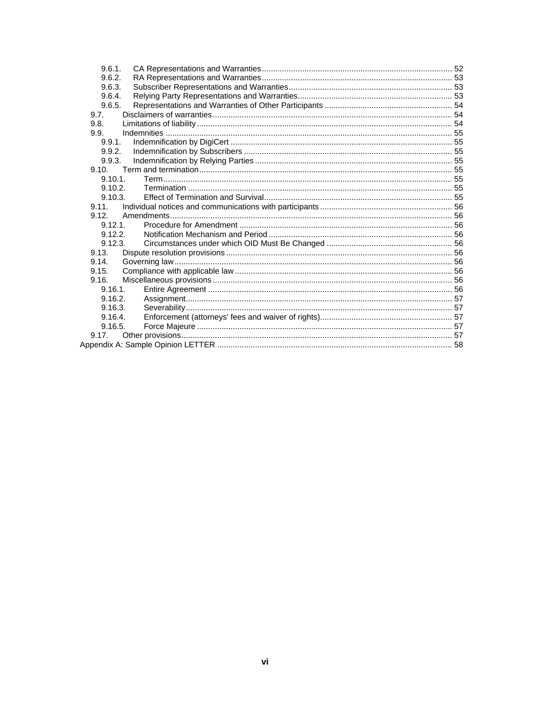| 9.6.1.     |  |
|------------|--|
| 9.6.2.     |  |
| 9.6.3.     |  |
| 9.6.4.     |  |
| 9.6.5.     |  |
| 9.7.       |  |
| 9.8.       |  |
| 9.9.       |  |
| 9.9.1      |  |
| 9.9.2.     |  |
| 9.9.3.     |  |
| 9.10.      |  |
| 9.10.1     |  |
| 9.10.2     |  |
| 9.10.3.    |  |
| 9.11.      |  |
| 912        |  |
| 9.12.1     |  |
| 9.12.2     |  |
| 9.12.3.    |  |
| 9.13.      |  |
| 9.14.      |  |
| 9.15.      |  |
| 9.16.      |  |
| $9.16.1$ . |  |
| 9.16.2.    |  |
| 9.16.3.    |  |
| 9.16.4.    |  |
| 9.16.5.    |  |
| 9.17.      |  |
|            |  |
|            |  |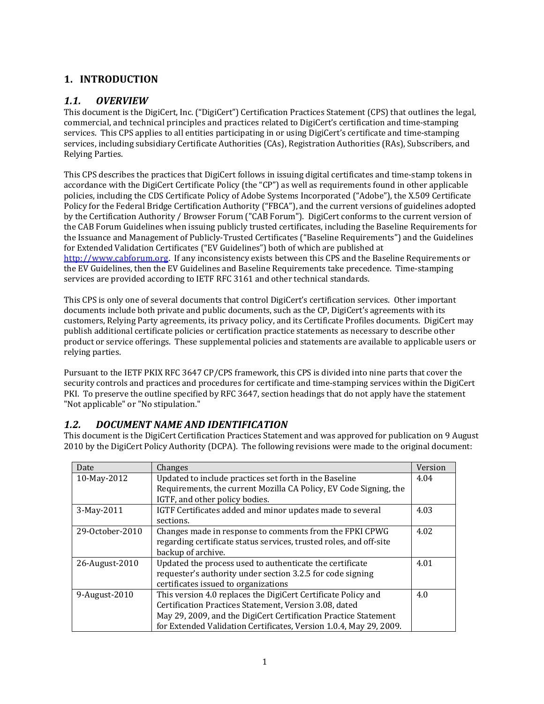## **1. INTRODUCTION**

## *1.1. OVERVIEW*

This document is the DigiCert, Inc. ("DigiCert") Certification Practices Statement (CPS) that outlines the legal, commercial, and technical principles and practices related to DigiCert's certification and time‐stamping services. This CPS applies to all entities participating in or using DigiCert's certificate and time‐stamping services, including subsidiary Certificate Authorities (CAs), Registration Authorities (RAs), Subscribers, and Relying Parties.

This CPS describes the practices that DigiCert follows in issuing digital certificates and time‐stamp tokens in accordance with the DigiCert Certificate Policy (the "CP") as well as requirements found in other applicable policies, including the CDS Certificate Policy of Adobe Systems Incorporated ("Adobe"), the X.509 Certificate Policy for the Federal Bridge Certification Authority ("FBCA"), and the current versions of guidelines adopted by the Certification Authority / Browser Forum ("CAB Forum"). DigiCert conforms to the current version of the CAB Forum Guidelines when issuing publicly trusted certificates, including the Baseline Requirements for the Issuance and Management of Publicly‐Trusted Certificates ("Baseline Requirements") and the Guidelines for Extended Validation Certificates ("EV Guidelines") both of which are published at http://www.cabforum.org. If any inconsistency exists between this CPS and the Baseline Requirements or the EV Guidelines, then the EV Guidelines and Baseline Requirements take precedence. Time‐stamping services are provided according to IETF RFC 3161 and other technical standards.

This CPS is only one of several documents that control DigiCert's certification services. Other important documents include both private and public documents, such as the CP, DigiCert's agreements with its customers, Relying Party agreements, its privacy policy, and its Certificate Profiles documents. DigiCert may publish additional certificate policies or certification practice statements as necessary to describe other product or service offerings. These supplemental policies and statements are available to applicable users or relying parties.

Pursuant to the IETF PKIX RFC 3647 CP/CPS framework, this CPS is divided into nine parts that cover the security controls and practices and procedures for certificate and time-stamping services within the DigiCert PKI. To preserve the outline specified by RFC 3647, section headings that do not apply have the statement "Not applicable" or "No stipulation."

## *1.2. DOCUMENT NAME AND IDENTIFICATION*

This document is the DigiCert Certification Practices Statement and was approved for publication on 9 August 2010 by the DigiCert Policy Authority (DCPA). The following revisions were made to the original document:

| Date            | Changes                                                            | Version |
|-----------------|--------------------------------------------------------------------|---------|
| 10-May-2012     | Updated to include practices set forth in the Baseline             | 4.04    |
|                 | Requirements, the current Mozilla CA Policy, EV Code Signing, the  |         |
|                 | IGTF, and other policy bodies.                                     |         |
| 3-May-2011      | IGTF Certificates added and minor updates made to several          | 4.03    |
|                 | sections.                                                          |         |
| 29-October-2010 | Changes made in response to comments from the FPKI CPWG            | 4.02    |
|                 | regarding certificate status services, trusted roles, and off-site |         |
|                 | backup of archive.                                                 |         |
| 26-August-2010  | Updated the process used to authenticate the certificate           | 4.01    |
|                 | requester's authority under section 3.2.5 for code signing         |         |
|                 | certificates issued to organizations                               |         |
| 9-August-2010   | This version 4.0 replaces the DigiCert Certificate Policy and      | 4.0     |
|                 | Certification Practices Statement, Version 3.08, dated             |         |
|                 | May 29, 2009, and the DigiCert Certification Practice Statement    |         |
|                 | for Extended Validation Certificates, Version 1.0.4, May 29, 2009. |         |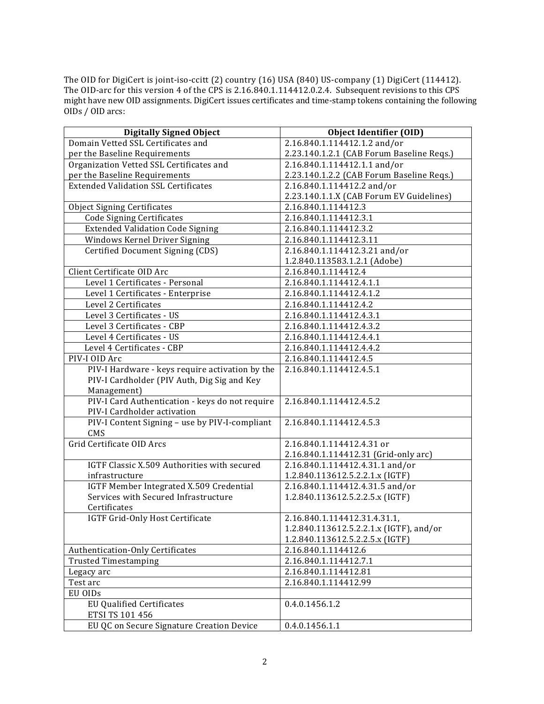The OID for DigiCert is joint‐iso‐ccitt (2) country (16) USA (840) US‐company (1) DigiCert (114412). The OID‐arc for this version 4 of the CPS is 2.16.840.1.114412.0.2.4. Subsequent revisions to this CPS might have new OID assignments. DigiCert issues certificates and time‐stamp tokens containing the following OIDs / OID arcs:

| <b>Digitally Signed Object</b>                  | <b>Object Identifier (OID)</b>            |  |
|-------------------------------------------------|-------------------------------------------|--|
| Domain Vetted SSL Certificates and              | 2.16.840.1.114412.1.2 and/or              |  |
| per the Baseline Requirements                   | 2.23.140.1.2.1 (CAB Forum Baseline Reqs.) |  |
| Organization Vetted SSL Certificates and        | 2.16.840.1.114412.1.1 and/or              |  |
| per the Baseline Requirements                   | 2.23.140.1.2.2 (CAB Forum Baseline Reqs.) |  |
| <b>Extended Validation SSL Certificates</b>     | 2.16.840.1.114412.2 and/or                |  |
|                                                 | 2.23.140.1.1.X (CAB Forum EV Guidelines)  |  |
| <b>Object Signing Certificates</b>              | 2.16.840.1.114412.3                       |  |
| <b>Code Signing Certificates</b>                | 2.16.840.1.114412.3.1                     |  |
| <b>Extended Validation Code Signing</b>         | 2.16.840.1.114412.3.2                     |  |
| Windows Kernel Driver Signing                   | 2.16.840.1.114412.3.11                    |  |
| Certified Document Signing (CDS)                | 2.16.840.1.114412.3.21 and/or             |  |
|                                                 | 1.2.840.113583.1.2.1 (Adobe)              |  |
| Client Certificate OID Arc                      | 2.16.840.1.114412.4                       |  |
| Level 1 Certificates - Personal                 | 2.16.840.1.114412.4.1.1                   |  |
| Level 1 Certificates - Enterprise               | 2.16.840.1.114412.4.1.2                   |  |
| Level 2 Certificates                            | 2.16.840.1.114412.4.2                     |  |
| Level 3 Certificates - US                       | 2.16.840.1.114412.4.3.1                   |  |
| Level 3 Certificates - CBP                      | 2.16.840.1.114412.4.3.2                   |  |
| Level 4 Certificates - US                       | 2.16.840.1.114412.4.4.1                   |  |
| Level 4 Certificates - CBP                      | 2.16.840.1.114412.4.4.2                   |  |
| PIV-I OID Arc                                   | 2.16.840.1.114412.4.5                     |  |
| PIV-I Hardware - keys require activation by the | 2.16.840.1.114412.4.5.1                   |  |
| PIV-I Cardholder (PIV Auth, Dig Sig and Key     |                                           |  |
| Management)                                     |                                           |  |
| PIV-I Card Authentication - keys do not require | 2.16.840.1.114412.4.5.2                   |  |
| PIV-I Cardholder activation                     |                                           |  |
| PIV-I Content Signing - use by PIV-I-compliant  | 2.16.840.1.114412.4.5.3                   |  |
| CMS                                             |                                           |  |
| Grid Certificate OID Arcs                       | 2.16.840.1.114412.4.31 or                 |  |
|                                                 | 2.16.840.1.114412.31 (Grid-only arc)      |  |
| IGTF Classic X.509 Authorities with secured     | 2.16.840.1.114412.4.31.1 and/or           |  |
| infrastructure                                  | 1.2.840.113612.5.2.2.1.x (IGTF)           |  |
| IGTF Member Integrated X.509 Credential         | 2.16.840.1.114412.4.31.5 and/or           |  |
| Services with Secured Infrastructure            | 1.2.840.113612.5.2.2.5.x (IGTF)           |  |
| Certificates                                    |                                           |  |
| IGTF Grid-Only Host Certificate                 | 2.16.840.1.114412.31.4.31.1,              |  |
|                                                 | 1.2.840.113612.5.2.2.1.x (IGTF), and/or   |  |
|                                                 | 1.2.840.113612.5.2.2.5.x (IGTF)           |  |
| Authentication-Only Certificates                | 2.16.840.1.114412.6                       |  |
| <b>Trusted Timestamping</b>                     | 2.16.840.1.114412.7.1                     |  |
| Legacy arc                                      | 2.16.840.1.114412.81                      |  |
| Test arc                                        | 2.16.840.1.114412.99                      |  |
| EU OIDs                                         |                                           |  |
| <b>EU Qualified Certificates</b>                | 0.4.0.1456.1.2                            |  |
| ETSI TS 101 456                                 |                                           |  |
| EU QC on Secure Signature Creation Device       | 0.4.0.1456.1.1                            |  |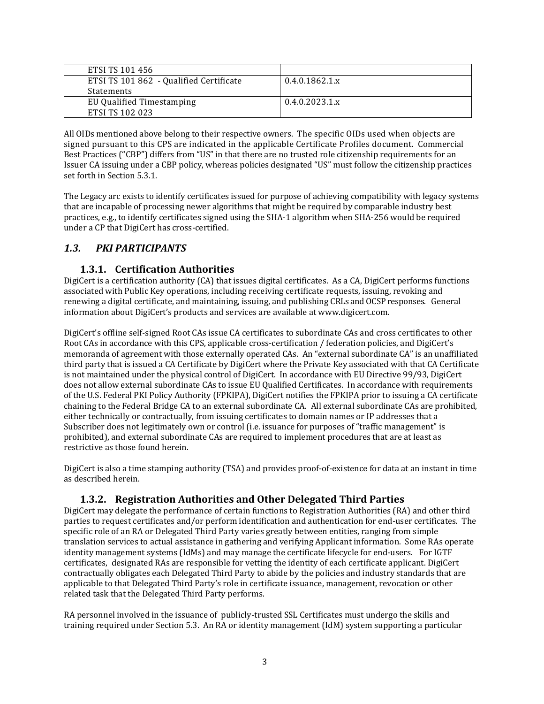| ETSI TS 101 456                         |                          |
|-----------------------------------------|--------------------------|
| ETSI TS 101 862 - Qualified Certificate | $0.4.0.1862.1 \text{ x}$ |
| Statements                              |                          |
| EU Qualified Timestamping               | $0.4.0.2023.1 \text{ x}$ |
| ETSI TS 102 023                         |                          |

All OIDs mentioned above belong to their respective owners. The specific OIDs used when objects are signed pursuant to this CPS are indicated in the applicable Certificate Profiles document. Commercial Best Practices ("CBP") differs from "US" in that there are no trusted role citizenship requirements for an Issuer CA issuing under a CBP policy, whereas policies designated "US" must follow the citizenship practices set forth in Section 5.3.1.

The Legacy arc exists to identify certificates issued for purpose of achieving compatibility with legacy systems that are incapable of processing newer algorithms that might be required by comparable industry best practices, e.g., to identify certificates signed using the SHA‐1 algorithm when SHA‐256 would be required under a CP that DigiCert has cross‐certified.

## *1.3. PKI PARTICIPANTS*

## **1.3.1. Certification Authorities**

DigiCert is a certification authority (CA) that issues digital certificates. As a CA, DigiCert performs functions associated with Public Key operations, including receiving certificate requests, issuing, revoking and renewing a digital certificate, and maintaining, issuing, and publishing CRLs and OCSP responses. General information about DigiCert's products and services are available at www.digicert.com.

DigiCert's offline self‐signed Root CAs issue CA certificates to subordinate CAs and cross certificates to other Root CAs in accordance with this CPS, applicable cross-certification / federation policies, and DigiCert's memoranda of agreement with those externally operated CAs. An "external subordinate CA" is an unaffiliated third party that is issued a CA Certificate by DigiCert where the Private Key associated with that CA Certificate is not maintained under the physical control of DigiCert. In accordance with EU Directive 99/93, DigiCert does not allow external subordinate CAs to issue EU Qualified Certificates. In accordance with requirements of the U.S. Federal PKI Policy Authority (FPKIPA), DigiCert notifies the FPKIPA prior to issuing a CA certificate chaining to the Federal Bridge CA to an external subordinate CA. All external subordinate CAs are prohibited, either technically or contractually, from issuing certificates to domain names or IP addresses that a Subscriber does not legitimately own or control (i.e. issuance for purposes of "traffic management" is prohibited), and external subordinate CAs are required to implement procedures that are at least as restrictive as those found herein.

DigiCert is also a time stamping authority (TSA) and provides proof-of-existence for data at an instant in time as described herein.

## **1.3.2. Registration Authorities and Other Delegated Third Parties**

DigiCert may delegate the performance of certain functions to Registration Authorities (RA) and other third parties to request certificates and/or perform identification and authentication for end‐user certificates. The specific role of an RA or Delegated Third Party varies greatly between entities, ranging from simple translation services to actual assistance in gathering and verifying Applicant information. Some RAs operate identity management systems (IdMs) and may manage the certificate lifecycle for end-users. For IGTF certificates, designated RAs are responsible for vetting the identity of each certificate applicant. DigiCert contractually obligates each Delegated Third Party to abide by the policies and industry standards that are applicable to that Delegated Third Party's role in certificate issuance, management, revocation or other related task that the Delegated Third Party performs.

RA personnel involved in the issuance of publicly-trusted SSL Certificates must undergo the skills and training required under Section 5.3. An RA or identity management (IdM) system supporting a particular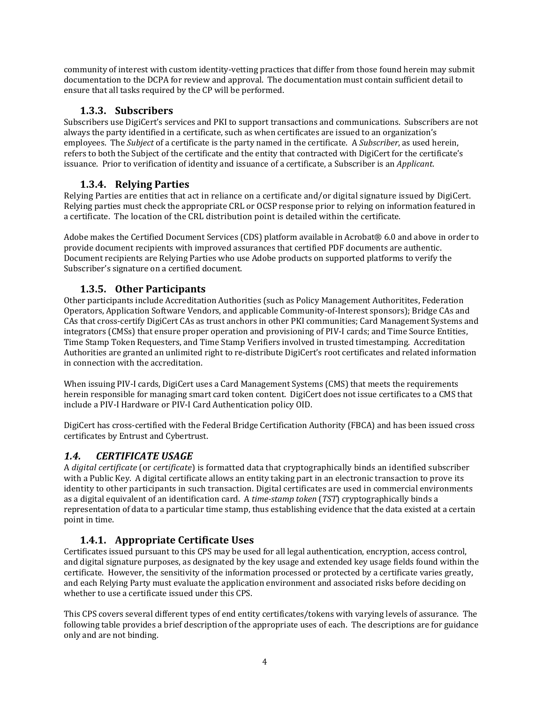community of interest with custom identity-vetting practices that differ from those found herein may submit documentation to the DCPA for review and approval. The documentation must contain sufficient detail to ensure that all tasks required by the CP will be performed.

## **1.3.3. Subscribers**

Subscribers use DigiCert's services and PKI to support transactions and communications. Subscribers are not always the party identified in a certificate, such as when certificates are issued to an organization's employees. The *Subject* of a certificate is the party named in the certificate. A *Subscriber*, as used herein, refers to both the Subject of the certificate and the entity that contracted with DigiCert for the certificate's issuance. Prior to verification of identity and issuance of a certificate, a Subscriber is an *Applicant*.

## **1.3.4. Relying Parties**

Relying Parties are entities that act in reliance on a certificate and/or digital signature issued by DigiCert. Relying parties must check the appropriate CRL or OCSP response prior to relying on information featured in a certificate. The location of the CRL distribution point is detailed within the certificate.

Adobe makes the Certified Document Services (CDS) platform available in Acrobat® 6.0 and above in order to provide document recipients with improved assurances that certified PDF documents are authentic. Document recipients are Relying Parties who use Adobe products on supported platforms to verify the Subscriber's signature on a certified document.

## **1.3.5. Other Participants**

Other participants include Accreditation Authorities (such as Policy Management Authoritites, Federation Operators, Application Software Vendors, and applicable Community‐of‐Interest sponsors); Bridge CAs and CAs that cross‐certify DigiCert CAs as trust anchors in other PKI communities; Card Management Systems and integrators (CMSs) that ensure proper operation and provisioning of PIV‐I cards; and Time Source Entities, Time Stamp Token Requesters, and Time Stamp Verifiers involved in trusted timestamping. Accreditation Authorities are granted an unlimited right to re‐distribute DigiCert's root certificates and related information in connection with the accreditation.

When issuing PIV-I cards, DigiCert uses a Card Management Systems (CMS) that meets the requirements herein responsible for managing smart card token content. DigiCert does not issue certificates to a CMS that include a PIV‐I Hardware or PIV‐I Card Authentication policy OID.

DigiCert has cross‐certified with the Federal Bridge Certification Authority (FBCA) and has been issued cross certificates by Entrust and Cybertrust.

## *1.4. CERTIFICATE USAGE*

A *digital certificate* (or *certificate*) is formatted data that cryptographically binds an identified subscriber with a Public Key. A digital certificate allows an entity taking part in an electronic transaction to prove its identity to other participants in such transaction. Digital certificates are used in commercial environments as a digital equivalent of an identification card. A *timestamp token* (*TST*) cryptographically binds a representation of data to a particular time stamp, thus establishing evidence that the data existed at a certain point in time.

## **1.4.1. Appropriate Certificate Uses**

Certificates issued pursuant to this CPS may be used for all legal authentication, encryption, access control, and digital signature purposes, as designated by the key usage and extended key usage fields found within the certificate. However, the sensitivity of the information processed or protected by a certificate varies greatly, and each Relying Party must evaluate the application environment and associated risks before deciding on whether to use a certificate issued under this CPS.

This CPS covers several different types of end entity certificates/tokens with varying levels of assurance. The following table provides a brief description of the appropriate uses of each. The descriptions are for guidance only and are not binding.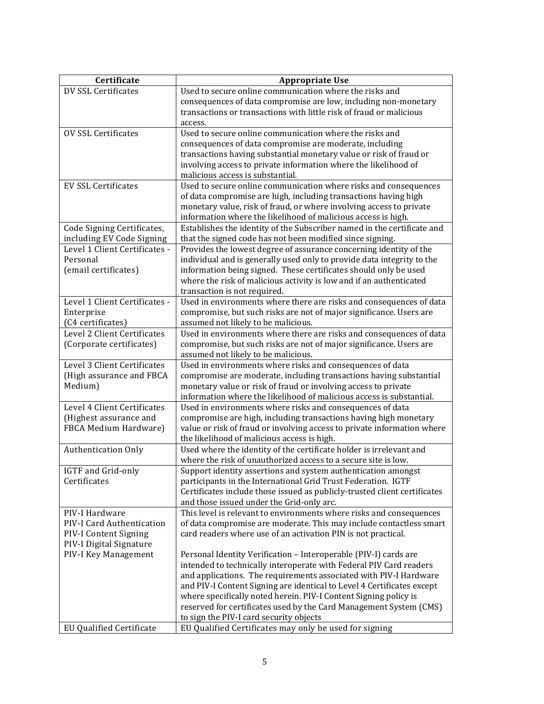| Certificate                                             | <b>Appropriate Use</b>                                                                                                                   |
|---------------------------------------------------------|------------------------------------------------------------------------------------------------------------------------------------------|
| DV SSL Certificates                                     | Used to secure online communication where the risks and                                                                                  |
|                                                         | consequences of data compromise are low, including non-monetary                                                                          |
|                                                         | transactions or transactions with little risk of fraud or malicious                                                                      |
|                                                         | access.                                                                                                                                  |
| <b>OV SSL Certificates</b>                              | Used to secure online communication where the risks and                                                                                  |
|                                                         | consequences of data compromise are moderate, including                                                                                  |
|                                                         | transactions having substantial monetary value or risk of fraud or                                                                       |
|                                                         | involving access to private information where the likelihood of                                                                          |
|                                                         | malicious access is substantial.                                                                                                         |
| <b>EV SSL Certificates</b>                              | Used to secure online communication where risks and consequences                                                                         |
|                                                         | of data compromise are high, including transactions having high                                                                          |
|                                                         | monetary value, risk of fraud, or where involving access to private                                                                      |
|                                                         | information where the likelihood of malicious access is high.<br>Establishes the identity of the Subscriber named in the certificate and |
| Code Signing Certificates,<br>including EV Code Signing | that the signed code has not been modified since signing.                                                                                |
| Level 1 Client Certificates -                           | Provides the lowest degree of assurance concerning identity of the                                                                       |
| Personal                                                | individual and is generally used only to provide data integrity to the                                                                   |
| (email certificates)                                    | information being signed. These certificates should only be used                                                                         |
|                                                         | where the risk of malicious activity is low and if an authenticated                                                                      |
|                                                         | transaction is not required.                                                                                                             |
| Level 1 Client Certificates -                           | Used in environments where there are risks and consequences of data                                                                      |
| Enterprise                                              | compromise, but such risks are not of major significance. Users are                                                                      |
| (C4 certificates)                                       | assumed not likely to be malicious.                                                                                                      |
| Level 2 Client Certificates                             | Used in environments where there are risks and consequences of data                                                                      |
| (Corporate certificates)                                | compromise, but such risks are not of major significance. Users are                                                                      |
|                                                         | assumed not likely to be malicious.                                                                                                      |
| Level 3 Client Certificates                             | Used in environments where risks and consequences of data                                                                                |
| (High assurance and FBCA                                | compromise are moderate, including transactions having substantial                                                                       |
| Medium)                                                 | monetary value or risk of fraud or involving access to private                                                                           |
|                                                         | information where the likelihood of malicious access is substantial.                                                                     |
| Level 4 Client Certificates                             | Used in environments where risks and consequences of data                                                                                |
| (Highest assurance and                                  | compromise are high, including transactions having high monetary                                                                         |
| FBCA Medium Hardware)                                   | value or risk of fraud or involving access to private information where                                                                  |
|                                                         | the likelihood of malicious access is high.<br>Used where the identity of the certificate holder is irrelevant and                       |
| <b>Authentication Only</b>                              | where the risk of unauthorized access to a secure site is low.                                                                           |
| IGTF and Grid-only                                      | Support identity assertions and system authentication amongst                                                                            |
| Certificates                                            | participants in the International Grid Trust Federation. IGTF                                                                            |
|                                                         | Certificates include those issued as publicly-trusted client certificates                                                                |
|                                                         | and those issued under the Grid-only arc.                                                                                                |
| PIV-I Hardware                                          | This level is relevant to environments where risks and consequences                                                                      |
| PIV-I Card Authentication                               | of data compromise are moderate. This may include contactless smart                                                                      |
| PIV-I Content Signing                                   | card readers where use of an activation PIN is not practical.                                                                            |
| PIV-I Digital Signature                                 |                                                                                                                                          |
| PIV-I Key Management                                    | Personal Identity Verification - Interoperable (PIV-I) cards are                                                                         |
|                                                         | intended to technically interoperate with Federal PIV Card readers                                                                       |
|                                                         | and applications. The requirements associated with PIV-I Hardware                                                                        |
|                                                         | and PIV-I Content Signing are identical to Level 4 Certificates except                                                                   |
|                                                         | where specifically noted herein. PIV-I Content Signing policy is                                                                         |
|                                                         | reserved for certificates used by the Card Management System (CMS)                                                                       |
|                                                         | to sign the PIV-I card security objects                                                                                                  |
| EU Qualified Certificate                                | EU Qualified Certificates may only be used for signing                                                                                   |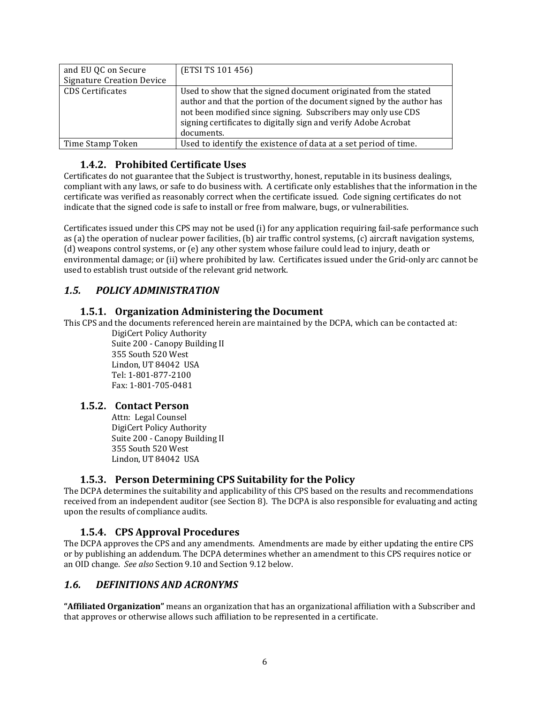| and EU QC on Secure<br><b>Signature Creation Device</b> | (ETSI TS 101 456)                                                                                                                                                                                                                                                                          |
|---------------------------------------------------------|--------------------------------------------------------------------------------------------------------------------------------------------------------------------------------------------------------------------------------------------------------------------------------------------|
| <b>CDS</b> Certificates                                 | Used to show that the signed document originated from the stated<br>author and that the portion of the document signed by the author has<br>not been modified since signing. Subscribers may only use CDS<br>signing certificates to digitally sign and verify Adobe Acrobat<br>documents. |
| Time Stamp Token                                        | Used to identify the existence of data at a set period of time.                                                                                                                                                                                                                            |

#### **1.4.2. Prohibited Certificate Uses**

Certificates do not guarantee that the Subject is trustworthy, honest, reputable in its business dealings, compliant with any laws, or safe to do business with. A certificate only establishes that the information in the certificate was verified as reasonably correct when the certificate issued. Code signing certificates do not indicate that the signed code is safe to install or free from malware, bugs, or vulnerabilities.

Certificates issued under this CPS may not be used (i) for any application requiring fail‐safe performance such as (a) the operation of nuclear power facilities, (b) air traffic control systems, (c) aircraft navigation systems, (d) weapons control systems, or (e) any other system whose failure could lead to injury, death or environmental damage; or (ii) where prohibited by law. Certificates issued under the Grid‐only arc cannot be used to establish trust outside of the relevant grid network.

## *1.5. POLICY ADMINISTRATION*

#### **1.5.1. Organization Administering the Document**

This CPS and the documents referenced herein are maintained by the DCPA, which can be contacted at:

DigiCert Policy Authority Suite 200 ‐ Canopy Building II 355 South 520 West Lindon, UT 84042 USA Tel: 1‐801‐877‐2100 Fax: 1‐801‐705‐0481

## **1.5.2. Contact Person**

Attn: Legal Counsel DigiCert Policy Authority Suite 200 ‐ Canopy Building II 355 South 520 West Lindon, UT 84042 USA

## **1.5.3. Person Determining CPS Suitability for the Policy**

The DCPA determines the suitability and applicability of this CPS based on the results and recommendations received from an independent auditor (see Section 8). The DCPA is also responsible for evaluating and acting upon the results of compliance audits.

## **1.5.4. CPS Approval Procedures**

The DCPA approves the CPS and any amendments. Amendments are made by either updating the entire CPS or by publishing an addendum. The DCPA determines whether an amendment to this CPS requires notice or an OID change. *See also* Section 9.10 and Section 9.12 below.

## *1.6. DEFINITIONS AND ACRONYMS*

**"Affiliated Organization"** means an organization that has an organizational affiliation with a Subscriber and that approves or otherwise allows such affiliation to be represented in a certificate.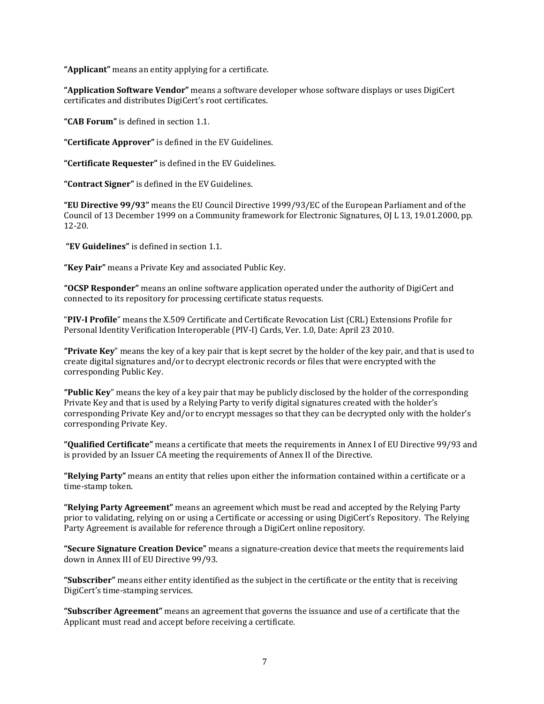**"Applicant"** means an entity applying for a certificate.

**"Application Software Vendor"** means a software developer whose software displays or uses DigiCert certificates and distributes DigiCert's root certificates.

**"CAB Forum"** is defined in section 1.1.

**"Certificate Approver"** is defined in the EV Guidelines.

**"Certificate Requester"** is defined in the EV Guidelines.

**"Contract Signer"** is defined in the EV Guidelines.

**"EU Directive 99/93"** means the EU Council Directive 1999/93/EC of the European Parliament and of the Council of 13 December 1999 on a Community framework for Electronic Signatures, OJ L 13, 19.01.2000, pp. 12‐20.

**"EV Guidelines"** is defined in section 1.1.

**"Key Pair"** means a Private Key and associated Public Key.

**"OCSP Responder"** means an online software application operated under the authority of DigiCert and connected to its repository for processing certificate status requests.

"**PIVI Profile**" means the X.509 Certificate and Certificate Revocation List (CRL) Extensions Profile for Personal Identity Verification Interoperable (PIV‐I) Cards, Ver. 1.0, Date: April 23 2010.

**"Private Key**" means the key of a key pair that is kept secret by the holder of the key pair, and that is used to create digital signatures and/or to decrypt electronic records or files that were encrypted with the corresponding Public Key.

**"Public Key**" means the key of a key pair that may be publicly disclosed by the holder of the corresponding Private Key and that is used by a Relying Party to verify digital signatures created with the holder's corresponding Private Key and/or to encrypt messages so that they can be decrypted only with the holder's corresponding Private Key.

**"Qualified Certificate"** means a certificate that meets the requirements in Annex I of EU Directive 99/93 and is provided by an Issuer CA meeting the requirements of Annex II of the Directive.

**"Relying Party"** means an entity that relies upon either the information contained within a certificate or a time‐stamp token.

**"Relying Party Agreement"** means an agreement which must be read and accepted by the Relying Party prior to validating, relying on or using a Certificate or accessing or using DigiCert's Repository. The Relying Party Agreement is available for reference through a DigiCert online repository.

**"Secure Signature Creation Device"** means a signature‐creation device that meets the requirements laid down in Annex III of EU Directive 99/93.

**"Subscriber"** means either entity identified as the subject in the certificate or the entity that is receiving DigiCert's time‐stamping services.

**"Subscriber Agreement"** means an agreement that governs the issuance and use of a certificate that the Applicant must read and accept before receiving a certificate.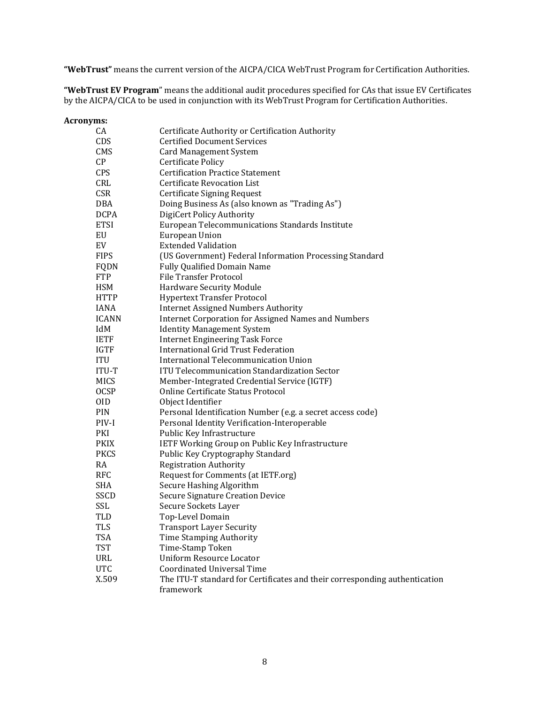**"WebTrust"** means the current version of the AICPA/CICA WebTrust Program for Certification Authorities.

**"WebTrust EV Program**" means the additional audit procedures specified for CAs that issue EV Certificates by the AICPA/CICA to be used in conjunction with its WebTrust Program for Certification Authorities.

| Acronyms:    |                                                                            |
|--------------|----------------------------------------------------------------------------|
| CA           | Certificate Authority or Certification Authority                           |
| CDS          | <b>Certified Document Services</b>                                         |
| CMS          | <b>Card Management System</b>                                              |
| CP           | <b>Certificate Policy</b>                                                  |
| <b>CPS</b>   | <b>Certification Practice Statement</b>                                    |
| CRL          | <b>Certificate Revocation List</b>                                         |
| <b>CSR</b>   | Certificate Signing Request                                                |
| DBA          | Doing Business As (also known as "Trading As")                             |
| <b>DCPA</b>  | DigiCert Policy Authority                                                  |
| <b>ETSI</b>  | European Telecommunications Standards Institute                            |
| EU           | European Union                                                             |
| EV           | <b>Extended Validation</b>                                                 |
| <b>FIPS</b>  | (US Government) Federal Information Processing Standard                    |
| FQDN         | <b>Fully Qualified Domain Name</b>                                         |
| <b>FTP</b>   | <b>File Transfer Protocol</b>                                              |
| HSM          | Hardware Security Module                                                   |
| <b>HTTP</b>  | <b>Hypertext Transfer Protocol</b>                                         |
| <b>IANA</b>  | <b>Internet Assigned Numbers Authority</b>                                 |
| <b>ICANN</b> | <b>Internet Corporation for Assigned Names and Numbers</b>                 |
| IdM          | <b>Identity Management System</b>                                          |
| <b>IETF</b>  | <b>Internet Engineering Task Force</b>                                     |
| IGTF         | International Grid Trust Federation                                        |
| ITU          | International Telecommunication Union                                      |
| <b>ITU-T</b> | <b>ITU Telecommunication Standardization Sector</b>                        |
| <b>MICS</b>  | Member-Integrated Credential Service (IGTF)                                |
| <b>OCSP</b>  | Online Certificate Status Protocol                                         |
| 0ID          | Object Identifier                                                          |
| PIN          | Personal Identification Number (e.g. a secret access code)                 |
| PIV-I        | Personal Identity Verification-Interoperable                               |
| PKI          | Public Key Infrastructure                                                  |
| <b>PKIX</b>  | IETF Working Group on Public Key Infrastructure                            |
| <b>PKCS</b>  | Public Key Cryptography Standard                                           |
| RA           | <b>Registration Authority</b>                                              |
| RFC          | Request for Comments (at IETF.org)                                         |
| SHA          | Secure Hashing Algorithm                                                   |
| SSCD         | <b>Secure Signature Creation Device</b>                                    |
| SSL          | Secure Sockets Layer                                                       |
| TLD          | Top-Level Domain                                                           |
| <b>TLS</b>   | <b>Transport Layer Security</b>                                            |
| TSA          | Time Stamping Authority                                                    |
| <b>TST</b>   | Time-Stamp Token                                                           |
| URL          | <b>Uniform Resource Locator</b>                                            |
| <b>UTC</b>   | <b>Coordinated Universal Time</b>                                          |
| X.509        | The ITU-T standard for Certificates and their corresponding authentication |
|              | framework                                                                  |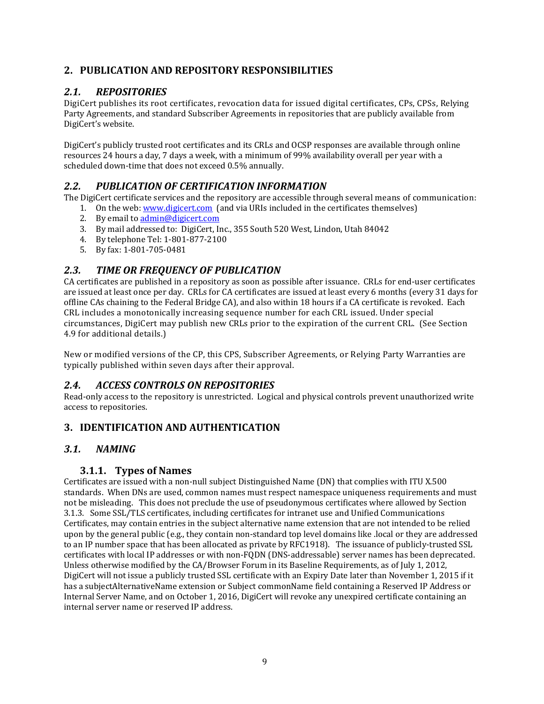## **2. PUBLICATION AND REPOSITORY RESPONSIBILITIES**

## *2.1. REPOSITORIES*

DigiCert publishes its root certificates, revocation data for issued digital certificates, CPs, CPSs, Relying Party Agreements, and standard Subscriber Agreements in repositories that are publicly available from DigiCert's website.

DigiCert's publicly trusted root certificates and its CRLs and OCSP responses are available through online resources 24 hours a day, 7 days a week, with a minimum of 99% availability overall per year with a scheduled down-time that does not exceed 0.5% annually.

## *2.2. PUBLICATION OF CERTIFICATION INFORMATION*

The DigiCert certificate services and the repository are accessible through several means of communication:

- 1. On the web: www.digicert.com (and via URIs included in the certificates themselves)
- 2. By email to admin@digicert.com
- 3. By mail addressed to: DigiCert, Inc., 355 South 520 West, Lindon, Utah 84042
- 4. By telephone Tel: 1‐801‐877‐2100
- 5. By fax: 1‐801‐705‐0481

## *2.3. TIME OR FREQUENCY OF PUBLICATION*

CA certificates are published in a repository as soon as possible after issuance. CRLs for end‐user certificates are issued at least once per day. CRLs for CA certificates are issued at least every 6 months (every 31 days for offline CAs chaining to the Federal Bridge CA), and also within 18 hours if a CA certificate is revoked. Each CRL includes a monotonically increasing sequence number for each CRL issued. Under special circumstances, DigiCert may publish new CRLs prior to the expiration of the current CRL. (See Section 4.9 for additional details.)

New or modified versions of the CP, this CPS, Subscriber Agreements, or Relying Party Warranties are typically published within seven days after their approval.

## *2.4. ACCESS CONTROLS ON REPOSITORIES*

Read-only access to the repository is unrestricted. Logical and physical controls prevent unauthorized write access to repositories.

## **3. IDENTIFICATION AND AUTHENTICATION**

## *3.1. NAMING*

#### **3.1.1. Types of Names**

Certificates are issued with a non‐null subject Distinguished Name (DN) that complies with ITU X.500 standards. When DNs are used, common names must respect namespace uniqueness requirements and must not be misleading. This does not preclude the use of pseudonymous certificates where allowed by Section 3.1.3. Some SSL/TLS certificates, including certificates for intranet use and Unified Communications Certificates, may contain entries in the subject alternative name extension that are not intended to be relied upon by the general public (e.g., they contain non‐standard top level domains like .local or they are addressed to an IP number space that has been allocated as private by RFC1918). The issuance of publicly-trusted SSL certificates with local IP addresses or with non‐FQDN (DNS‐addressable) server names has been deprecated. Unless otherwise modified by the CA/Browser Forum in its Baseline Requirements, as of July 1, 2012, DigiCert will not issue a publicly trusted SSL certificate with an Expiry Date later than November 1, 2015 if it has a subjectAlternativeName extension or Subject commonName field containing a Reserved IP Address or Internal Server Name, and on October 1, 2016, DigiCert will revoke any unexpired certificate containing an internal server name or reserved IP address.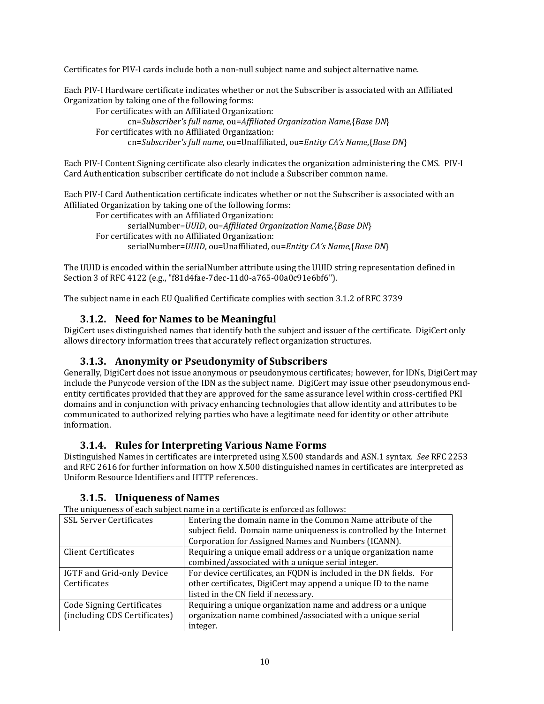Certificates for PIV‐I cards include both a non‐null subject name and subject alternative name.

Each PIV‐I Hardware certificate indicates whether or not the Subscriber is associated with an Affiliated Organization by taking one of the following forms:

For certificates with an Affiliated Organization: cn=*Subscriber's full name*, ou=*Affiliated Organization Name*,{*Base DN*} For certificates with no Affiliated Organization: cn=*Subscriber's full name*, ou=Unaffiliated, ou=*Entity CA's Name*,{*Base DN*}

Each PIV‐I Content Signing certificate also clearly indicates the organization administering the CMS. PIV‐I Card Authentication subscriber certificate do not include a Subscriber common name.

Each PIV‐I Card Authentication certificate indicates whether or not the Subscriber is associated with an Affiliated Organization by taking one of the following forms:

For certificates with an Affiliated Organization: serialNumber=*UUID*, ou=*Affiliated Organization Name*,{*Base DN*} For certificates with no Affiliated Organization: serialNumber=*UUID*, ou=Unaffiliated, ou=*Entity CA's Name*,{*Base DN*}

The UUID is encoded within the serialNumber attribute using the UUID string representation defined in Section 3 of RFC 4122 (e.g., "f81d4fae‐7dec‐11d0‐a765‐00a0c91e6bf6").

The subject name in each EU Qualified Certificate complies with section 3.1.2 of RFC 3739

#### **3.1.2. Need for Names to be Meaningful**

DigiCert uses distinguished names that identify both the subject and issuer of the certificate. DigiCert only allows directory information trees that accurately reflect organization structures.

#### **3.1.3. Anonymity or Pseudonymity of Subscribers**

Generally, DigiCert does not issue anonymous or pseudonymous certificates; however, for IDNs, DigiCert may include the Punycode version of the IDN as the subject name. DigiCert may issue other pseudonymous end‐ entity certificates provided that they are approved for the same assurance level within cross-certified PKI domains and in conjunction with privacy enhancing technologies that allow identity and attributes to be communicated to authorized relying parties who have a legitimate need for identity or other attribute information.

#### **3.1.4. Rules for Interpreting Various Name Forms**

Distinguished Names in certificates are interpreted using X.500 standards and ASN.1 syntax. *See* RFC 2253 and RFC 2616 for further information on how X.500 distinguished names in certificates are interpreted as Uniform Resource Identifiers and HTTP references.

#### **3.1.5. Uniqueness of Names**

The uniqueness of each subject name in a certificate is enforced as follows:

| 1 no aniquences et caen susject hume in a certineate is emercia as fono no |                                                                     |  |
|----------------------------------------------------------------------------|---------------------------------------------------------------------|--|
| <b>SSL Server Certificates</b>                                             | Entering the domain name in the Common Name attribute of the        |  |
|                                                                            | subject field. Domain name uniqueness is controlled by the Internet |  |
|                                                                            | Corporation for Assigned Names and Numbers (ICANN).                 |  |
| <b>Client Certificates</b>                                                 | Requiring a unique email address or a unique organization name      |  |
|                                                                            | combined/associated with a unique serial integer.                   |  |
| IGTF and Grid-only Device                                                  | For device certificates, an FQDN is included in the DN fields. For  |  |
| Certificates                                                               | other certificates, DigiCert may append a unique ID to the name     |  |
|                                                                            | listed in the CN field if necessary.                                |  |
| Code Signing Certificates                                                  | Requiring a unique organization name and address or a unique        |  |
| (including CDS Certificates)                                               | organization name combined/associated with a unique serial          |  |
|                                                                            | integer.                                                            |  |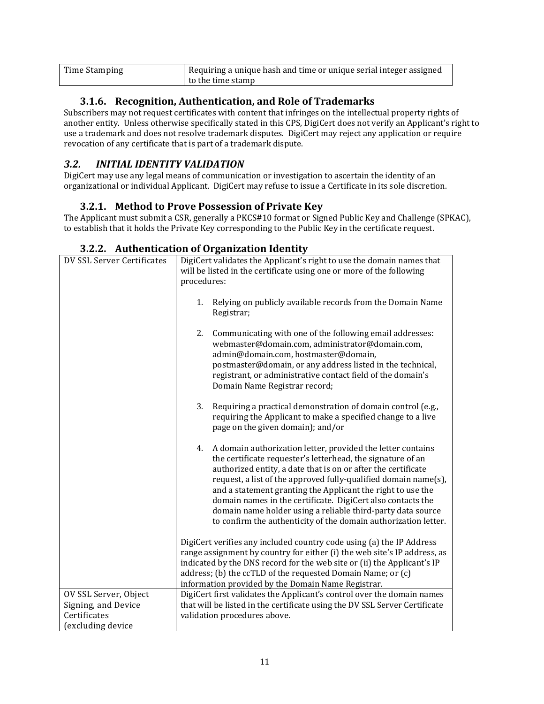| Time Stamping | Requiring a unique hash and time or unique serial integer assigned |
|---------------|--------------------------------------------------------------------|
|               | to the time stamp                                                  |

## **3.1.6. Recognition, Authentication, and Role of Trademarks**

Subscribers may not request certificates with content that infringes on the intellectual property rights of another entity. Unless otherwise specifically stated in this CPS, DigiCert does not verify an Applicant's right to use a trademark and does not resolve trademark disputes. DigiCert may reject any application or require revocation of any certificate that is part of a trademark dispute.

## *3.2. INITIAL IDENTITY VALIDATION*

DigiCert may use any legal means of communication or investigation to ascertain the identity of an organizational or individual Applicant. DigiCert may refuse to issue a Certificate in its sole discretion.

#### **3.2.1. Method to Prove Possession of Private Key**

The Applicant must submit a CSR, generally a PKCS#10 format or Signed Public Key and Challenge (SPKAC), to establish that it holds the Private Key corresponding to the Public Key in the certificate request.

| DV SSL Server Certificates                                                       | DigiCert validates the Applicant's right to use the domain names that<br>will be listed in the certificate using one or more of the following<br>procedures:                                                                                                                                                                                                                                                                                                                                                                         |  |
|----------------------------------------------------------------------------------|--------------------------------------------------------------------------------------------------------------------------------------------------------------------------------------------------------------------------------------------------------------------------------------------------------------------------------------------------------------------------------------------------------------------------------------------------------------------------------------------------------------------------------------|--|
|                                                                                  | Relying on publicly available records from the Domain Name<br>1.<br>Registrar;                                                                                                                                                                                                                                                                                                                                                                                                                                                       |  |
|                                                                                  | Communicating with one of the following email addresses:<br>2.<br>webmaster@domain.com, administrator@domain.com,<br>admin@domain.com, hostmaster@domain,<br>postmaster@domain, or any address listed in the technical,<br>registrant, or administrative contact field of the domain's<br>Domain Name Registrar record;                                                                                                                                                                                                              |  |
|                                                                                  | 3.<br>Requiring a practical demonstration of domain control (e.g.,<br>requiring the Applicant to make a specified change to a live<br>page on the given domain); and/or                                                                                                                                                                                                                                                                                                                                                              |  |
|                                                                                  | A domain authorization letter, provided the letter contains<br>4.<br>the certificate requester's letterhead, the signature of an<br>authorized entity, a date that is on or after the certificate<br>request, a list of the approved fully-qualified domain name(s),<br>and a statement granting the Applicant the right to use the<br>domain names in the certificate. DigiCert also contacts the<br>domain name holder using a reliable third-party data source<br>to confirm the authenticity of the domain authorization letter. |  |
|                                                                                  | DigiCert verifies any included country code using (a) the IP Address<br>range assignment by country for either (i) the web site's IP address, as<br>indicated by the DNS record for the web site or (ii) the Applicant's IP<br>address; (b) the ccTLD of the requested Domain Name; or (c)<br>information provided by the Domain Name Registrar.                                                                                                                                                                                     |  |
| OV SSL Server, Object<br>Signing, and Device<br>Certificates<br>excluding device | DigiCert first validates the Applicant's control over the domain names<br>that will be listed in the certificate using the DV SSL Server Certificate<br>validation procedures above.                                                                                                                                                                                                                                                                                                                                                 |  |

#### **3.2.2. Authentication of Organization Identity**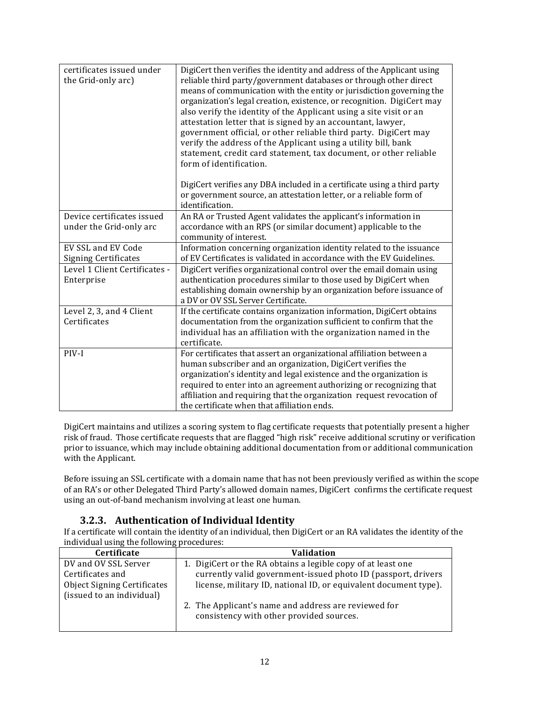| certificates issued under<br>the Grid-only arc)       | DigiCert then verifies the identity and address of the Applicant using<br>reliable third party/government databases or through other direct<br>means of communication with the entity or jurisdiction governing the<br>organization's legal creation, existence, or recognition. DigiCert may<br>also verify the identity of the Applicant using a site visit or an<br>attestation letter that is signed by an accountant, lawyer,<br>government official, or other reliable third party. DigiCert may<br>verify the address of the Applicant using a utility bill, bank<br>statement, credit card statement, tax document, or other reliable<br>form of identification. |
|-------------------------------------------------------|--------------------------------------------------------------------------------------------------------------------------------------------------------------------------------------------------------------------------------------------------------------------------------------------------------------------------------------------------------------------------------------------------------------------------------------------------------------------------------------------------------------------------------------------------------------------------------------------------------------------------------------------------------------------------|
|                                                       | DigiCert verifies any DBA included in a certificate using a third party<br>or government source, an attestation letter, or a reliable form of<br>identification.                                                                                                                                                                                                                                                                                                                                                                                                                                                                                                         |
| Device certificates issued<br>under the Grid-only arc | An RA or Trusted Agent validates the applicant's information in<br>accordance with an RPS (or similar document) applicable to the<br>community of interest.                                                                                                                                                                                                                                                                                                                                                                                                                                                                                                              |
| EV SSL and EV Code<br><b>Signing Certificates</b>     | Information concerning organization identity related to the issuance<br>of EV Certificates is validated in accordance with the EV Guidelines.                                                                                                                                                                                                                                                                                                                                                                                                                                                                                                                            |
| Level 1 Client Certificates -<br>Enterprise           | DigiCert verifies organizational control over the email domain using<br>authentication procedures similar to those used by DigiCert when<br>establishing domain ownership by an organization before issuance of<br>a DV or OV SSL Server Certificate.                                                                                                                                                                                                                                                                                                                                                                                                                    |
| Level 2, 3, and 4 Client<br>Certificates              | If the certificate contains organization information, DigiCert obtains<br>documentation from the organization sufficient to confirm that the<br>individual has an affiliation with the organization named in the<br>certificate.                                                                                                                                                                                                                                                                                                                                                                                                                                         |
| PIV-I                                                 | For certificates that assert an organizational affiliation between a<br>human subscriber and an organization, DigiCert verifies the<br>organization's identity and legal existence and the organization is<br>required to enter into an agreement authorizing or recognizing that<br>affiliation and requiring that the organization request revocation of<br>the certificate when that affiliation ends.                                                                                                                                                                                                                                                                |

DigiCert maintains and utilizes a scoring system to flag certificate requests that potentially present a higher risk of fraud. Those certificate requests that are flagged "high risk" receive additional scrutiny or verification prior to issuance, which may include obtaining additional documentation from or additional communication with the Applicant.

Before issuing an SSL certificate with a domain name that has not been previously verified as within the scope of an RA's or other Delegated Third Party's allowed domain names, DigiCert confirms the certificate request using an out‐of‐band mechanism involving at least one human.

## **3.2.3. Authentication of Individual Identity**

If a certificate will contain the identity of an individual, then DigiCert or an RA validates the identity of the individual using the following procedures:

| <b>Certificate</b>                 | Validation                                                       |
|------------------------------------|------------------------------------------------------------------|
| DV and OV SSL Server               | 1. DigiCert or the RA obtains a legible copy of at least one     |
| Certificates and                   | currently valid government-issued photo ID (passport, drivers    |
| <b>Object Signing Certificates</b> | license, military ID, national ID, or equivalent document type). |
| (issued to an individual)          |                                                                  |
|                                    | 2. The Applicant's name and address are reviewed for             |
|                                    | consistency with other provided sources.                         |
|                                    |                                                                  |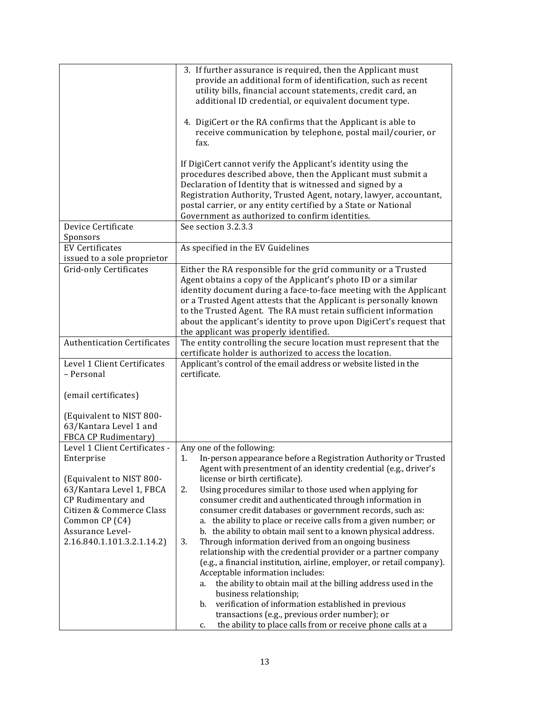|                                                                                                                                                                                          | 3. If further assurance is required, then the Applicant must<br>provide an additional form of identification, such as recent<br>utility bills, financial account statements, credit card, an<br>additional ID credential, or equivalent document type.                                                                                                                                                                                                                                                                                                                                                                                                                                                                                               |
|------------------------------------------------------------------------------------------------------------------------------------------------------------------------------------------|------------------------------------------------------------------------------------------------------------------------------------------------------------------------------------------------------------------------------------------------------------------------------------------------------------------------------------------------------------------------------------------------------------------------------------------------------------------------------------------------------------------------------------------------------------------------------------------------------------------------------------------------------------------------------------------------------------------------------------------------------|
|                                                                                                                                                                                          | 4. DigiCert or the RA confirms that the Applicant is able to<br>receive communication by telephone, postal mail/courier, or<br>fax.                                                                                                                                                                                                                                                                                                                                                                                                                                                                                                                                                                                                                  |
|                                                                                                                                                                                          | If DigiCert cannot verify the Applicant's identity using the<br>procedures described above, then the Applicant must submit a<br>Declaration of Identity that is witnessed and signed by a<br>Registration Authority, Trusted Agent, notary, lawyer, accountant,<br>postal carrier, or any entity certified by a State or National<br>Government as authorized to confirm identities.                                                                                                                                                                                                                                                                                                                                                                 |
| Device Certificate<br>Sponsors                                                                                                                                                           | See section 3.2.3.3                                                                                                                                                                                                                                                                                                                                                                                                                                                                                                                                                                                                                                                                                                                                  |
| <b>EV Certificates</b>                                                                                                                                                                   | As specified in the EV Guidelines                                                                                                                                                                                                                                                                                                                                                                                                                                                                                                                                                                                                                                                                                                                    |
| issued to a sole proprietor                                                                                                                                                              |                                                                                                                                                                                                                                                                                                                                                                                                                                                                                                                                                                                                                                                                                                                                                      |
| Grid-only Certificates                                                                                                                                                                   | Either the RA responsible for the grid community or a Trusted<br>Agent obtains a copy of the Applicant's photo ID or a similar<br>identity document during a face-to-face meeting with the Applicant<br>or a Trusted Agent attests that the Applicant is personally known<br>to the Trusted Agent. The RA must retain sufficient information<br>about the applicant's identity to prove upon DigiCert's request that<br>the applicant was properly identified.                                                                                                                                                                                                                                                                                       |
| <b>Authentication Certificates</b>                                                                                                                                                       | The entity controlling the secure location must represent that the<br>certificate holder is authorized to access the location.                                                                                                                                                                                                                                                                                                                                                                                                                                                                                                                                                                                                                       |
| Level 1 Client Certificates<br>- Personal                                                                                                                                                | Applicant's control of the email address or website listed in the<br>certificate.                                                                                                                                                                                                                                                                                                                                                                                                                                                                                                                                                                                                                                                                    |
| (email certificates)                                                                                                                                                                     |                                                                                                                                                                                                                                                                                                                                                                                                                                                                                                                                                                                                                                                                                                                                                      |
| (Equivalent to NIST 800-<br>63/Kantara Level 1 and<br>FBCA CP Rudimentary)<br>Level 1 Client Certificates -                                                                              |                                                                                                                                                                                                                                                                                                                                                                                                                                                                                                                                                                                                                                                                                                                                                      |
| Enterprise<br>(Equivalent to NIST 800-<br>63/Kantara Level 1, FBCA<br>CP Rudimentary and<br>Citizen & Commerce Class<br>Common CP (C4)<br>Assurance Level-<br>2.16.840.1.101.3.2.1.14.2) | Any one of the following:<br>1.<br>In-person appearance before a Registration Authority or Trusted<br>Agent with presentment of an identity credential (e.g., driver's<br>license or birth certificate).<br>2.<br>Using procedures similar to those used when applying for<br>consumer credit and authenticated through information in<br>consumer credit databases or government records, such as:<br>a. the ability to place or receive calls from a given number; or<br>b. the ability to obtain mail sent to a known physical address.<br>3.<br>Through information derived from an ongoing business<br>relationship with the credential provider or a partner company<br>(e.g., a financial institution, airline, employer, or retail company). |
|                                                                                                                                                                                          | Acceptable information includes:<br>the ability to obtain mail at the billing address used in the<br>a.<br>business relationship;<br>verification of information established in previous<br>b.<br>transactions (e.g., previous order number); or<br>the ability to place calls from or receive phone calls at a<br>c.                                                                                                                                                                                                                                                                                                                                                                                                                                |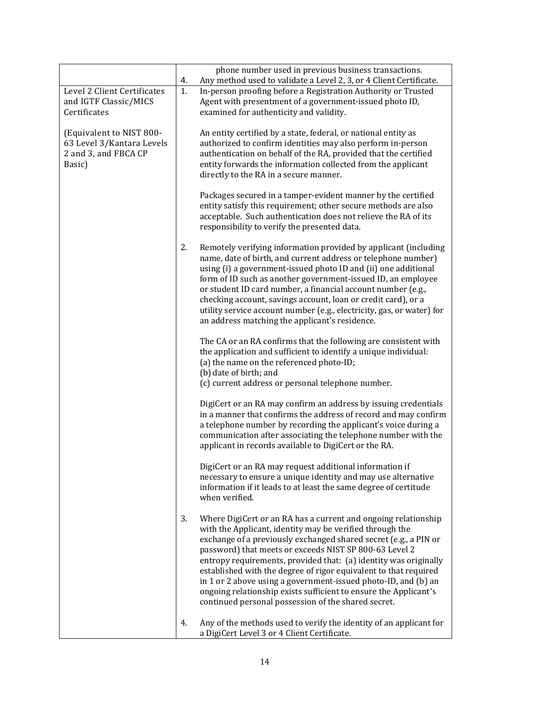|                                                                                         | 4. | phone number used in previous business transactions.<br>Any method used to validate a Level 2, 3, or 4 Client Certificate.                                                                                                                                                                                                                                                                                                                                                                                                                                                                    |
|-----------------------------------------------------------------------------------------|----|-----------------------------------------------------------------------------------------------------------------------------------------------------------------------------------------------------------------------------------------------------------------------------------------------------------------------------------------------------------------------------------------------------------------------------------------------------------------------------------------------------------------------------------------------------------------------------------------------|
| Level 2 Client Certificates<br>and IGTF Classic/MICS<br>Certificates                    | 1. | In-person proofing before a Registration Authority or Trusted<br>Agent with presentment of a government-issued photo ID,<br>examined for authenticity and validity.                                                                                                                                                                                                                                                                                                                                                                                                                           |
| (Equivalent to NIST 800-<br>63 Level 3/Kantara Levels<br>2 and 3, and FBCA CP<br>Basic) |    | An entity certified by a state, federal, or national entity as<br>authorized to confirm identities may also perform in-person<br>authentication on behalf of the RA, provided that the certified<br>entity forwards the information collected from the applicant<br>directly to the RA in a secure manner.                                                                                                                                                                                                                                                                                    |
|                                                                                         |    | Packages secured in a tamper-evident manner by the certified<br>entity satisfy this requirement; other secure methods are also<br>acceptable. Such authentication does not relieve the RA of its<br>responsibility to verify the presented data.                                                                                                                                                                                                                                                                                                                                              |
|                                                                                         | 2. | Remotely verifying information provided by applicant (including<br>name, date of birth, and current address or telephone number)<br>using (i) a government-issued photo ID and (ii) one additional<br>form of ID such as another government-issued ID, an employee<br>or student ID card number, a financial account number (e.g.,<br>checking account, savings account, loan or credit card), or a<br>utility service account number (e.g., electricity, gas, or water) for<br>an address matching the applicant's residence.                                                                |
|                                                                                         |    | The CA or an RA confirms that the following are consistent with<br>the application and sufficient to identify a unique individual:<br>(a) the name on the referenced photo-ID;<br>(b) date of birth; and                                                                                                                                                                                                                                                                                                                                                                                      |
|                                                                                         |    | (c) current address or personal telephone number.<br>DigiCert or an RA may confirm an address by issuing credentials<br>in a manner that confirms the address of record and may confirm<br>a telephone number by recording the applicant's voice during a<br>communication after associating the telephone number with the<br>applicant in records available to DigiCert or the RA.                                                                                                                                                                                                           |
|                                                                                         |    | DigiCert or an RA may request additional information if<br>necessary to ensure a unique identity and may use alternative<br>information if it leads to at least the same degree of certitude<br>when verified.                                                                                                                                                                                                                                                                                                                                                                                |
|                                                                                         | 3. | Where DigiCert or an RA has a current and ongoing relationship<br>with the Applicant, identity may be verified through the<br>exchange of a previously exchanged shared secret (e.g., a PIN or<br>password) that meets or exceeds NIST SP 800-63 Level 2<br>entropy requirements, provided that: (a) identity was originally<br>established with the degree of rigor equivalent to that required<br>in 1 or 2 above using a government-issued photo-ID, and (b) an<br>ongoing relationship exists sufficient to ensure the Applicant's<br>continued personal possession of the shared secret. |
|                                                                                         | 4. | Any of the methods used to verify the identity of an applicant for<br>a DigiCert Level 3 or 4 Client Certificate.                                                                                                                                                                                                                                                                                                                                                                                                                                                                             |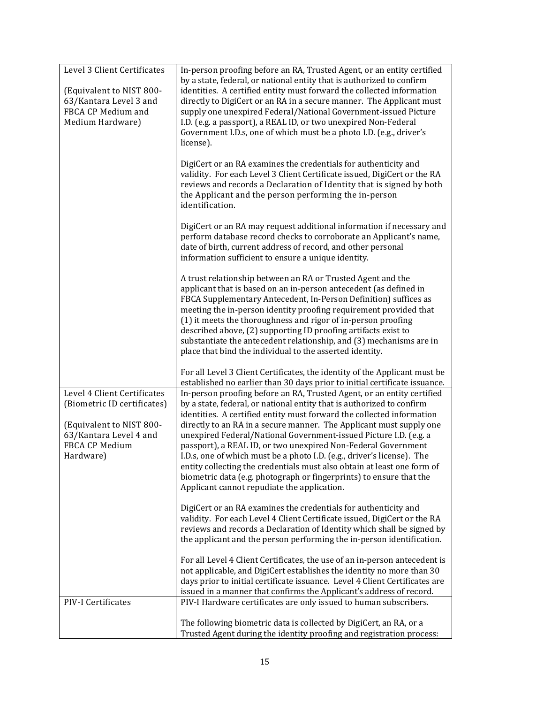| Level 3 Client Certificates<br>(Equivalent to NIST 800-<br>63/Kantara Level 3 and<br>FBCA CP Medium and<br>Medium Hardware)                     | In-person proofing before an RA, Trusted Agent, or an entity certified<br>by a state, federal, or national entity that is authorized to confirm<br>identities. A certified entity must forward the collected information<br>directly to DigiCert or an RA in a secure manner. The Applicant must<br>supply one unexpired Federal/National Government-issued Picture<br>I.D. (e.g. a passport), a REAL ID, or two unexpired Non-Federal<br>Government I.D.s, one of which must be a photo I.D. (e.g., driver's<br>license).<br>DigiCert or an RA examines the credentials for authenticity and<br>validity. For each Level 3 Client Certificate issued, DigiCert or the RA<br>reviews and records a Declaration of Identity that is signed by both<br>the Applicant and the person performing the in-person<br>identification.<br>DigiCert or an RA may request additional information if necessary and<br>perform database record checks to corroborate an Applicant's name,<br>date of birth, current address of record, and other personal<br>information sufficient to ensure a unique identity.<br>A trust relationship between an RA or Trusted Agent and the<br>applicant that is based on an in-person antecedent (as defined in<br>FBCA Supplementary Antecedent, In-Person Definition) suffices as<br>meeting the in-person identity proofing requirement provided that<br>(1) it meets the thoroughness and rigor of in-person proofing<br>described above, (2) supporting ID proofing artifacts exist to<br>substantiate the antecedent relationship, and (3) mechanisms are in<br>place that bind the individual to the asserted identity. |
|-------------------------------------------------------------------------------------------------------------------------------------------------|--------------------------------------------------------------------------------------------------------------------------------------------------------------------------------------------------------------------------------------------------------------------------------------------------------------------------------------------------------------------------------------------------------------------------------------------------------------------------------------------------------------------------------------------------------------------------------------------------------------------------------------------------------------------------------------------------------------------------------------------------------------------------------------------------------------------------------------------------------------------------------------------------------------------------------------------------------------------------------------------------------------------------------------------------------------------------------------------------------------------------------------------------------------------------------------------------------------------------------------------------------------------------------------------------------------------------------------------------------------------------------------------------------------------------------------------------------------------------------------------------------------------------------------------------------------------------------------------------------------------------------------------------------|
|                                                                                                                                                 | For all Level 3 Client Certificates, the identity of the Applicant must be<br>established no earlier than 30 days prior to initial certificate issuance.                                                                                                                                                                                                                                                                                                                                                                                                                                                                                                                                                                                                                                                                                                                                                                                                                                                                                                                                                                                                                                                                                                                                                                                                                                                                                                                                                                                                                                                                                               |
| Level 4 Client Certificates<br>(Biometric ID certificates)<br>(Equivalent to NIST 800-<br>63/Kantara Level 4 and<br>FBCA CP Medium<br>Hardware) | In-person proofing before an RA, Trusted Agent, or an entity certified<br>by a state, federal, or national entity that is authorized to confirm<br>identities. A certified entity must forward the collected information<br>directly to an RA in a secure manner. The Applicant must supply one<br>unexpired Federal/National Government-issued Picture I.D. (e.g. a<br>passport), a REAL ID, or two unexpired Non-Federal Government<br>I.D.s, one of which must be a photo I.D. (e.g., driver's license). The<br>entity collecting the credentials must also obtain at least one form of<br>biometric data (e.g. photograph or fingerprints) to ensure that the<br>Applicant cannot repudiate the application.                                                                                                                                                                                                                                                                                                                                                                                                                                                                                                                                                                                                                                                                                                                                                                                                                                                                                                                                       |
|                                                                                                                                                 | DigiCert or an RA examines the credentials for authenticity and<br>validity. For each Level 4 Client Certificate issued, DigiCert or the RA<br>reviews and records a Declaration of Identity which shall be signed by<br>the applicant and the person performing the in-person identification.                                                                                                                                                                                                                                                                                                                                                                                                                                                                                                                                                                                                                                                                                                                                                                                                                                                                                                                                                                                                                                                                                                                                                                                                                                                                                                                                                         |
|                                                                                                                                                 | For all Level 4 Client Certificates, the use of an in-person antecedent is<br>not applicable, and DigiCert establishes the identity no more than 30<br>days prior to initial certificate issuance. Level 4 Client Certificates are<br>issued in a manner that confirms the Applicant's address of record.                                                                                                                                                                                                                                                                                                                                                                                                                                                                                                                                                                                                                                                                                                                                                                                                                                                                                                                                                                                                                                                                                                                                                                                                                                                                                                                                              |
| PIV-I Certificates                                                                                                                              | PIV-I Hardware certificates are only issued to human subscribers.                                                                                                                                                                                                                                                                                                                                                                                                                                                                                                                                                                                                                                                                                                                                                                                                                                                                                                                                                                                                                                                                                                                                                                                                                                                                                                                                                                                                                                                                                                                                                                                      |
|                                                                                                                                                 | The following biometric data is collected by DigiCert, an RA, or a<br>Trusted Agent during the identity proofing and registration process:                                                                                                                                                                                                                                                                                                                                                                                                                                                                                                                                                                                                                                                                                                                                                                                                                                                                                                                                                                                                                                                                                                                                                                                                                                                                                                                                                                                                                                                                                                             |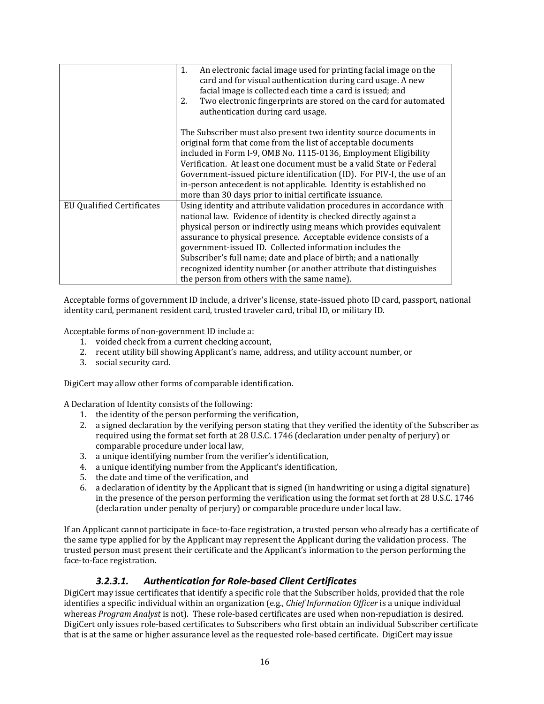|                                  | An electronic facial image used for printing facial image on the<br>1.<br>card and for visual authentication during card usage. A new<br>facial image is collected each time a card is issued; and<br>Two electronic fingerprints are stored on the card for automated<br>2.<br>authentication during card usage.                                                                                                                                                                                                                            |
|----------------------------------|----------------------------------------------------------------------------------------------------------------------------------------------------------------------------------------------------------------------------------------------------------------------------------------------------------------------------------------------------------------------------------------------------------------------------------------------------------------------------------------------------------------------------------------------|
|                                  | The Subscriber must also present two identity source documents in<br>original form that come from the list of acceptable documents<br>included in Form I-9, OMB No. 1115-0136, Employment Eligibility<br>Verification. At least one document must be a valid State or Federal<br>Government-issued picture identification (ID). For PIV-I, the use of an<br>in-person antecedent is not applicable. Identity is established no<br>more than 30 days prior to initial certificate issuance.                                                   |
| <b>EU Qualified Certificates</b> | Using identity and attribute validation procedures in accordance with<br>national law. Evidence of identity is checked directly against a<br>physical person or indirectly using means which provides equivalent<br>assurance to physical presence. Acceptable evidence consists of a<br>government-issued ID. Collected information includes the<br>Subscriber's full name; date and place of birth; and a nationally<br>recognized identity number (or another attribute that distinguishes<br>the person from others with the same name). |

Acceptable forms of government ID include, a driver's license, state‐issued photo ID card, passport, national identity card, permanent resident card, trusted traveler card, tribal ID, or military ID.

Acceptable forms of non‐government ID include a:

- 1. voided check from a current checking account,
- 2. recent utility bill showing Applicant's name, address, and utility account number, or
- 3. social security card.

DigiCert may allow other forms of comparable identification.

A Declaration of Identity consists of the following:

- 1. the identity of the person performing the verification,
- 2. a signed declaration by the verifying person stating that they verified the identity of the Subscriber as required using the format set forth at 28 U.S.C. 1746 (declaration under penalty of perjury) or comparable procedure under local law,
- 3. a unique identifying number from the verifier's identification,
- 4. a unique identifying number from the Applicant's identification,
- 5. the date and time of the verification, and
- 6. a declaration of identity by the Applicant that is signed (in handwriting or using a digital signature) in the presence of the person performing the verification using the format set forth at 28 U.S.C. 1746 (declaration under penalty of perjury) or comparable procedure under local law.

If an Applicant cannot participate in face‐to‐face registration, a trusted person who already has a certificate of the same type applied for by the Applicant may represent the Applicant during the validation process. The trusted person must present their certificate and the Applicant's information to the person performing the face‐to‐face registration.

#### *3.2.3.1. Authentication for Role‐based Client Certificates*

DigiCert may issue certificates that identify a specific role that the Subscriber holds, provided that the role identifies a specific individual within an organization (e.g., *Chief Information Officer* is a unique individual whereas *Program Analyst* is not). These role-based certificates are used when non-repudiation is desired. DigiCert only issues role‐based certificates to Subscribers who first obtain an individual Subscriber certificate that is at the same or higher assurance level as the requested role‐based certificate. DigiCert may issue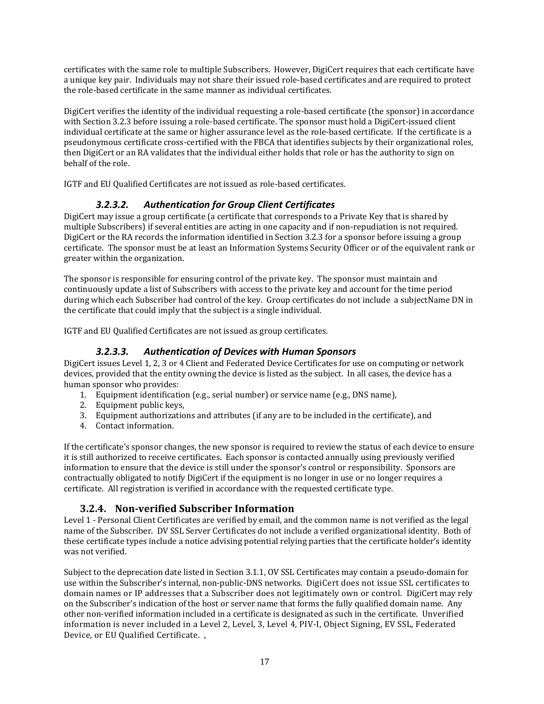certificates with the same role to multiple Subscribers. However, DigiCert requires that each certificate have a unique key pair. Individuals may not share their issued role‐based certificates and are required to protect the role‐based certificate in the same manner as individual certificates.

DigiCert verifies the identity of the individual requesting a role‐based certificate (the sponsor) in accordance with Section 3.2.3 before issuing a role-based certificate. The sponsor must hold a DigiCert-issued client individual certificate at the same or higher assurance level as the role‐based certificate. If the certificate is a pseudonymous certificate cross‐certified with the FBCA that identifies subjects by their organizational roles, then DigiCert or an RA validates that the individual either holds that role or has the authority to sign on behalf of the role.

IGTF and EU Qualified Certificates are not issued as role‐based certificates.

#### *3.2.3.2. Authentication for Group Client Certificates*

DigiCert may issue a group certificate (a certificate that corresponds to a Private Key that is shared by multiple Subscribers) if several entities are acting in one capacity and if non-repudiation is not required. DigiCert or the RA records the information identified in Section 3.2.3 for a sponsor before issuing a group certificate. The sponsor must be at least an Information Systems Security Officer or of the equivalent rank or greater within the organization.

The sponsor is responsible for ensuring control of the private key. The sponsor must maintain and continuously update a list of Subscribers with access to the private key and account for the time period during which each Subscriber had control of the key. Group certificates do not include a subjectName DN in the certificate that could imply that the subject is a single individual.

IGTF and EU Qualified Certificates are not issued as group certificates.

#### *3.2.3.3. Authentication of Devices with Human Sponsors*

DigiCert issues Level 1, 2, 3 or 4 Client and Federated Device Certificates for use on computing or network devices, provided that the entity owning the device is listed as the subject. In all cases, the device has a human sponsor who provides:

- 1. Equipment identification (e.g., serial number) or service name (e.g., DNS name),
- 2. Equipment public keys,
- 3. Equipment authorizations and attributes (if any are to be included in the certificate), and
- 4. Contact information.

If the certificate's sponsor changes, the new sponsor is required to review the status of each device to ensure it is still authorized to receive certificates. Each sponsor is contacted annually using previously verified information to ensure that the device is still under the sponsor's control or responsibility. Sponsors are contractually obligated to notify DigiCert if the equipment is no longer in use or no longer requires a certificate. All registration is verified in accordance with the requested certificate type.

## **3.2.4. Nonverified Subscriber Information**

Level 1 - Personal Client Certificates are verified by email, and the common name is not verified as the legal name of the Subscriber. DV SSL Server Certificates do not include a verified organizational identity. Both of these certificate types include a notice advising potential relying parties that the certificate holder's identity was not verified.

Subject to the deprecation date listed in Section 3.1.1, OV SSL Certificates may contain a pseudo‐domain for use within the Subscriber's internal, non-public-DNS networks. DigiCert does not issue SSL certificates to domain names or IP addresses that a Subscriber does not legitimately own or control. DigiCert may rely on the Subscriber's indication of the host or server name that forms the fully qualified domain name. Any other non‐verified information included in a certificate is designated as such in the certificate. Unverified information is never included in a Level 2, Level, 3, Level 4, PIV‐I, Object Signing, EV SSL, Federated Device, or EU Qualified Certificate. ,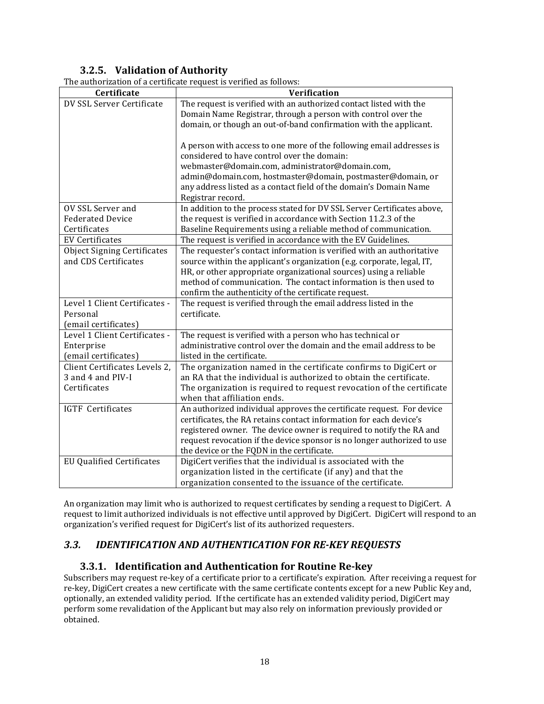## **3.2.5. Validation of Authority**

| The authorization of a certificate request is verified as follows: |  |  |
|--------------------------------------------------------------------|--|--|

|                                    | The authorization of a certificate request is verified as follows:      |
|------------------------------------|-------------------------------------------------------------------------|
| Certificate                        | Verification                                                            |
| DV SSL Server Certificate          | The request is verified with an authorized contact listed with the      |
|                                    | Domain Name Registrar, through a person with control over the           |
|                                    | domain, or though an out-of-band confirmation with the applicant.       |
|                                    | A person with access to one more of the following email addresses is    |
|                                    | considered to have control over the domain:                             |
|                                    | webmaster@domain.com, administrator@domain.com,                         |
|                                    | admin@domain.com, hostmaster@domain, postmaster@domain, or              |
|                                    | any address listed as a contact field of the domain's Domain Name       |
|                                    | Registrar record.                                                       |
| OV SSL Server and                  | In addition to the process stated for DV SSL Server Certificates above, |
| <b>Federated Device</b>            | the request is verified in accordance with Section 11.2.3 of the        |
| Certificates                       | Baseline Requirements using a reliable method of communication.         |
| <b>EV Certificates</b>             | The request is verified in accordance with the EV Guidelines.           |
| <b>Object Signing Certificates</b> | The requester's contact information is verified with an authoritative   |
| and CDS Certificates               | source within the applicant's organization (e.g. corporate, legal, IT,  |
|                                    | HR, or other appropriate organizational sources) using a reliable       |
|                                    | method of communication. The contact information is then used to        |
|                                    | confirm the authenticity of the certificate request.                    |
| Level 1 Client Certificates -      | The request is verified through the email address listed in the         |
| Personal                           | certificate.                                                            |
| (email certificates)               |                                                                         |
| Level 1 Client Certificates -      | The request is verified with a person who has technical or              |
| Enterprise                         | administrative control over the domain and the email address to be      |
| (email certificates)               | listed in the certificate.                                              |
| Client Certificates Levels 2,      | The organization named in the certificate confirms to DigiCert or       |
| 3 and 4 and PIV-I                  | an RA that the individual is authorized to obtain the certificate.      |
| Certificates                       | The organization is required to request revocation of the certificate   |
|                                    | when that affiliation ends.                                             |
| <b>IGTF</b> Certificates           | An authorized individual approves the certificate request. For device   |
|                                    | certificates, the RA retains contact information for each device's      |
|                                    | registered owner. The device owner is required to notify the RA and     |
|                                    | request revocation if the device sponsor is no longer authorized to use |
|                                    | the device or the FQDN in the certificate.                              |
| <b>EU Qualified Certificates</b>   | DigiCert verifies that the individual is associated with the            |
|                                    | organization listed in the certificate (if any) and that the            |
|                                    | organization consented to the issuance of the certificate.              |

An organization may limit who is authorized to request certificates by sending a request to DigiCert. A request to limit authorized individuals is not effective until approved by DigiCert. DigiCert will respond to an organization's verified request for DigiCert's list of its authorized requesters.

## *3.3. IDENTIFICATION AND AUTHENTICATION FOR REKEY REQUESTS*

#### **3.3.1. Identification and Authentication for Routine Rekey**

Subscribers may request re‐key of a certificate prior to a certificate's expiration. After receiving a request for re‐key, DigiCert creates a new certificate with the same certificate contents except for a new Public Key and, optionally, an extended validity period. If the certificate has an extended validity period, DigiCert may perform some revalidation of the Applicant but may also rely on information previously provided or obtained.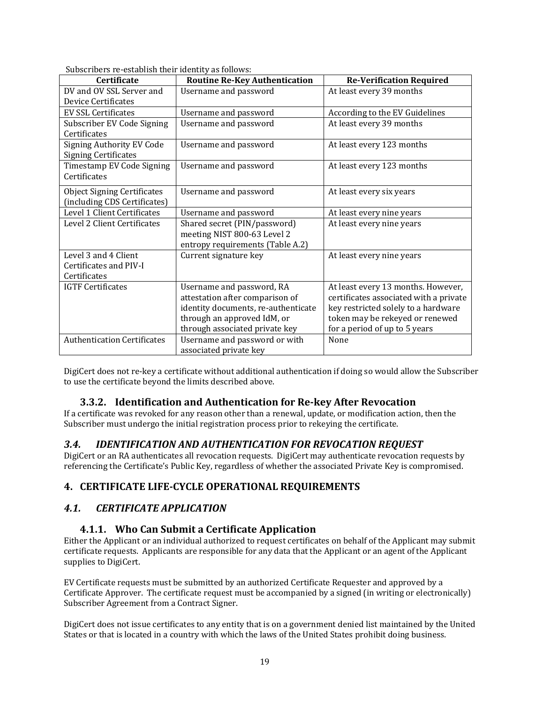| <b>Certificate</b>                 | <b>Routine Re-Key Authentication</b> | <b>Re-Verification Required</b>        |
|------------------------------------|--------------------------------------|----------------------------------------|
|                                    |                                      |                                        |
| DV and OV SSL Server and           | Username and password                | At least every 39 months               |
| Device Certificates                |                                      |                                        |
| <b>EV SSL Certificates</b>         | Username and password                | According to the EV Guidelines         |
| Subscriber EV Code Signing         | Username and password                | At least every 39 months               |
| Certificates                       |                                      |                                        |
| <b>Signing Authority EV Code</b>   | Username and password                | At least every 123 months              |
| <b>Signing Certificates</b>        |                                      |                                        |
| Timestamp EV Code Signing          | Username and password                | At least every 123 months              |
| Certificates                       |                                      |                                        |
|                                    |                                      |                                        |
| <b>Object Signing Certificates</b> | Username and password                | At least every six years               |
| (including CDS Certificates)       |                                      |                                        |
| Level 1 Client Certificates        | Username and password                | At least every nine years              |
| Level 2 Client Certificates        | Shared secret (PIN/password)         | At least every nine years              |
|                                    | meeting NIST 800-63 Level 2          |                                        |
|                                    | entropy requirements (Table A.2)     |                                        |
| Level 3 and 4 Client               | Current signature key                | At least every nine years              |
| Certificates and PIV-I             |                                      |                                        |
| Certificates                       |                                      |                                        |
| <b>IGTF Certificates</b>           | Username and password, RA            | At least every 13 months. However,     |
|                                    | attestation after comparison of      | certificates associated with a private |
|                                    | identity documents, re-authenticate  | key restricted solely to a hardware    |
|                                    |                                      |                                        |
|                                    | through an approved IdM, or          | token may be rekeyed or renewed        |
|                                    | through associated private key       | for a period of up to 5 years          |
| <b>Authentication Certificates</b> | Username and password or with        | None                                   |
|                                    | associated private key               |                                        |

Subscribers re‐establish their identity as follows:

DigiCert does not re‐key a certificate without additional authentication if doing so would allow the Subscriber to use the certificate beyond the limits described above.

#### **3.3.2. Identification and Authentication for Rekey After Revocation**

If a certificate was revoked for any reason other than a renewal, update, or modification action, then the Subscriber must undergo the initial registration process prior to rekeying the certificate.

#### *3.4. IDENTIFICATION AND AUTHENTICATION FOR REVOCATION REQUEST*

DigiCert or an RA authenticates all revocation requests. DigiCert may authenticate revocation requests by referencing the Certificate's Public Key, regardless of whether the associated Private Key is compromised.

## **4. CERTIFICATE LIFECYCLE OPERATIONAL REQUIREMENTS**

## *4.1. CERTIFICATE APPLICATION*

#### **4.1.1. Who Can Submit a Certificate Application**

Either the Applicant or an individual authorized to request certificates on behalf of the Applicant may submit certificate requests. Applicants are responsible for any data that the Applicant or an agent of the Applicant supplies to DigiCert.

EV Certificate requests must be submitted by an authorized Certificate Requester and approved by a Certificate Approver. The certificate request must be accompanied by a signed (in writing or electronically) Subscriber Agreement from a Contract Signer.

DigiCert does not issue certificates to any entity that is on a government denied list maintained by the United States or that is located in a country with which the laws of the United States prohibit doing business.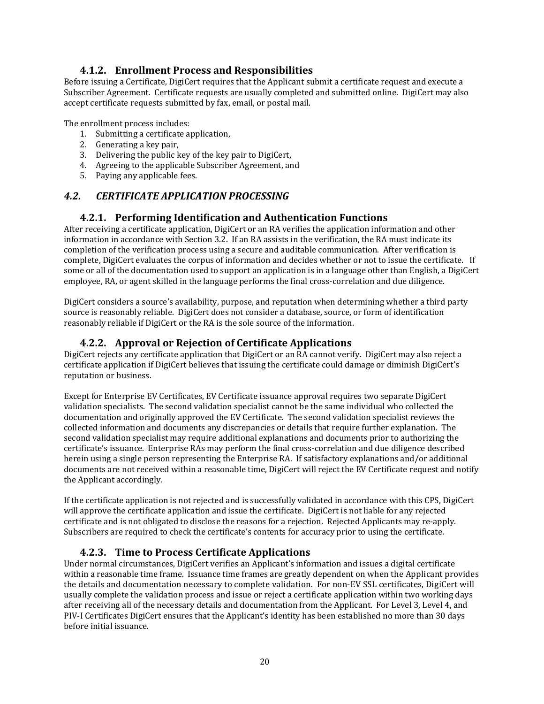#### **4.1.2. Enrollment Process and Responsibilities**

Before issuing a Certificate, DigiCert requires that the Applicant submit a certificate request and execute a Subscriber Agreement. Certificate requests are usually completed and submitted online. DigiCert may also accept certificate requests submitted by fax, email, or postal mail.

The enrollment process includes:

- 1. Submitting a certificate application,
- 2. Generating a key pair,
- 3. Delivering the public key of the key pair to DigiCert,
- 4. Agreeing to the applicable Subscriber Agreement, and
- 5. Paying any applicable fees.

## *4.2. CERTIFICATE APPLICATION PROCESSING*

#### **4.2.1. Performing Identification and Authentication Functions**

After receiving a certificate application, DigiCert or an RA verifies the application information and other information in accordance with Section 3.2. If an RA assists in the verification, the RA must indicate its completion of the verification process using a secure and auditable communication. After verification is complete, DigiCert evaluates the corpus of information and decides whether or not to issue the certificate. If some or all of the documentation used to support an application is in a language other than English, a DigiCert employee, RA, or agent skilled in the language performs the final cross-correlation and due diligence.

DigiCert considers a source's availability, purpose, and reputation when determining whether a third party source is reasonably reliable. DigiCert does not consider a database, source, or form of identification reasonably reliable if DigiCert or the RA is the sole source of the information.

## **4.2.2. Approval or Rejection of Certificate Applications**

DigiCert rejects any certificate application that DigiCert or an RA cannot verify. DigiCert may also reject a certificate application if DigiCert believes that issuing the certificate could damage or diminish DigiCert's reputation or business.

Except for Enterprise EV Certificates, EV Certificate issuance approval requires two separate DigiCert validation specialists. The second validation specialist cannot be the same individual who collected the documentation and originally approved the EV Certificate. The second validation specialist reviews the collected information and documents any discrepancies or details that require further explanation. The second validation specialist may require additional explanations and documents prior to authorizing the certificate's issuance. Enterprise RAs may perform the final cross-correlation and due diligence described herein using a single person representing the Enterprise RA. If satisfactory explanations and/or additional documents are not received within a reasonable time, DigiCert will reject the EV Certificate request and notify the Applicant accordingly.

If the certificate application is not rejected and is successfully validated in accordance with this CPS, DigiCert will approve the certificate application and issue the certificate. DigiCert is not liable for any rejected certificate and is not obligated to disclose the reasons for a rejection. Rejected Applicants may re‐apply. Subscribers are required to check the certificate's contents for accuracy prior to using the certificate.

## **4.2.3. Time to Process Certificate Applications**

Under normal circumstances, DigiCert verifies an Applicant's information and issues a digital certificate within a reasonable time frame. Issuance time frames are greatly dependent on when the Applicant provides the details and documentation necessary to complete validation. For non‐EV SSL certificates, DigiCert will usually complete the validation process and issue or reject a certificate application within two working days after receiving all of the necessary details and documentation from the Applicant. For Level 3, Level 4, and PIV‐I Certificates DigiCert ensures that the Applicant's identity has been established no more than 30 days before initial issuance.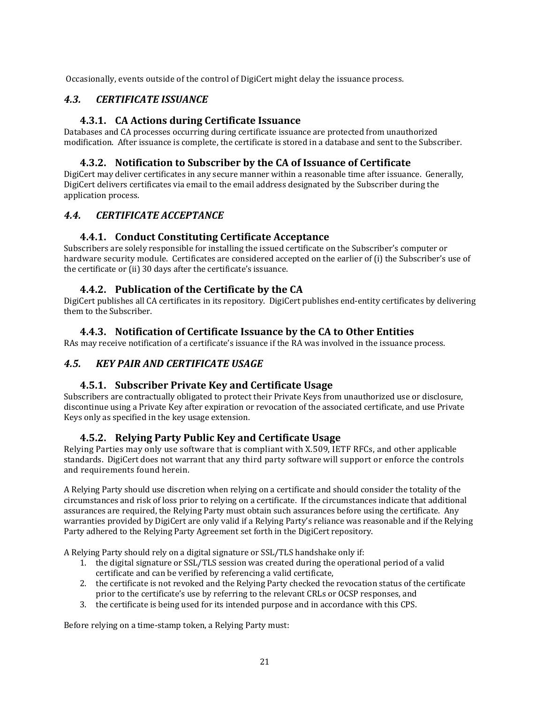Occasionally, events outside of the control of DigiCert might delay the issuance process.

## *4.3. CERTIFICATE ISSUANCE*

#### **4.3.1. CA Actions during Certificate Issuance**

Databases and CA processes occurring during certificate issuance are protected from unauthorized modification. After issuance is complete, the certificate is stored in a database and sent to the Subscriber.

#### **4.3.2. Notification to Subscriber by the CA of Issuance of Certificate**

DigiCert may deliver certificates in any secure manner within a reasonable time after issuance. Generally, DigiCert delivers certificates via email to the email address designated by the Subscriber during the application process.

#### *4.4. CERTIFICATE ACCEPTANCE*

#### **4.4.1. Conduct Constituting Certificate Acceptance**

Subscribers are solely responsible for installing the issued certificate on the Subscriber's computer or hardware security module. Certificates are considered accepted on the earlier of (i) the Subscriber's use of the certificate or (ii) 30 days after the certificate's issuance.

#### **4.4.2. Publication of the Certificate by the CA**

DigiCert publishes all CA certificates in its repository. DigiCert publishes end‐entity certificates by delivering them to the Subscriber.

#### **4.4.3. Notification of Certificate Issuance by the CA to Other Entities**

RAs may receive notification of a certificate's issuance if the RA was involved in the issuance process.

## *4.5. KEY PAIR AND CERTIFICATE USAGE*

#### **4.5.1. Subscriber Private Key and Certificate Usage**

Subscribers are contractually obligated to protect their Private Keys from unauthorized use or disclosure, discontinue using a Private Key after expiration or revocation of the associated certificate, and use Private Keys only as specified in the key usage extension.

#### **4.5.2. Relying Party Public Key and Certificate Usage**

Relying Parties may only use software that is compliant with X.509, IETF RFCs, and other applicable standards. DigiCert does not warrant that any third party software will support or enforce the controls and requirements found herein.

A Relying Party should use discretion when relying on a certificate and should consider the totality of the circumstances and risk of loss prior to relying on a certificate. If the circumstances indicate that additional assurances are required, the Relying Party must obtain such assurances before using the certificate. Any warranties provided by DigiCert are only valid if a Relying Party's reliance was reasonable and if the Relying Party adhered to the Relying Party Agreement set forth in the DigiCert repository.

A Relying Party should rely on a digital signature or SSL/TLS handshake only if:

- 1. the digital signature or SSL/TLS session was created during the operational period of a valid certificate and can be verified by referencing a valid certificate,
- 2. the certificate is not revoked and the Relying Party checked the revocation status of the certificate prior to the certificate's use by referring to the relevant CRLs or OCSP responses, and
- 3. the certificate is being used for its intended purpose and in accordance with this CPS.

Before relying on a time‐stamp token, a Relying Party must: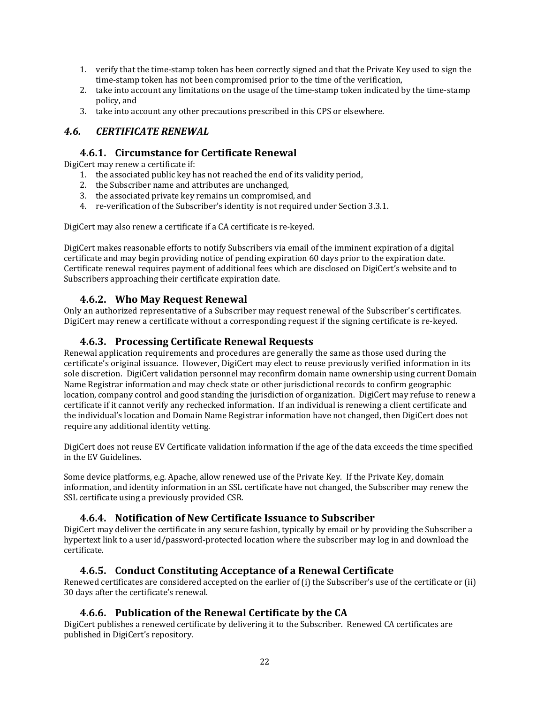- 1. verify that the time‐stamp token has been correctly signed and that the Private Key used to sign the time‐stamp token has not been compromised prior to the time of the verification,
- 2. take into account any limitations on the usage of the time‐stamp token indicated by the time‐stamp policy, and
- 3. take into account any other precautions prescribed in this CPS or elsewhere.

#### *4.6. CERTIFICATE RENEWAL*

#### **4.6.1. Circumstance for Certificate Renewal**

DigiCert may renew a certificate if:

- 1. the associated public key has not reached the end of its validity period,
- 2. the Subscriber name and attributes are unchanged,
- 3. the associated private key remains un compromised, and
- 4. re-verification of the Subscriber's identity is not required under Section 3.3.1.

DigiCert may also renew a certificate if a CA certificate is re‐keyed.

DigiCert makes reasonable efforts to notify Subscribers via email of the imminent expiration of a digital certificate and may begin providing notice of pending expiration 60 days prior to the expiration date. Certificate renewal requires payment of additional fees which are disclosed on DigiCert's website and to Subscribers approaching their certificate expiration date.

#### **4.6.2. Who May Request Renewal**

Only an authorized representative of a Subscriber may request renewal of the Subscriber's certificates. DigiCert may renew a certificate without a corresponding request if the signing certificate is re‐keyed.

#### **4.6.3. Processing Certificate Renewal Requests**

Renewal application requirements and procedures are generally the same as those used during the certificate's original issuance. However, DigiCert may elect to reuse previously verified information in its sole discretion. DigiCert validation personnel may reconfirm domain name ownership using current Domain Name Registrar information and may check state or other jurisdictional records to confirm geographic location, company control and good standing the jurisdiction of organization. DigiCert may refuse to renew a certificate if it cannot verify any rechecked information. If an individual is renewing a client certificate and the individual's location and Domain Name Registrar information have not changed, then DigiCert does not require any additional identity vetting.

DigiCert does not reuse EV Certificate validation information if the age of the data exceeds the time specified in the EV Guidelines.

Some device platforms, e.g. Apache, allow renewed use of the Private Key. If the Private Key, domain information, and identity information in an SSL certificate have not changed, the Subscriber may renew the SSL certificate using a previously provided CSR.

#### **4.6.4. Notification of New Certificate Issuance to Subscriber**

DigiCert may deliver the certificate in any secure fashion, typically by email or by providing the Subscriber a hypertext link to a user id/password-protected location where the subscriber may log in and download the certificate.

## **4.6.5. Conduct Constituting Acceptance of a Renewal Certificate**

Renewed certificates are considered accepted on the earlier of (i) the Subscriber's use of the certificate or (ii) 30 days after the certificate's renewal.

#### **4.6.6. Publication of the Renewal Certificate by the CA**

DigiCert publishes a renewed certificate by delivering it to the Subscriber. Renewed CA certificates are published in DigiCert's repository.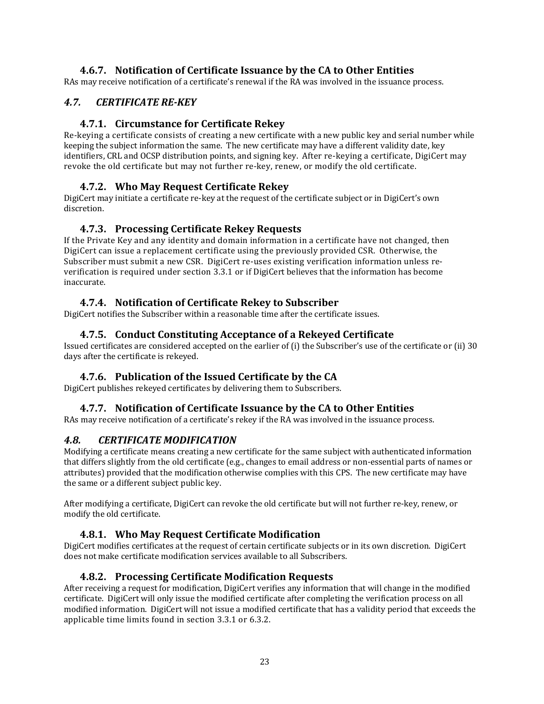## **4.6.7. Notification of Certificate Issuance by the CA to Other Entities**

RAs may receive notification of a certificate's renewal if the RA was involved in the issuance process.

## *4.7. CERTIFICATE REKEY*

#### **4.7.1. Circumstance for Certificate Rekey**

Re-keying a certificate consists of creating a new certificate with a new public key and serial number while keeping the subject information the same. The new certificate may have a different validity date, key identifiers, CRL and OCSP distribution points, and signing key. After re-keying a certificate, DigiCert may revoke the old certificate but may not further re‐key, renew, or modify the old certificate.

## **4.7.2. Who May Request Certificate Rekey**

DigiCert may initiate a certificate re‐key at the request of the certificate subject or in DigiCert's own discretion.

## **4.7.3. Processing Certificate Rekey Requests**

If the Private Key and any identity and domain information in a certificate have not changed, then DigiCert can issue a replacement certificate using the previously provided CSR. Otherwise, the Subscriber must submit a new CSR. DigiCert re-uses existing verification information unless reverification is required under section 3.3.1 or if DigiCert believes that the information has become inaccurate.

## **4.7.4. Notification of Certificate Rekey to Subscriber**

DigiCert notifies the Subscriber within a reasonable time after the certificate issues.

## **4.7.5. Conduct Constituting Acceptance of a Rekeyed Certificate**

Issued certificates are considered accepted on the earlier of (i) the Subscriber's use of the certificate or (ii) 30 days after the certificate is rekeyed.

## **4.7.6. Publication of the Issued Certificate by the CA**

DigiCert publishes rekeyed certificates by delivering them to Subscribers.

## **4.7.7. Notification of Certificate Issuance by the CA to Other Entities**

RAs may receive notification of a certificate's rekey if the RA was involved in the issuance process.

#### *4.8. CERTIFICATE MODIFICATION*

Modifying a certificate means creating a new certificate for the same subject with authenticated information that differs slightly from the old certificate (e.g., changes to email address or non‐essential parts of names or attributes) provided that the modification otherwise complies with this CPS. The new certificate may have the same or a different subject public key.

After modifying a certificate, DigiCert can revoke the old certificate but will not further re‐key, renew, or modify the old certificate.

## **4.8.1. Who May Request Certificate Modification**

DigiCert modifies certificates at the request of certain certificate subjects or in its own discretion. DigiCert does not make certificate modification services available to all Subscribers.

## **4.8.2. Processing Certificate Modification Requests**

After receiving a request for modification, DigiCert verifies any information that will change in the modified certificate. DigiCert will only issue the modified certificate after completing the verification process on all modified information. DigiCert will not issue a modified certificate that has a validity period that exceeds the applicable time limits found in section 3.3.1 or 6.3.2.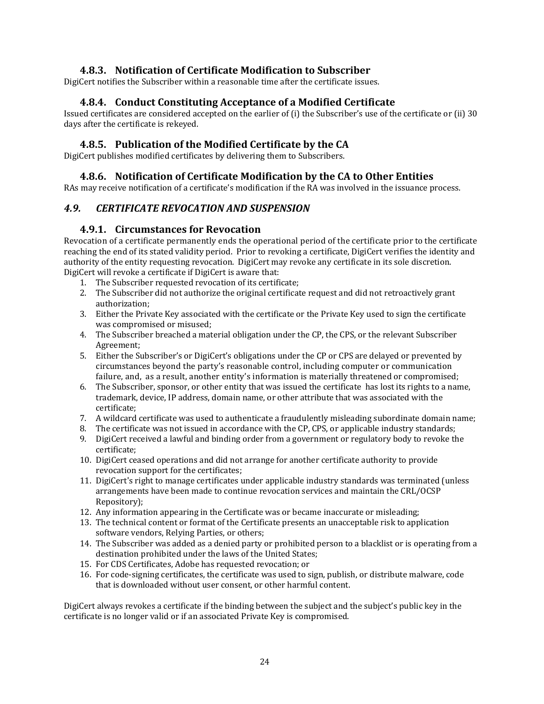#### **4.8.3. Notification of Certificate Modification to Subscriber**

DigiCert notifies the Subscriber within a reasonable time after the certificate issues.

#### **4.8.4. Conduct Constituting Acceptance of a Modified Certificate**

Issued certificates are considered accepted on the earlier of (i) the Subscriber's use of the certificate or (ii) 30 days after the certificate is rekeyed.

#### **4.8.5. Publication of the Modified Certificate by the CA**

DigiCert publishes modified certificates by delivering them to Subscribers.

#### **4.8.6. Notification of Certificate Modification by the CA to Other Entities**

RAs may receive notification of a certificate's modification if the RA was involved in the issuance process.

#### *4.9. CERTIFICATE REVOCATION AND SUSPENSION*

#### **4.9.1. Circumstances for Revocation**

Revocation of a certificate permanently ends the operational period of the certificate prior to the certificate reaching the end of its stated validity period. Prior to revoking a certificate, DigiCert verifies the identity and authority of the entity requesting revocation. DigiCert may revoke any certificate in its sole discretion. DigiCert will revoke a certificate if DigiCert is aware that:

- 1. The Subscriber requested revocation of its certificate;
- 2. The Subscriber did not authorize the original certificate request and did not retroactively grant authorization;
- 3. Either the Private Key associated with the certificate or the Private Key used to sign the certificate was compromised or misused;
- 4. The Subscriber breached a material obligation under the CP, the CPS, or the relevant Subscriber Agreement;
- 5. Either the Subscriber's or DigiCert's obligations under the CP or CPS are delayed or prevented by circumstances beyond the party's reasonable control, including computer or communication failure, and, as a result, another entity's information is materially threatened or compromised;
- 6. The Subscriber, sponsor, or other entity that was issued the certificate has lost its rights to a name, trademark, device, IP address, domain name, or other attribute that was associated with the certificate;
- 7. A wildcard certificate was used to authenticate a fraudulently misleading subordinate domain name;
- 8. The certificate was not issued in accordance with the CP, CPS, or applicable industry standards;
- 9. DigiCert received a lawful and binding order from a government or regulatory body to revoke the certificate;
- 10. DigiCert ceased operations and did not arrange for another certificate authority to provide revocation support for the certificates;
- 11. DigiCert's right to manage certificates under applicable industry standards was terminated (unless arrangements have been made to continue revocation services and maintain the CRL/OCSP Repository);
- 12. Any information appearing in the Certificate was or became inaccurate or misleading;
- 13. The technical content or format of the Certificate presents an unacceptable risk to application software vendors, Relying Parties, or others;
- 14. The Subscriber was added as a denied party or prohibited person to a blacklist or is operating from a destination prohibited under the laws of the United States;
- 15. For CDS Certificates, Adobe has requested revocation; or
- 16. For code‐signing certificates, the certificate was used to sign, publish, or distribute malware, code that is downloaded without user consent, or other harmful content.

DigiCert always revokes a certificate if the binding between the subject and the subject's public key in the certificate is no longer valid or if an associated Private Key is compromised.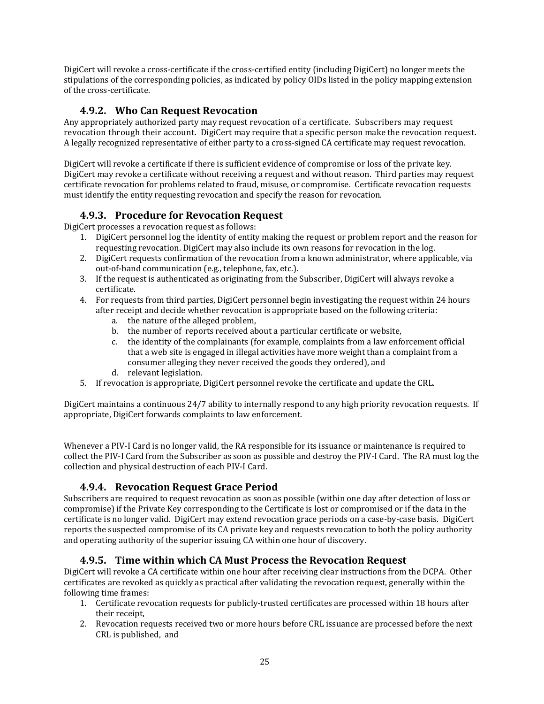DigiCert will revoke a cross‐certificate if the cross‐certified entity (including DigiCert) no longer meets the stipulations of the corresponding policies, as indicated by policy OIDs listed in the policy mapping extension of the cross‐certificate.

## **4.9.2. Who Can Request Revocation**

Any appropriately authorized party may request revocation of a certificate. Subscribers may request revocation through their account. DigiCert may require that a specific person make the revocation request. A legally recognized representative of either party to a cross‐signed CA certificate may request revocation.

DigiCert will revoke a certificate if there is sufficient evidence of compromise or loss of the private key. DigiCert may revoke a certificate without receiving a request and without reason. Third parties may request certificate revocation for problems related to fraud, misuse, or compromise. Certificate revocation requests must identify the entity requesting revocation and specify the reason for revocation.

## **4.9.3. Procedure for Revocation Request**

DigiCert processes a revocation request as follows:

- 1. DigiCert personnel log the identity of entity making the request or problem report and the reason for requesting revocation. DigiCert may also include its own reasons for revocation in the log.
- 2. DigiCert requests confirmation of the revocation from a known administrator, where applicable, via out‐of‐band communication (e.g., telephone, fax, etc.).
- 3. If the request is authenticated as originating from the Subscriber, DigiCert will always revoke a certificate.
- 4. For requests from third parties, DigiCert personnel begin investigating the request within 24 hours after receipt and decide whether revocation is appropriate based on the following criteria:
	- a. the nature of the alleged problem,
	- b. the number of reports received about a particular certificate or website,
	- c. the identity of the complainants (for example, complaints from a law enforcement official that a web site is engaged in illegal activities have more weight than a complaint from a consumer alleging they never received the goods they ordered), and
	- d. relevant legislation.
- 5. If revocation is appropriate, DigiCert personnel revoke the certificate and update the CRL.

DigiCert maintains a continuous 24/7 ability to internally respond to any high priority revocation requests. If appropriate, DigiCert forwards complaints to law enforcement.

Whenever a PIV‐I Card is no longer valid, the RA responsible for its issuance or maintenance is required to collect the PIV‐I Card from the Subscriber as soon as possible and destroy the PIV‐I Card. The RA must log the collection and physical destruction of each PIV‐I Card.

## **4.9.4. Revocation Request Grace Period**

Subscribers are required to request revocation as soon as possible (within one day after detection of loss or compromise) if the Private Key corresponding to the Certificate is lost or compromised or if the data in the certificate is no longer valid. DigiCert may extend revocation grace periods on a case‐by‐case basis. DigiCert reports the suspected compromise of its CA private key and requests revocation to both the policy authority and operating authority of the superior issuing CA within one hour of discovery.

## **4.9.5. Time within which CA Must Process the Revocation Request**

DigiCert will revoke a CA certificate within one hour after receiving clear instructions from the DCPA. Other certificates are revoked as quickly as practical after validating the revocation request, generally within the following time frames:

- 1. Certificate revocation requests for publicly‐trusted certificates are processed within 18 hours after their receipt,
- 2. Revocation requests received two or more hours before CRL issuance are processed before the next CRL is published, and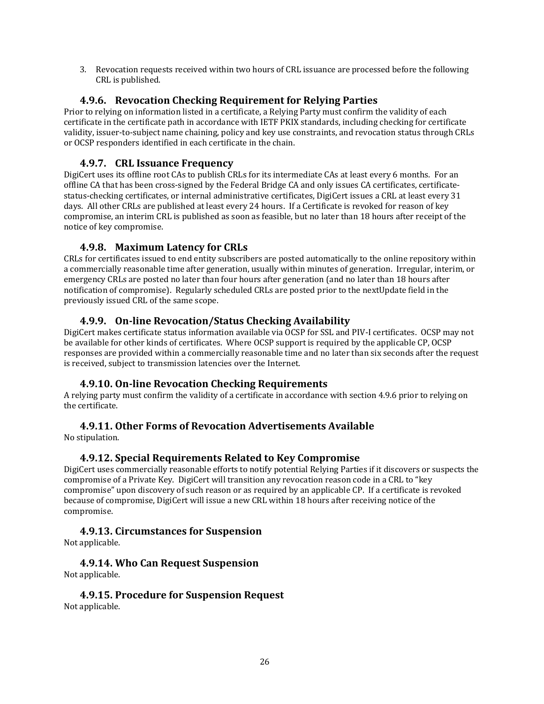3. Revocation requests received within two hours of CRL issuance are processed before the following CRL is published.

#### **4.9.6. Revocation Checking Requirement for Relying Parties**

Prior to relying on information listed in a certificate, a Relying Party must confirm the validity of each certificate in the certificate path in accordance with IETF PKIX standards, including checking for certificate validity, issuer-to-subject name chaining, policy and key use constraints, and revocation status through CRLs or OCSP responders identified in each certificate in the chain.

## **4.9.7. CRL Issuance Frequency**

DigiCert uses its offline root CAs to publish CRLs for its intermediate CAs at least every 6 months. For an offline CA that has been cross-signed by the Federal Bridge CA and only issues CA certificates, certificatestatus‐checking certificates, or internal administrative certificates, DigiCert issues a CRL at least every 31 days. All other CRLs are published at least every 24 hours. If a Certificate is revoked for reason of key compromise, an interim CRL is published as soon as feasible, but no later than 18 hours after receipt of the notice of key compromise.

## **4.9.8. Maximum Latency for CRLs**

CRLs for certificates issued to end entity subscribers are posted automatically to the online repository within a commercially reasonable time after generation, usually within minutes of generation. Irregular, interim, or emergency CRLs are posted no later than four hours after generation (and no later than 18 hours after notification of compromise). Regularly scheduled CRLs are posted prior to the nextUpdate field in the previously issued CRL of the same scope.

#### **4.9.9. Online Revocation/Status Checking Availability**

DigiCert makes certificate status information available via OCSP for SSL and PIV‐I certificates. OCSP may not be available for other kinds of certificates. Where OCSP support is required by the applicable CP, OCSP responses are provided within a commercially reasonable time and no later than six seconds after the request is received, subject to transmission latencies over the Internet.

#### **4.9.10. Online Revocation Checking Requirements**

A relying party must confirm the validity of a certificate in accordance with section 4.9.6 prior to relying on the certificate.

## **4.9.11. Other Forms of Revocation Advertisements Available**

No stipulation.

#### **4.9.12. Special Requirements Related to Key Compromise**

DigiCert uses commercially reasonable efforts to notify potential Relying Parties if it discovers or suspects the compromise of a Private Key. DigiCert will transition any revocation reason code in a CRL to "key compromise" upon discovery of such reason or as required by an applicable CP. If a certificate is revoked because of compromise, DigiCert will issue a new CRL within 18 hours after receiving notice of the compromise.

#### **4.9.13. Circumstances for Suspension**

Not applicable.

**4.9.14. Who Can Request Suspension** Not applicable.

**4.9.15. Procedure for Suspension Request** Not applicable.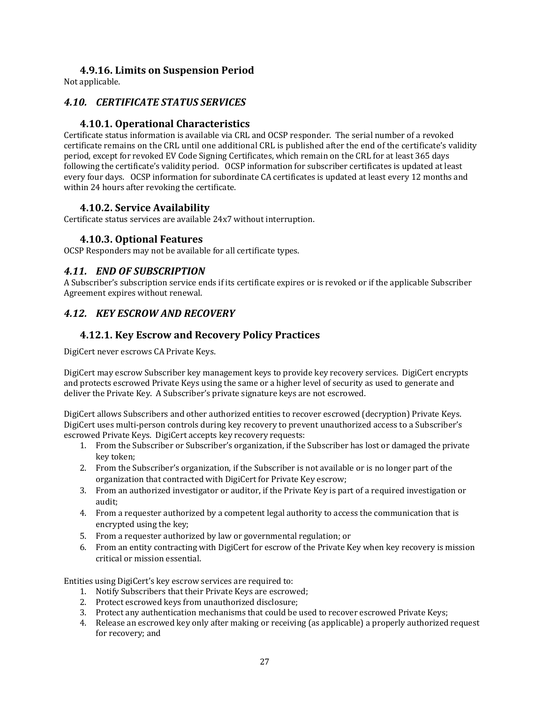#### **4.9.16. Limits on Suspension Period**

Not applicable.

#### *4.10. CERTIFICATE STATUS SERVICES*

## **4.10.1. Operational Characteristics**

Certificate status information is available via CRL and OCSP responder. The serial number of a revoked certificate remains on the CRL until one additional CRL is published after the end of the certificate's validity period, except for revoked EV Code Signing Certificates, which remain on the CRL for at least 365 days following the certificate's validity period. OCSP information for subscriber certificates is updated at least every four days. OCSP information for subordinate CA certificates is updated at least every 12 months and within 24 hours after revoking the certificate.

#### **4.10.2. Service Availability**

Certificate status services are available 24x7 without interruption.

#### **4.10.3. Optional Features**

OCSP Responders may not be available for all certificate types.

#### *4.11. END OF SUBSCRIPTION*

A Subscriber's subscription service ends if its certificate expires or is revoked or if the applicable Subscriber Agreement expires without renewal.

## *4.12. KEY ESCROW AND RECOVERY*

#### **4.12.1. Key Escrow and Recovery Policy Practices**

DigiCert never escrows CA Private Keys.

DigiCert may escrow Subscriber key management keys to provide key recovery services. DigiCert encrypts and protects escrowed Private Keys using the same or a higher level of security as used to generate and deliver the Private Key. A Subscriber's private signature keys are not escrowed.

DigiCert allows Subscribers and other authorized entities to recover escrowed (decryption) Private Keys. DigiCert uses multi‐person controls during key recovery to prevent unauthorized access to a Subscriber's escrowed Private Keys. DigiCert accepts key recovery requests:

- 1. From the Subscriber or Subscriber's organization, if the Subscriber has lost or damaged the private key token;
- 2. From the Subscriber's organization, if the Subscriber is not available or is no longer part of the organization that contracted with DigiCert for Private Key escrow;
- 3. From an authorized investigator or auditor, if the Private Key is part of a required investigation or audit;
- 4. From a requester authorized by a competent legal authority to access the communication that is encrypted using the key;
- 5. From a requester authorized by law or governmental regulation; or
- 6. From an entity contracting with DigiCert for escrow of the Private Key when key recovery is mission critical or mission essential.

Entities using DigiCert's key escrow services are required to:

- 1. Notify Subscribers that their Private Keys are escrowed;
- 2. Protect escrowed keys from unauthorized disclosure;
- 3. Protect any authentication mechanisms that could be used to recover escrowed Private Keys;
- 4. Release an escrowed key only after making or receiving (as applicable) a properly authorized request for recovery; and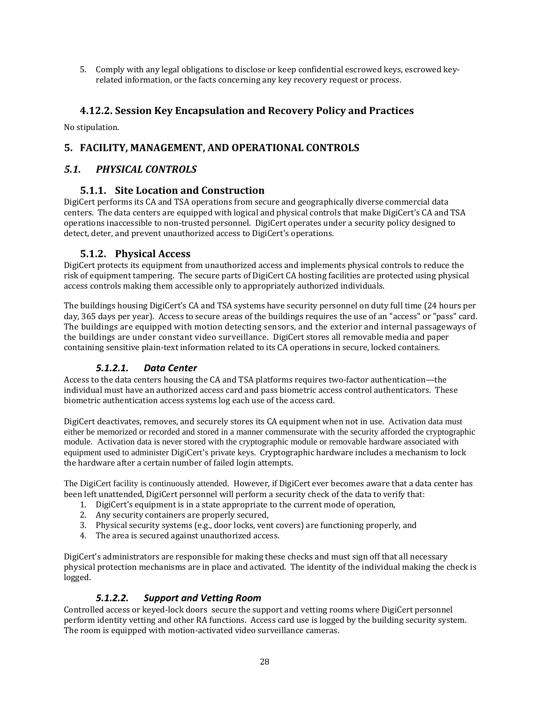5. Comply with any legal obligations to disclose or keep confidential escrowed keys, escrowed keyrelated information, or the facts concerning any key recovery request or process.

#### **4.12.2. Session Key Encapsulation and Recovery Policy and Practices**

No stipulation.

#### **5. FACILITY, MANAGEMENT, AND OPERATIONAL CONTROLS**

#### *5.1. PHYSICAL CONTROLS*

#### **5.1.1. Site Location and Construction**

DigiCert performs its CA and TSA operations from secure and geographically diverse commercial data centers. The data centers are equipped with logical and physical controls that make DigiCert's CA and TSA operations inaccessible to non‐trusted personnel. DigiCert operates under a security policy designed to detect, deter, and prevent unauthorized access to DigiCert's operations.

#### **5.1.2. Physical Access**

DigiCert protects its equipment from unauthorized access and implements physical controls to reduce the risk of equipment tampering. The secure parts of DigiCert CA hosting facilities are protected using physical access controls making them accessible only to appropriately authorized individuals.

The buildings housing DigiCert's CA and TSA systems have security personnel on duty full time (24 hours per day, 365 days per year). Access to secure areas of the buildings requires the use of an "access" or "pass" card. The buildings are equipped with motion detecting sensors, and the exterior and internal passageways of the buildings are under constant video surveillance. DigiCert stores all removable media and paper containing sensitive plain‐text information related to its CA operations in secure, locked containers.

#### *5.1.2.1. Data Center*

Access to the data centers housing the CA and TSA platforms requires two‐factor authentication—the individual must have an authorized access card and pass biometric access control authenticators. These biometric authentication access systems log each use of the access card.

DigiCert deactivates, removes, and securely stores its CA equipment when not in use. Activation data must either be memorized or recorded and stored in a manner commensurate with the security afforded the cryptographic module. Activation data is never stored with the cryptographic module or removable hardware associated with equipment used to administer DigiCert's private keys. Cryptographic hardware includes a mechanism to lock the hardware after a certain number of failed login attempts.

The DigiCert facility is continuously attended. However, if DigiCert ever becomes aware that a data center has been left unattended, DigiCert personnel will perform a security check of the data to verify that:

- 1. DigiCert's equipment is in a state appropriate to the current mode of operation,
- 2. Any security containers are properly secured,
- 3. Physical security systems (e.g., door locks, vent covers) are functioning properly, and
- 4. The area is secured against unauthorized access.

DigiCert's administrators are responsible for making these checks and must sign off that all necessary physical protection mechanisms are in place and activated. The identity of the individual making the check is logged.

#### *5.1.2.2. Support and Vetting Room*

Controlled access or keyed‐lock doors secure the support and vetting rooms where DigiCert personnel perform identity vetting and other RA functions. Access card use is logged by the building security system. The room is equipped with motion-activated video surveillance cameras.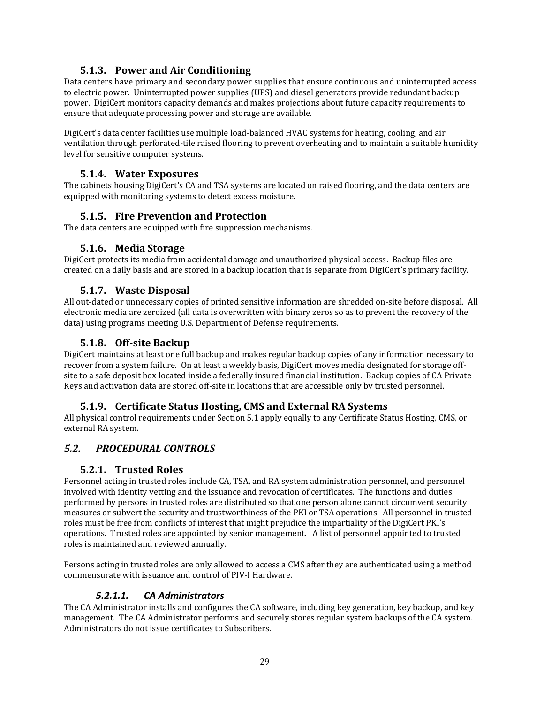## **5.1.3. Power and Air Conditioning**

Data centers have primary and secondary power supplies that ensure continuous and uninterrupted access to electric power. Uninterrupted power supplies (UPS) and diesel generators provide redundant backup power. DigiCert monitors capacity demands and makes projections about future capacity requirements to ensure that adequate processing power and storage are available.

DigiCert's data center facilities use multiple load‐balanced HVAC systems for heating, cooling, and air ventilation through perforated‐tile raised flooring to prevent overheating and to maintain a suitable humidity level for sensitive computer systems.

#### **5.1.4. Water Exposures**

The cabinets housing DigiCert's CA and TSA systems are located on raised flooring, and the data centers are equipped with monitoring systems to detect excess moisture.

#### **5.1.5. Fire Prevention and Protection**

The data centers are equipped with fire suppression mechanisms.

#### **5.1.6. Media Storage**

DigiCert protects its media from accidental damage and unauthorized physical access. Backup files are created on a daily basis and are stored in a backup location that is separate from DigiCert's primary facility.

#### **5.1.7. Waste Disposal**

All out‐dated or unnecessary copies of printed sensitive information are shredded on‐site before disposal. All electronic media are zeroized (all data is overwritten with binary zeros so as to prevent the recovery of the data) using programs meeting U.S. Department of Defense requirements.

#### **5.1.8. Offsite Backup**

DigiCert maintains at least one full backup and makes regular backup copies of any information necessary to recover from a system failure. On at least a weekly basis, DigiCert moves media designated for storage off‐ site to a safe deposit box located inside a federally insured financial institution. Backup copies of CA Private Keys and activation data are stored off‐site in locations that are accessible only by trusted personnel.

#### **5.1.9. Certificate Status Hosting, CMS and External RA Systems**

All physical control requirements under Section 5.1 apply equally to any Certificate Status Hosting, CMS, or external RA system.

## *5.2. PROCEDURAL CONTROLS*

#### **5.2.1. Trusted Roles**

Personnel acting in trusted roles include CA, TSA, and RA system administration personnel, and personnel involved with identity vetting and the issuance and revocation of certificates. The functions and duties performed by persons in trusted roles are distributed so that one person alone cannot circumvent security measures or subvert the security and trustworthiness of the PKI or TSA operations. All personnel in trusted roles must be free from conflicts of interest that might prejudice the impartiality of the DigiCert PKI's operations. Trusted roles are appointed by senior management. A list of personnel appointed to trusted roles is maintained and reviewed annually.

Persons acting in trusted roles are only allowed to access a CMS after they are authenticated using a method commensurate with issuance and control of PIV‐I Hardware.

#### *5.2.1.1. CA Administrators*

The CA Administrator installs and configures the CA software, including key generation, key backup, and key management. The CA Administrator performs and securely stores regular system backups of the CA system. Administrators do not issue certificates to Subscribers.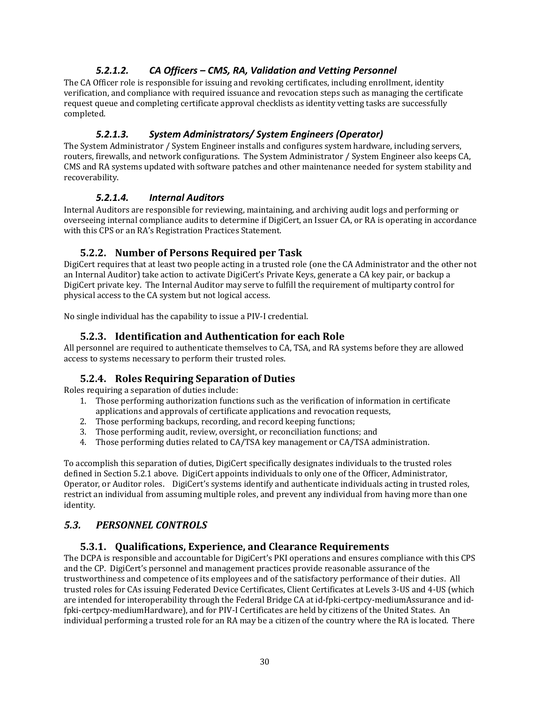#### *5.2.1.2. CA Officers – CMS, RA, Validation and Vetting Personnel*

The CA Officer role is responsible for issuing and revoking certificates, including enrollment, identity verification, and compliance with required issuance and revocation steps such as managing the certificate request queue and completing certificate approval checklists as identity vetting tasks are successfully completed.

#### *5.2.1.3. System Administrators/ System Engineers (Operator)*

The System Administrator / System Engineer installs and configures system hardware, including servers, routers, firewalls, and network configurations. The System Administrator / System Engineer also keeps CA, CMS and RA systems updated with software patches and other maintenance needed for system stability and recoverability.

#### *5.2.1.4. Internal Auditors*

Internal Auditors are responsible for reviewing, maintaining, and archiving audit logs and performing or overseeing internal compliance audits to determine if DigiCert, an Issuer CA, or RA is operating in accordance with this CPS or an RA's Registration Practices Statement.

## **5.2.2. Number of Persons Required per Task**

DigiCert requires that at least two people acting in a trusted role (one the CA Administrator and the other not an Internal Auditor) take action to activate DigiCert's Private Keys, generate a CA key pair, or backup a DigiCert private key. The Internal Auditor may serve to fulfill the requirement of multiparty control for physical access to the CA system but not logical access.

No single individual has the capability to issue a PIV‐I credential.

#### **5.2.3. Identification and Authentication for each Role**

All personnel are required to authenticate themselves to CA, TSA, and RA systems before they are allowed access to systems necessary to perform their trusted roles.

#### **5.2.4. Roles Requiring Separation of Duties**

Roles requiring a separation of duties include:

- 1. Those performing authorization functions such as the verification of information in certificate applications and approvals of certificate applications and revocation requests,
- 2. Those performing backups, recording, and record keeping functions;
- 3. Those performing audit, review, oversight, or reconciliation functions; and
- 4. Those performing duties related to CA/TSA key management or CA/TSA administration.

To accomplish this separation of duties, DigiCert specifically designates individuals to the trusted roles defined in Section 5.2.1 above. DigiCert appoints individuals to only one of the Officer, Administrator, Operator, or Auditor roles. DigiCert's systems identify and authenticate individuals acting in trusted roles, restrict an individual from assuming multiple roles, and prevent any individual from having more than one identity.

#### *5.3. PERSONNEL CONTROLS*

#### **5.3.1. Qualifications, Experience, and Clearance Requirements**

The DCPA is responsible and accountable for DigiCert's PKI operations and ensures compliance with this CPS and the CP. DigiCert's personnel and management practices provide reasonable assurance of the trustworthiness and competence of its employees and of the satisfactory performance of their duties. All trusted roles for CAs issuing Federated Device Certificates, Client Certificates at Levels 3‐US and 4‐US (which are intended for interoperability through the Federal Bridge CA at id-fpki-certpcy-mediumAssurance and idfpki‐certpcy‐mediumHardware), and for PIV‐I Certificates are held by citizens of the United States. An individual performing a trusted role for an RA may be a citizen of the country where the RA is located. There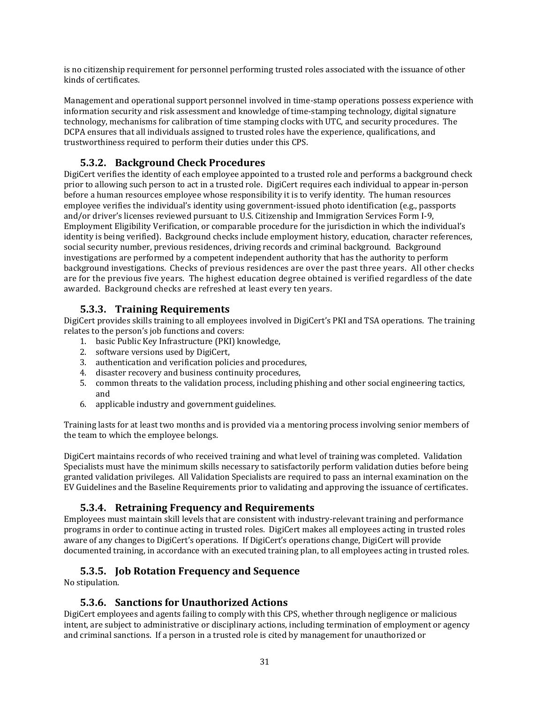is no citizenship requirement for personnel performing trusted roles associated with the issuance of other kinds of certificates.

Management and operational support personnel involved in time‐stamp operations possess experience with information security and risk assessment and knowledge of time‐stamping technology, digital signature technology, mechanisms for calibration of time stamping clocks with UTC, and security procedures. The DCPA ensures that all individuals assigned to trusted roles have the experience, qualifications, and trustworthiness required to perform their duties under this CPS.

## **5.3.2. Background Check Procedures**

DigiCert verifies the identity of each employee appointed to a trusted role and performs a background check prior to allowing such person to act in a trusted role. DigiCert requires each individual to appear in‐person before a human resources employee whose responsibility it is to verify identity. The human resources employee verifies the individual's identity using government-issued photo identification (e.g., passports and/or driver's licenses reviewed pursuant to U.S. Citizenship and Immigration Services Form I‐9, Employment Eligibility Verification, or comparable procedure for the jurisdiction in which the individual's identity is being verified). Background checks include employment history, education, character references, social security number, previous residences, driving records and criminal background. Background investigations are performed by a competent independent authority that has the authority to perform background investigations. Checks of previous residences are over the past three years. All other checks are for the previous five years. The highest education degree obtained is verified regardless of the date awarded. Background checks are refreshed at least every ten years.

#### **5.3.3. Training Requirements**

DigiCert provides skills training to all employees involved in DigiCert's PKI and TSA operations. The training relates to the person's job functions and covers:

- 1. basic Public Key Infrastructure (PKI) knowledge,
- 2. software versions used by DigiCert,
- 3. authentication and verification policies and procedures,
- 4. disaster recovery and business continuity procedures,
- 5. common threats to the validation process, including phishing and other social engineering tactics, and
- 6. applicable industry and government guidelines.

Training lasts for at least two months and is provided via a mentoring process involving senior members of the team to which the employee belongs.

DigiCert maintains records of who received training and what level of training was completed. Validation Specialists must have the minimum skills necessary to satisfactorily perform validation duties before being granted validation privileges. All Validation Specialists are required to pass an internal examination on the EV Guidelines and the Baseline Requirements prior to validating and approving the issuance of certificates.

## **5.3.4. Retraining Frequency and Requirements**

Employees must maintain skill levels that are consistent with industry‐relevant training and performance programs in order to continue acting in trusted roles. DigiCert makes all employees acting in trusted roles aware of any changes to DigiCert's operations. If DigiCert's operations change, DigiCert will provide documented training, in accordance with an executed training plan, to all employees acting in trusted roles.

## **5.3.5. Job Rotation Frequency and Sequence**

No stipulation.

#### **5.3.6. Sanctions for Unauthorized Actions**

DigiCert employees and agents failing to comply with this CPS, whether through negligence or malicious intent, are subject to administrative or disciplinary actions, including termination of employment or agency and criminal sanctions. If a person in a trusted role is cited by management for unauthorized or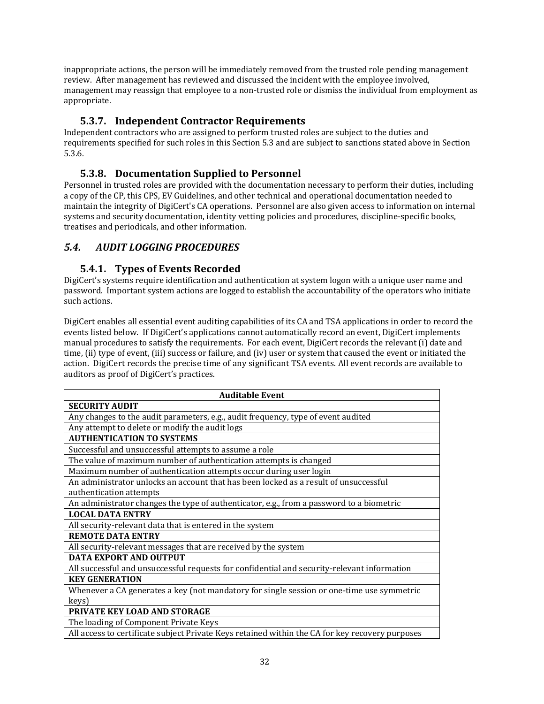inappropriate actions, the person will be immediately removed from the trusted role pending management review. After management has reviewed and discussed the incident with the employee involved, management may reassign that employee to a non-trusted role or dismiss the individual from employment as appropriate.

## **5.3.7. Independent Contractor Requirements**

Independent contractors who are assigned to perform trusted roles are subject to the duties and requirements specified for such roles in this Section 5.3 and are subject to sanctions stated above in Section 5.3.6.

## **5.3.8. Documentation Supplied to Personnel**

Personnel in trusted roles are provided with the documentation necessary to perform their duties, including a copy of the CP, this CPS, EV Guidelines, and other technical and operational documentation needed to maintain the integrity of DigiCert's CA operations. Personnel are also given access to information on internal systems and security documentation, identity vetting policies and procedures, discipline‐specific books, treatises and periodicals, and other information.

## *5.4. AUDIT LOGGING PROCEDURES*

#### **5.4.1. Types of Events Recorded**

DigiCert's systems require identification and authentication at system logon with a unique user name and password. Important system actions are logged to establish the accountability of the operators who initiate such actions.

DigiCert enables all essential event auditing capabilities of its CA and TSA applications in order to record the events listed below. If DigiCert's applications cannot automatically record an event, DigiCert implements manual procedures to satisfy the requirements. For each event, DigiCert records the relevant (i) date and time, (ii) type of event, (iii) success or failure, and (iv) user or system that caused the event or initiated the action. DigiCert records the precise time of any significant TSA events. All event records are available to auditors as proof of DigiCert's practices.

| <b>Auditable Event</b>                                                                          |
|-------------------------------------------------------------------------------------------------|
| <b>SECURITY AUDIT</b>                                                                           |
| Any changes to the audit parameters, e.g., audit frequency, type of event audited               |
| Any attempt to delete or modify the audit logs                                                  |
| <b>AUTHENTICATION TO SYSTEMS</b>                                                                |
| Successful and unsuccessful attempts to assume a role                                           |
| The value of maximum number of authentication attempts is changed                               |
| Maximum number of authentication attempts occur during user login                               |
| An administrator unlocks an account that has been locked as a result of unsuccessful            |
| authentication attempts                                                                         |
| An administrator changes the type of authenticator, e.g., from a password to a biometric        |
| <b>LOCAL DATA ENTRY</b>                                                                         |
| All security-relevant data that is entered in the system                                        |
| <b>REMOTE DATA ENTRY</b>                                                                        |
| All security-relevant messages that are received by the system                                  |
| <b>DATA EXPORT AND OUTPUT</b>                                                                   |
| All successful and unsuccessful requests for confidential and security-relevant information     |
| <b>KEY GENERATION</b>                                                                           |
| Whenever a CA generates a key (not mandatory for single session or one-time use symmetric       |
| keys)                                                                                           |
| <b>PRIVATE KEY LOAD AND STORAGE</b>                                                             |
| The loading of Component Private Keys                                                           |
| All access to certificate subject Private Keys retained within the CA for key recovery purposes |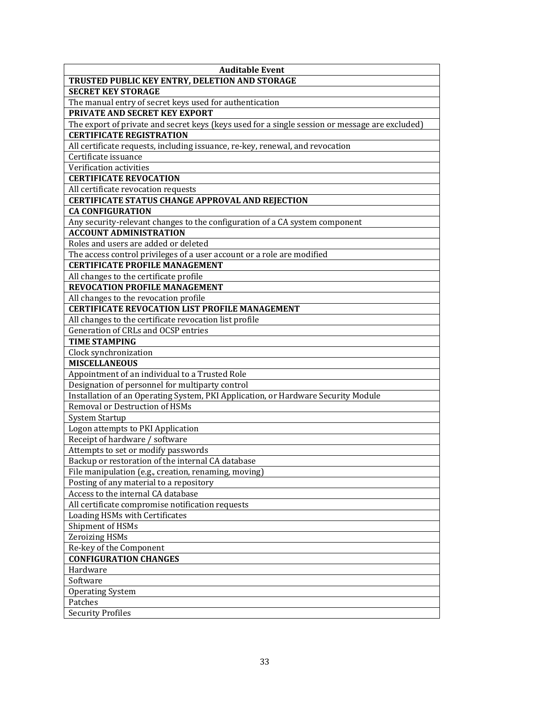| <b>SECRET KEY STORAGE</b><br>The manual entry of secret keys used for authentication<br><b>PRIVATE AND SECRET KEY EXPORT</b><br>The export of private and secret keys (keys used for a single session or message are excluded)<br><b>CERTIFICATE REGISTRATION</b><br>All certificate requests, including issuance, re-key, renewal, and revocation<br>Certificate issuance<br>Verification activities<br><b>CERTIFICATE REVOCATION</b><br>All certificate revocation requests<br><b>CERTIFICATE STATUS CHANGE APPROVAL AND REJECTION</b><br><b>CA CONFIGURATION</b><br>Any security-relevant changes to the configuration of a CA system component<br><b>ACCOUNT ADMINISTRATION</b><br>Roles and users are added or deleted<br>The access control privileges of a user account or a role are modified<br><b>CERTIFICATE PROFILE MANAGEMENT</b><br>All changes to the certificate profile<br><b>REVOCATION PROFILE MANAGEMENT</b><br>All changes to the revocation profile<br><b>CERTIFICATE REVOCATION LIST PROFILE MANAGEMENT</b><br>All changes to the certificate revocation list profile<br>Generation of CRLs and OCSP entries<br><b>TIME STAMPING</b><br>Clock synchronization<br><b>MISCELLANEOUS</b><br>Appointment of an individual to a Trusted Role<br>Designation of personnel for multiparty control<br>Installation of an Operating System, PKI Application, or Hardware Security Module<br>Removal or Destruction of HSMs<br><b>System Startup</b><br>Logon attempts to PKI Application<br>Receipt of hardware / software<br>Attempts to set or modify passwords<br>Backup or restoration of the internal CA database<br>File manipulation (e.g., creation, renaming, moving)<br>Posting of any material to a repository<br>Access to the internal CA database<br>All certificate compromise notification requests<br>Loading HSMs with Certificates<br>Shipment of HSMs<br><b>Zeroizing HSMs</b><br>Re-key of the Component<br><b>CONFIGURATION CHANGES</b><br>Hardware<br>Software<br><b>Operating System</b><br>Patches | <b>Auditable Event</b>                         |
|-------------------------------------------------------------------------------------------------------------------------------------------------------------------------------------------------------------------------------------------------------------------------------------------------------------------------------------------------------------------------------------------------------------------------------------------------------------------------------------------------------------------------------------------------------------------------------------------------------------------------------------------------------------------------------------------------------------------------------------------------------------------------------------------------------------------------------------------------------------------------------------------------------------------------------------------------------------------------------------------------------------------------------------------------------------------------------------------------------------------------------------------------------------------------------------------------------------------------------------------------------------------------------------------------------------------------------------------------------------------------------------------------------------------------------------------------------------------------------------------------------------------------------------------------------------------------------------------------------------------------------------------------------------------------------------------------------------------------------------------------------------------------------------------------------------------------------------------------------------------------------------------------------------------------------------------------------------------------------------------------------------------------------------------|------------------------------------------------|
|                                                                                                                                                                                                                                                                                                                                                                                                                                                                                                                                                                                                                                                                                                                                                                                                                                                                                                                                                                                                                                                                                                                                                                                                                                                                                                                                                                                                                                                                                                                                                                                                                                                                                                                                                                                                                                                                                                                                                                                                                                           | TRUSTED PUBLIC KEY ENTRY, DELETION AND STORAGE |
|                                                                                                                                                                                                                                                                                                                                                                                                                                                                                                                                                                                                                                                                                                                                                                                                                                                                                                                                                                                                                                                                                                                                                                                                                                                                                                                                                                                                                                                                                                                                                                                                                                                                                                                                                                                                                                                                                                                                                                                                                                           |                                                |
|                                                                                                                                                                                                                                                                                                                                                                                                                                                                                                                                                                                                                                                                                                                                                                                                                                                                                                                                                                                                                                                                                                                                                                                                                                                                                                                                                                                                                                                                                                                                                                                                                                                                                                                                                                                                                                                                                                                                                                                                                                           |                                                |
|                                                                                                                                                                                                                                                                                                                                                                                                                                                                                                                                                                                                                                                                                                                                                                                                                                                                                                                                                                                                                                                                                                                                                                                                                                                                                                                                                                                                                                                                                                                                                                                                                                                                                                                                                                                                                                                                                                                                                                                                                                           |                                                |
|                                                                                                                                                                                                                                                                                                                                                                                                                                                                                                                                                                                                                                                                                                                                                                                                                                                                                                                                                                                                                                                                                                                                                                                                                                                                                                                                                                                                                                                                                                                                                                                                                                                                                                                                                                                                                                                                                                                                                                                                                                           |                                                |
|                                                                                                                                                                                                                                                                                                                                                                                                                                                                                                                                                                                                                                                                                                                                                                                                                                                                                                                                                                                                                                                                                                                                                                                                                                                                                                                                                                                                                                                                                                                                                                                                                                                                                                                                                                                                                                                                                                                                                                                                                                           |                                                |
|                                                                                                                                                                                                                                                                                                                                                                                                                                                                                                                                                                                                                                                                                                                                                                                                                                                                                                                                                                                                                                                                                                                                                                                                                                                                                                                                                                                                                                                                                                                                                                                                                                                                                                                                                                                                                                                                                                                                                                                                                                           |                                                |
|                                                                                                                                                                                                                                                                                                                                                                                                                                                                                                                                                                                                                                                                                                                                                                                                                                                                                                                                                                                                                                                                                                                                                                                                                                                                                                                                                                                                                                                                                                                                                                                                                                                                                                                                                                                                                                                                                                                                                                                                                                           |                                                |
|                                                                                                                                                                                                                                                                                                                                                                                                                                                                                                                                                                                                                                                                                                                                                                                                                                                                                                                                                                                                                                                                                                                                                                                                                                                                                                                                                                                                                                                                                                                                                                                                                                                                                                                                                                                                                                                                                                                                                                                                                                           |                                                |
|                                                                                                                                                                                                                                                                                                                                                                                                                                                                                                                                                                                                                                                                                                                                                                                                                                                                                                                                                                                                                                                                                                                                                                                                                                                                                                                                                                                                                                                                                                                                                                                                                                                                                                                                                                                                                                                                                                                                                                                                                                           |                                                |
|                                                                                                                                                                                                                                                                                                                                                                                                                                                                                                                                                                                                                                                                                                                                                                                                                                                                                                                                                                                                                                                                                                                                                                                                                                                                                                                                                                                                                                                                                                                                                                                                                                                                                                                                                                                                                                                                                                                                                                                                                                           |                                                |
|                                                                                                                                                                                                                                                                                                                                                                                                                                                                                                                                                                                                                                                                                                                                                                                                                                                                                                                                                                                                                                                                                                                                                                                                                                                                                                                                                                                                                                                                                                                                                                                                                                                                                                                                                                                                                                                                                                                                                                                                                                           |                                                |
|                                                                                                                                                                                                                                                                                                                                                                                                                                                                                                                                                                                                                                                                                                                                                                                                                                                                                                                                                                                                                                                                                                                                                                                                                                                                                                                                                                                                                                                                                                                                                                                                                                                                                                                                                                                                                                                                                                                                                                                                                                           |                                                |
|                                                                                                                                                                                                                                                                                                                                                                                                                                                                                                                                                                                                                                                                                                                                                                                                                                                                                                                                                                                                                                                                                                                                                                                                                                                                                                                                                                                                                                                                                                                                                                                                                                                                                                                                                                                                                                                                                                                                                                                                                                           |                                                |
|                                                                                                                                                                                                                                                                                                                                                                                                                                                                                                                                                                                                                                                                                                                                                                                                                                                                                                                                                                                                                                                                                                                                                                                                                                                                                                                                                                                                                                                                                                                                                                                                                                                                                                                                                                                                                                                                                                                                                                                                                                           |                                                |
|                                                                                                                                                                                                                                                                                                                                                                                                                                                                                                                                                                                                                                                                                                                                                                                                                                                                                                                                                                                                                                                                                                                                                                                                                                                                                                                                                                                                                                                                                                                                                                                                                                                                                                                                                                                                                                                                                                                                                                                                                                           |                                                |
|                                                                                                                                                                                                                                                                                                                                                                                                                                                                                                                                                                                                                                                                                                                                                                                                                                                                                                                                                                                                                                                                                                                                                                                                                                                                                                                                                                                                                                                                                                                                                                                                                                                                                                                                                                                                                                                                                                                                                                                                                                           |                                                |
|                                                                                                                                                                                                                                                                                                                                                                                                                                                                                                                                                                                                                                                                                                                                                                                                                                                                                                                                                                                                                                                                                                                                                                                                                                                                                                                                                                                                                                                                                                                                                                                                                                                                                                                                                                                                                                                                                                                                                                                                                                           |                                                |
|                                                                                                                                                                                                                                                                                                                                                                                                                                                                                                                                                                                                                                                                                                                                                                                                                                                                                                                                                                                                                                                                                                                                                                                                                                                                                                                                                                                                                                                                                                                                                                                                                                                                                                                                                                                                                                                                                                                                                                                                                                           |                                                |
|                                                                                                                                                                                                                                                                                                                                                                                                                                                                                                                                                                                                                                                                                                                                                                                                                                                                                                                                                                                                                                                                                                                                                                                                                                                                                                                                                                                                                                                                                                                                                                                                                                                                                                                                                                                                                                                                                                                                                                                                                                           |                                                |
|                                                                                                                                                                                                                                                                                                                                                                                                                                                                                                                                                                                                                                                                                                                                                                                                                                                                                                                                                                                                                                                                                                                                                                                                                                                                                                                                                                                                                                                                                                                                                                                                                                                                                                                                                                                                                                                                                                                                                                                                                                           |                                                |
|                                                                                                                                                                                                                                                                                                                                                                                                                                                                                                                                                                                                                                                                                                                                                                                                                                                                                                                                                                                                                                                                                                                                                                                                                                                                                                                                                                                                                                                                                                                                                                                                                                                                                                                                                                                                                                                                                                                                                                                                                                           |                                                |
|                                                                                                                                                                                                                                                                                                                                                                                                                                                                                                                                                                                                                                                                                                                                                                                                                                                                                                                                                                                                                                                                                                                                                                                                                                                                                                                                                                                                                                                                                                                                                                                                                                                                                                                                                                                                                                                                                                                                                                                                                                           |                                                |
|                                                                                                                                                                                                                                                                                                                                                                                                                                                                                                                                                                                                                                                                                                                                                                                                                                                                                                                                                                                                                                                                                                                                                                                                                                                                                                                                                                                                                                                                                                                                                                                                                                                                                                                                                                                                                                                                                                                                                                                                                                           |                                                |
|                                                                                                                                                                                                                                                                                                                                                                                                                                                                                                                                                                                                                                                                                                                                                                                                                                                                                                                                                                                                                                                                                                                                                                                                                                                                                                                                                                                                                                                                                                                                                                                                                                                                                                                                                                                                                                                                                                                                                                                                                                           |                                                |
|                                                                                                                                                                                                                                                                                                                                                                                                                                                                                                                                                                                                                                                                                                                                                                                                                                                                                                                                                                                                                                                                                                                                                                                                                                                                                                                                                                                                                                                                                                                                                                                                                                                                                                                                                                                                                                                                                                                                                                                                                                           |                                                |
|                                                                                                                                                                                                                                                                                                                                                                                                                                                                                                                                                                                                                                                                                                                                                                                                                                                                                                                                                                                                                                                                                                                                                                                                                                                                                                                                                                                                                                                                                                                                                                                                                                                                                                                                                                                                                                                                                                                                                                                                                                           |                                                |
|                                                                                                                                                                                                                                                                                                                                                                                                                                                                                                                                                                                                                                                                                                                                                                                                                                                                                                                                                                                                                                                                                                                                                                                                                                                                                                                                                                                                                                                                                                                                                                                                                                                                                                                                                                                                                                                                                                                                                                                                                                           |                                                |
|                                                                                                                                                                                                                                                                                                                                                                                                                                                                                                                                                                                                                                                                                                                                                                                                                                                                                                                                                                                                                                                                                                                                                                                                                                                                                                                                                                                                                                                                                                                                                                                                                                                                                                                                                                                                                                                                                                                                                                                                                                           |                                                |
|                                                                                                                                                                                                                                                                                                                                                                                                                                                                                                                                                                                                                                                                                                                                                                                                                                                                                                                                                                                                                                                                                                                                                                                                                                                                                                                                                                                                                                                                                                                                                                                                                                                                                                                                                                                                                                                                                                                                                                                                                                           |                                                |
|                                                                                                                                                                                                                                                                                                                                                                                                                                                                                                                                                                                                                                                                                                                                                                                                                                                                                                                                                                                                                                                                                                                                                                                                                                                                                                                                                                                                                                                                                                                                                                                                                                                                                                                                                                                                                                                                                                                                                                                                                                           |                                                |
|                                                                                                                                                                                                                                                                                                                                                                                                                                                                                                                                                                                                                                                                                                                                                                                                                                                                                                                                                                                                                                                                                                                                                                                                                                                                                                                                                                                                                                                                                                                                                                                                                                                                                                                                                                                                                                                                                                                                                                                                                                           |                                                |
|                                                                                                                                                                                                                                                                                                                                                                                                                                                                                                                                                                                                                                                                                                                                                                                                                                                                                                                                                                                                                                                                                                                                                                                                                                                                                                                                                                                                                                                                                                                                                                                                                                                                                                                                                                                                                                                                                                                                                                                                                                           |                                                |
|                                                                                                                                                                                                                                                                                                                                                                                                                                                                                                                                                                                                                                                                                                                                                                                                                                                                                                                                                                                                                                                                                                                                                                                                                                                                                                                                                                                                                                                                                                                                                                                                                                                                                                                                                                                                                                                                                                                                                                                                                                           |                                                |
|                                                                                                                                                                                                                                                                                                                                                                                                                                                                                                                                                                                                                                                                                                                                                                                                                                                                                                                                                                                                                                                                                                                                                                                                                                                                                                                                                                                                                                                                                                                                                                                                                                                                                                                                                                                                                                                                                                                                                                                                                                           |                                                |
|                                                                                                                                                                                                                                                                                                                                                                                                                                                                                                                                                                                                                                                                                                                                                                                                                                                                                                                                                                                                                                                                                                                                                                                                                                                                                                                                                                                                                                                                                                                                                                                                                                                                                                                                                                                                                                                                                                                                                                                                                                           |                                                |
|                                                                                                                                                                                                                                                                                                                                                                                                                                                                                                                                                                                                                                                                                                                                                                                                                                                                                                                                                                                                                                                                                                                                                                                                                                                                                                                                                                                                                                                                                                                                                                                                                                                                                                                                                                                                                                                                                                                                                                                                                                           |                                                |
|                                                                                                                                                                                                                                                                                                                                                                                                                                                                                                                                                                                                                                                                                                                                                                                                                                                                                                                                                                                                                                                                                                                                                                                                                                                                                                                                                                                                                                                                                                                                                                                                                                                                                                                                                                                                                                                                                                                                                                                                                                           |                                                |
|                                                                                                                                                                                                                                                                                                                                                                                                                                                                                                                                                                                                                                                                                                                                                                                                                                                                                                                                                                                                                                                                                                                                                                                                                                                                                                                                                                                                                                                                                                                                                                                                                                                                                                                                                                                                                                                                                                                                                                                                                                           |                                                |
|                                                                                                                                                                                                                                                                                                                                                                                                                                                                                                                                                                                                                                                                                                                                                                                                                                                                                                                                                                                                                                                                                                                                                                                                                                                                                                                                                                                                                                                                                                                                                                                                                                                                                                                                                                                                                                                                                                                                                                                                                                           |                                                |
|                                                                                                                                                                                                                                                                                                                                                                                                                                                                                                                                                                                                                                                                                                                                                                                                                                                                                                                                                                                                                                                                                                                                                                                                                                                                                                                                                                                                                                                                                                                                                                                                                                                                                                                                                                                                                                                                                                                                                                                                                                           |                                                |
|                                                                                                                                                                                                                                                                                                                                                                                                                                                                                                                                                                                                                                                                                                                                                                                                                                                                                                                                                                                                                                                                                                                                                                                                                                                                                                                                                                                                                                                                                                                                                                                                                                                                                                                                                                                                                                                                                                                                                                                                                                           |                                                |
|                                                                                                                                                                                                                                                                                                                                                                                                                                                                                                                                                                                                                                                                                                                                                                                                                                                                                                                                                                                                                                                                                                                                                                                                                                                                                                                                                                                                                                                                                                                                                                                                                                                                                                                                                                                                                                                                                                                                                                                                                                           |                                                |
|                                                                                                                                                                                                                                                                                                                                                                                                                                                                                                                                                                                                                                                                                                                                                                                                                                                                                                                                                                                                                                                                                                                                                                                                                                                                                                                                                                                                                                                                                                                                                                                                                                                                                                                                                                                                                                                                                                                                                                                                                                           |                                                |
|                                                                                                                                                                                                                                                                                                                                                                                                                                                                                                                                                                                                                                                                                                                                                                                                                                                                                                                                                                                                                                                                                                                                                                                                                                                                                                                                                                                                                                                                                                                                                                                                                                                                                                                                                                                                                                                                                                                                                                                                                                           |                                                |
|                                                                                                                                                                                                                                                                                                                                                                                                                                                                                                                                                                                                                                                                                                                                                                                                                                                                                                                                                                                                                                                                                                                                                                                                                                                                                                                                                                                                                                                                                                                                                                                                                                                                                                                                                                                                                                                                                                                                                                                                                                           |                                                |
|                                                                                                                                                                                                                                                                                                                                                                                                                                                                                                                                                                                                                                                                                                                                                                                                                                                                                                                                                                                                                                                                                                                                                                                                                                                                                                                                                                                                                                                                                                                                                                                                                                                                                                                                                                                                                                                                                                                                                                                                                                           |                                                |
|                                                                                                                                                                                                                                                                                                                                                                                                                                                                                                                                                                                                                                                                                                                                                                                                                                                                                                                                                                                                                                                                                                                                                                                                                                                                                                                                                                                                                                                                                                                                                                                                                                                                                                                                                                                                                                                                                                                                                                                                                                           |                                                |
|                                                                                                                                                                                                                                                                                                                                                                                                                                                                                                                                                                                                                                                                                                                                                                                                                                                                                                                                                                                                                                                                                                                                                                                                                                                                                                                                                                                                                                                                                                                                                                                                                                                                                                                                                                                                                                                                                                                                                                                                                                           |                                                |
|                                                                                                                                                                                                                                                                                                                                                                                                                                                                                                                                                                                                                                                                                                                                                                                                                                                                                                                                                                                                                                                                                                                                                                                                                                                                                                                                                                                                                                                                                                                                                                                                                                                                                                                                                                                                                                                                                                                                                                                                                                           | <b>Security Profiles</b>                       |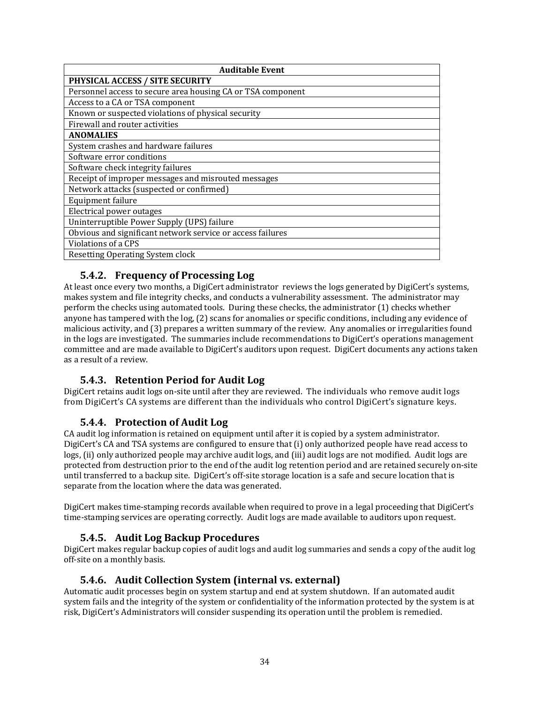| <b>Auditable Event</b>                                      |  |  |
|-------------------------------------------------------------|--|--|
| PHYSICAL ACCESS / SITE SECURITY                             |  |  |
| Personnel access to secure area housing CA or TSA component |  |  |
| Access to a CA or TSA component                             |  |  |
| Known or suspected violations of physical security          |  |  |
| Firewall and router activities                              |  |  |
| <b>ANOMALIES</b>                                            |  |  |
| System crashes and hardware failures                        |  |  |
| Software error conditions                                   |  |  |
| Software check integrity failures                           |  |  |
| Receipt of improper messages and misrouted messages         |  |  |
| Network attacks (suspected or confirmed)                    |  |  |
| Equipment failure                                           |  |  |
| Electrical power outages                                    |  |  |
| Uninterruptible Power Supply (UPS) failure                  |  |  |
| Obvious and significant network service or access failures  |  |  |
| Violations of a CPS                                         |  |  |
| <b>Resetting Operating System clock</b>                     |  |  |

## **5.4.2. Frequency of Processing Log**

At least once every two months, a DigiCert administrator reviews the logs generated by DigiCert's systems, makes system and file integrity checks, and conducts a vulnerability assessment. The administrator may perform the checks using automated tools. During these checks, the administrator (1) checks whether anyone has tampered with the log, (2) scans for anomalies or specific conditions, including any evidence of malicious activity, and (3) prepares a written summary of the review. Any anomalies or irregularities found in the logs are investigated. The summaries include recommendations to DigiCert's operations management committee and are made available to DigiCert's auditors upon request. DigiCert documents any actions taken as a result of a review.

## **5.4.3. Retention Period for Audit Log**

DigiCert retains audit logs on‐site until after they are reviewed. The individuals who remove audit logs from DigiCert's CA systems are different than the individuals who control DigiCert's signature keys.

## **5.4.4. Protection of Audit Log**

CA audit log information is retained on equipment until after it is copied by a system administrator. DigiCert's CA and TSA systems are configured to ensure that (i) only authorized people have read access to logs, (ii) only authorized people may archive audit logs, and (iii) audit logs are not modified. Audit logs are protected from destruction prior to the end of the audit log retention period and are retained securely on‐site until transferred to a backup site. DigiCert's off‐site storage location is a safe and secure location that is separate from the location where the data was generated.

DigiCert makes time‐stamping records available when required to prove in a legal proceeding that DigiCert's time-stamping services are operating correctly. Audit logs are made available to auditors upon request.

## **5.4.5. Audit Log Backup Procedures**

DigiCert makes regular backup copies of audit logs and audit log summaries and sends a copy of the audit log off‐site on a monthly basis.

## **5.4.6. Audit Collection System (internal vs. external)**

Automatic audit processes begin on system startup and end at system shutdown. If an automated audit system fails and the integrity of the system or confidentiality of the information protected by the system is at risk, DigiCert's Administrators will consider suspending its operation until the problem is remedied.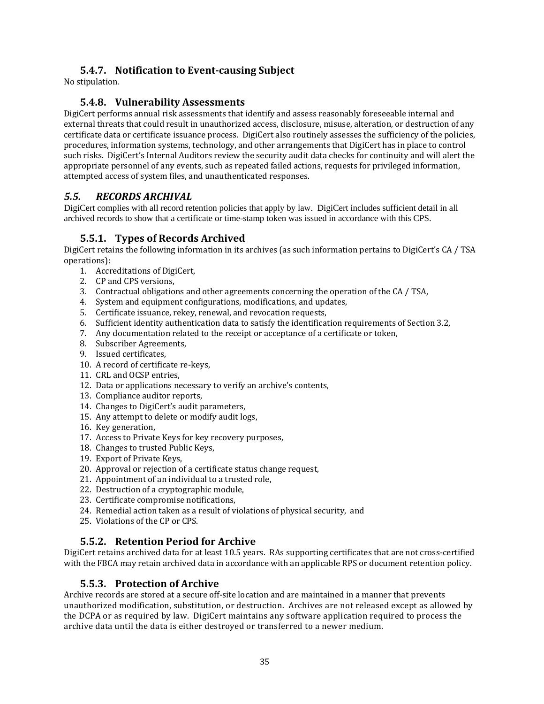## **5.4.7. Notification to Eventcausing Subject**

No stipulation.

#### **5.4.8. Vulnerability Assessments**

DigiCert performs annual risk assessments that identify and assess reasonably foreseeable internal and external threats that could result in unauthorized access, disclosure, misuse, alteration, or destruction of any certificate data or certificate issuance process. DigiCert also routinely assesses the sufficiency of the policies, procedures, information systems, technology, and other arrangements that DigiCert has in place to control such risks. DigiCert's Internal Auditors review the security audit data checks for continuity and will alert the appropriate personnel of any events, such as repeated failed actions, requests for privileged information, attempted access of system files, and unauthenticated responses.

## *5.5. RECORDS ARCHIVAL*

DigiCert complies with all record retention policies that apply by law. DigiCert includes sufficient detail in all archived records to show that a certificate or time-stamp token was issued in accordance with this CPS.

## **5.5.1. Types of Records Archived**

DigiCert retains the following information in its archives (as such information pertains to DigiCert's CA / TSA operations):

- 1. Accreditations of DigiCert,
- 2. CP and CPS versions,
- 3. Contractual obligations and other agreements concerning the operation of the CA / TSA,
- 4. System and equipment configurations, modifications, and updates,
- 5. Certificate issuance, rekey, renewal, and revocation requests,
- 6. Sufficient identity authentication data to satisfy the identification requirements of Section 3.2,
- 7. Any documentation related to the receipt or acceptance of a certificate or token,
- 8. Subscriber Agreements,
- 9. Issued certificates,
- 10. A record of certificate re-keys.
- 11. CRL and OCSP entries,
- 12. Data or applications necessary to verify an archive's contents,
- 13. Compliance auditor reports,
- 14. Changes to DigiCert's audit parameters,
- 15. Any attempt to delete or modify audit logs,
- 16. Key generation,
- 17. Access to Private Keys for key recovery purposes,
- 18. Changes to trusted Public Keys,
- 19. Export of Private Keys,
- 20. Approval or rejection of a certificate status change request,
- 21. Appointment of an individual to a trusted role,
- 22. Destruction of a cryptographic module,
- 23. Certificate compromise notifications,
- 24. Remedial action taken as a result of violations of physical security, and
- 25. Violations of the CP or CPS.

## **5.5.2. Retention Period for Archive**

DigiCert retains archived data for at least 10.5 years. RAs supporting certificates that are not cross‐certified with the FBCA may retain archived data in accordance with an applicable RPS or document retention policy.

#### **5.5.3. Protection of Archive**

Archive records are stored at a secure off‐site location and are maintained in a manner that prevents unauthorized modification, substitution, or destruction. Archives are not released except as allowed by the DCPA or as required by law. DigiCert maintains any software application required to process the archive data until the data is either destroyed or transferred to a newer medium.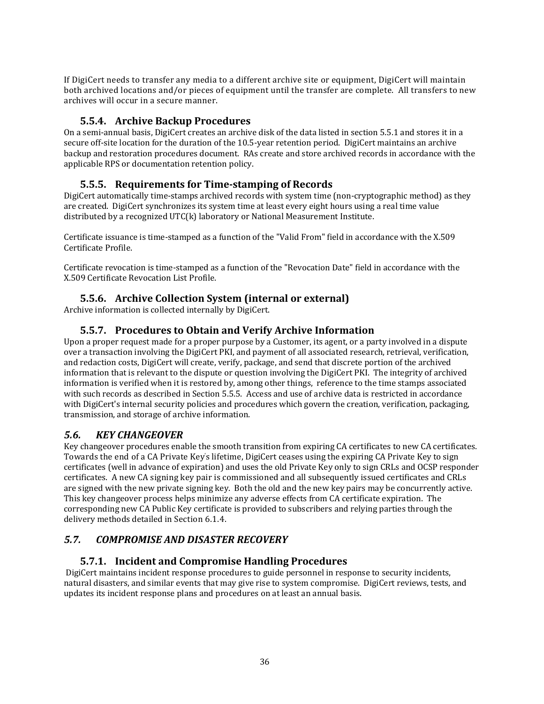If DigiCert needs to transfer any media to a different archive site or equipment, DigiCert will maintain both archived locations and/or pieces of equipment until the transfer are complete. All transfers to new archives will occur in a secure manner.

## **5.5.4. Archive Backup Procedures**

On a semi-annual basis, DigiCert creates an archive disk of the data listed in section 5.5.1 and stores it in a secure off-site location for the duration of the 10.5-year retention period. DigiCert maintains an archive backup and restoration procedures document. RAs create and store archived records in accordance with the applicable RPS or documentation retention policy.

## **5.5.5. Requirements for Timestamping of Records**

DigiCert automatically time‐stamps archived records with system time (non‐cryptographic method) as they are created. DigiCert synchronizes its system time at least every eight hours using a real time value distributed by a recognized UTC(k) laboratory or National Measurement Institute.

Certificate issuance is time‐stamped as a function of the "Valid From" field in accordance with the X.509 Certificate Profile.

Certificate revocation is time‐stamped as a function of the "Revocation Date" field in accordance with the X.509 Certificate Revocation List Profile.

## **5.5.6. Archive Collection System (internal or external)**

Archive information is collected internally by DigiCert.

## **5.5.7. Procedures to Obtain and Verify Archive Information**

Upon a proper request made for a proper purpose by a Customer, its agent, or a party involved in a dispute over a transaction involving the DigiCert PKI, and payment of all associated research, retrieval, verification, and redaction costs, DigiCert will create, verify, package, and send that discrete portion of the archived information that is relevant to the dispute or question involving the DigiCert PKI. The integrity of archived information is verified when it is restored by, among other things, reference to the time stamps associated with such records as described in Section 5.5.5. Access and use of archive data is restricted in accordance with DigiCert's internal security policies and procedures which govern the creation, verification, packaging, transmission, and storage of archive information.

## *5.6. KEY CHANGEOVER*

Key changeover procedures enable the smooth transition from expiring CA certificates to new CA certificates. Towards the end of a CA Private Key' s lifetime, DigiCert ceases using the expiring CA Private Key to sign certificates (well in advance of expiration) and uses the old Private Key only to sign CRLs and OCSP responder certificates. A new CA signing key pair is commissioned and all subsequently issued certificates and CRLs are signed with the new private signing key. Both the old and the new key pairs may be concurrently active. This key changeover process helps minimize any adverse effects from CA certificate expiration. The corresponding new CA Public Key certificate is provided to subscribers and relying parties through the delivery methods detailed in Section 6.1.4.

## *5.7. COMPROMISE AND DISASTER RECOVERY*

## **5.7.1. Incident and Compromise Handling Procedures**

 DigiCert maintains incident response procedures to guide personnel in response to security incidents, natural disasters, and similar events that may give rise to system compromise. DigiCert reviews, tests, and updates its incident response plans and procedures on at least an annual basis.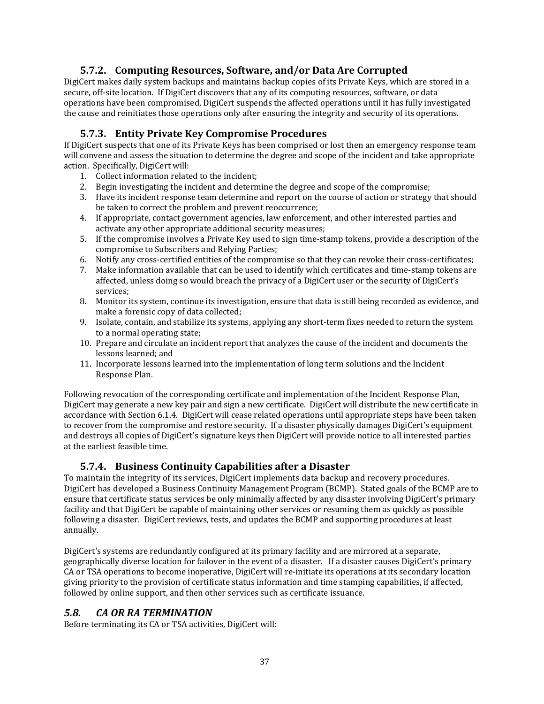## **5.7.2. Computing Resources, Software, and/or Data Are Corrupted**

DigiCert makes daily system backups and maintains backup copies of its Private Keys, which are stored in a secure, off-site location. If DigiCert discovers that any of its computing resources, software, or data operations have been compromised, DigiCert suspends the affected operations until it has fully investigated the cause and reinitiates those operations only after ensuring the integrity and security of its operations.

## **5.7.3. Entity Private Key Compromise Procedures**

If DigiCert suspects that one of its Private Keys has been comprised or lost then an emergency response team will convene and assess the situation to determine the degree and scope of the incident and take appropriate action. Specifically, DigiCert will:

- 1. Collect information related to the incident;
- 2. Begin investigating the incident and determine the degree and scope of the compromise;
- 3. Have its incident response team determine and report on the course of action or strategy that should be taken to correct the problem and prevent reoccurrence;
- 4. If appropriate, contact government agencies, law enforcement, and other interested parties and activate any other appropriate additional security measures;
- 5. If the compromise involves a Private Key used to sign time‐stamp tokens, provide a description of the compromise to Subscribers and Relying Parties;
- 6. Notify any cross‐certified entities of the compromise so that they can revoke their cross‐certificates;
- 7. Make information available that can be used to identify which certificates and time‐stamp tokens are affected, unless doing so would breach the privacy of a DigiCert user or the security of DigiCert's services;
- 8. Monitor its system, continue its investigation, ensure that data is still being recorded as evidence, and make a forensic copy of data collected;
- 9. Isolate, contain, and stabilize its systems, applying any short-term fixes needed to return the system to a normal operating state;
- 10. Prepare and circulate an incident report that analyzes the cause of the incident and documents the lessons learned; and
- 11. Incorporate lessons learned into the implementation of long term solutions and the Incident Response Plan.

Following revocation of the corresponding certificate and implementation of the Incident Response Plan, DigiCert may generate a new key pair and sign a new certificate. DigiCert will distribute the new certificate in accordance with Section 6.1.4. DigiCert will cease related operations until appropriate steps have been taken to recover from the compromise and restore security. If a disaster physically damages DigiCert's equipment and destroys all copies of DigiCert's signature keys then DigiCert will provide notice to all interested parties at the earliest feasible time.

## **5.7.4. Business Continuity Capabilities after a Disaster**

To maintain the integrity of its services, DigiCert implements data backup and recovery procedures. DigiCert has developed a Business Continuity Management Program (BCMP). Stated goals of the BCMP are to ensure that certificate status services be only minimally affected by any disaster involving DigiCert's primary facility and that DigiCert be capable of maintaining other services or resuming them as quickly as possible following a disaster. DigiCert reviews, tests, and updates the BCMP and supporting procedures at least annually.

DigiCert's systems are redundantly configured at its primary facility and are mirrored at a separate, geographically diverse location for failover in the event of a disaster. If a disaster causes DigiCert's primary CA or TSA operations to become inoperative, DigiCert will re-initiate its operations at its secondary location giving priority to the provision of certificate status information and time stamping capabilities, if affected, followed by online support, and then other services such as certificate issuance.

## *5.8. CA OR RA TERMINATION*

Before terminating its CA or TSA activities, DigiCert will: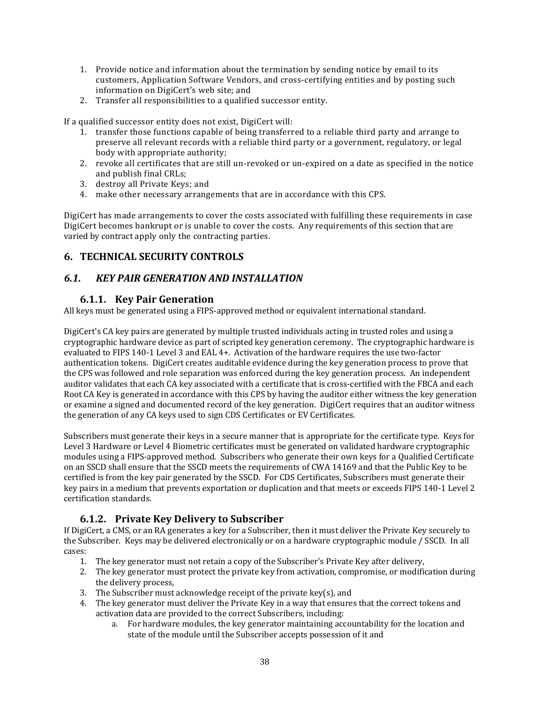- 1. Provide notice and information about the termination by sending notice by email to its customers, Application Software Vendors, and cross‐certifying entities and by posting such information on DigiCert's web site; and
- 2. Transfer all responsibilities to a qualified successor entity.

If a qualified successor entity does not exist, DigiCert will:

- 1. transfer those functions capable of being transferred to a reliable third party and arrange to preserve all relevant records with a reliable third party or a government, regulatory, or legal body with appropriate authority;
- 2. revoke all certificates that are still un‐revoked or un‐expired on a date as specified in the notice and publish final CRLs;
- 3. destroy all Private Keys; and
- 4. make other necessary arrangements that are in accordance with this CPS.

DigiCert has made arrangements to cover the costs associated with fulfilling these requirements in case DigiCert becomes bankrupt or is unable to cover the costs. Any requirements of this section that are varied by contract apply only the contracting parties.

## **6. TECHNICAL SECURITY CONTROLS**

## *6.1. KEY PAIR GENERATION AND INSTALLATION*

#### **6.1.1. Key Pair Generation**

All keys must be generated using a FIPS‐approved method or equivalent international standard.

DigiCert's CA key pairs are generated by multiple trusted individuals acting in trusted roles and using a cryptographic hardware device as part of scripted key generation ceremony. The cryptographic hardware is evaluated to FIPS 140‐1 Level 3 and EAL 4+. Activation of the hardware requires the use two‐factor authentication tokens. DigiCert creates auditable evidence during the key generation process to prove that the CPS was followed and role separation was enforced during the key generation process. An independent auditor validates that each CA key associated with a certificate that is cross‐certified with the FBCA and each Root CA Key is generated in accordance with this CPS by having the auditor either witness the key generation or examine a signed and documented record of the key generation. DigiCert requires that an auditor witness the generation of any CA keys used to sign CDS Certificates or EV Certificates.

Subscribers must generate their keys in a secure manner that is appropriate for the certificate type. Keys for Level 3 Hardware or Level 4 Biometric certificates must be generated on validated hardware cryptographic modules using a FIPS‐approved method. Subscribers who generate their own keys for a Qualified Certificate on an SSCD shall ensure that the SSCD meets the requirements of CWA 14169 and that the Public Key to be certified is from the key pair generated by the SSCD. For CDS Certificates, Subscribers must generate their key pairs in a medium that prevents exportation or duplication and that meets or exceeds FIPS 140-1 Level 2 certification standards.

## **6.1.2. Private Key Delivery to Subscriber**

If DigiCert, a CMS, or an RA generates a key for a Subscriber, then it must deliver the Private Key securely to the Subscriber. Keys may be delivered electronically or on a hardware cryptographic module / SSCD. In all cases:

- 1. The key generator must not retain a copy of the Subscriber's Private Key after delivery,
- 2. The key generator must protect the private key from activation, compromise, or modification during the delivery process,
- 3. The Subscriber must acknowledge receipt of the private key(s), and
- 4. The key generator must deliver the Private Key in a way that ensures that the correct tokens and activation data are provided to the correct Subscribers, including:
	- a. For hardware modules, the key generator maintaining accountability for the location and state of the module until the Subscriber accepts possession of it and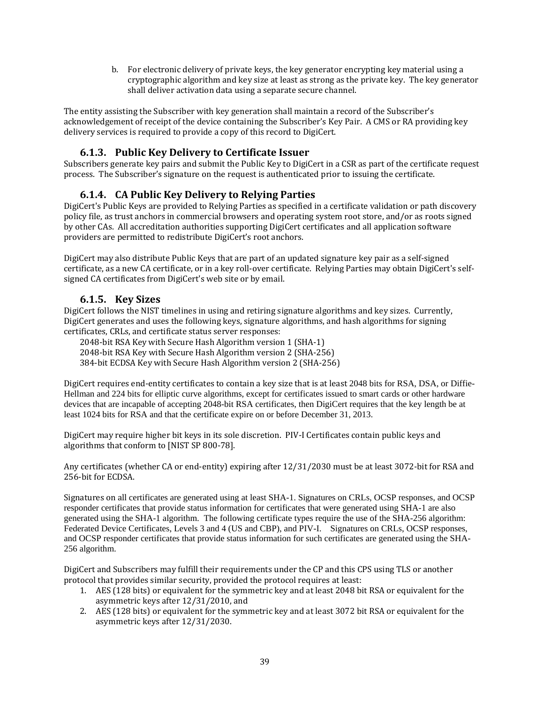b. For electronic delivery of private keys, the key generator encrypting key material using a cryptographic algorithm and key size at least as strong as the private key. The key generator shall deliver activation data using a separate secure channel.

The entity assisting the Subscriber with key generation shall maintain a record of the Subscriber's acknowledgement of receipt of the device containing the Subscriber's Key Pair. A CMS or RA providing key delivery services is required to provide a copy of this record to DigiCert.

## **6.1.3. Public Key Delivery to Certificate Issuer**

Subscribers generate key pairs and submit the Public Key to DigiCert in a CSR as part of the certificate request process. The Subscriber's signature on the request is authenticated prior to issuing the certificate.

## **6.1.4. CA Public Key Delivery to Relying Parties**

DigiCert's Public Keys are provided to Relying Parties as specified in a certificate validation or path discovery policy file, as trust anchors in commercial browsers and operating system root store, and/or as roots signed by other CAs. All accreditation authorities supporting DigiCert certificates and all application software providers are permitted to redistribute DigiCert's root anchors.

DigiCert may also distribute Public Keys that are part of an updated signature key pair as a self‐signed certificate, as a new CA certificate, or in a key roll‐over certificate. Relying Parties may obtain DigiCert's self‐ signed CA certificates from DigiCert's web site or by email.

## **6.1.5. Key Sizes**

DigiCert follows the NIST timelines in using and retiring signature algorithms and key sizes. Currently, DigiCert generates and uses the following keys, signature algorithms, and hash algorithms for signing certificates, CRLs, and certificate status server responses:

2048‐bit RSA Key with Secure Hash Algorithm version 1 (SHA‐1)

2048‐bit RSA Key with Secure Hash Algorithm version 2 (SHA‐256)

384‐bit ECDSA Key with Secure Hash Algorithm version 2 (SHA‐256)

DigiCert requires end-entity certificates to contain a key size that is at least 2048 bits for RSA, DSA, or Diffie-Hellman and 224 bits for elliptic curve algorithms, except for certificates issued to smart cards or other hardware devices that are incapable of accepting 2048-bit RSA certificates, then DigiCert requires that the key length be at least 1024 bits for RSA and that the certificate expire on or before December 31, 2013.

DigiCert may require higher bit keys in its sole discretion. PIV‐I Certificates contain public keys and algorithms that conform to [NIST SP 800‐78].

Any certificates (whether CA or end‐entity) expiring after 12/31/2030 must be at least 3072‐bit for RSA and 256‐bit for ECDSA.

Signatures on all certificates are generated using at least SHA-1. Signatures on CRLs, OCSP responses, and OCSP responder certificates that provide status information for certificates that were generated using SHA-1 are also generated using the SHA-1 algorithm. The following certificate types require the use of the SHA-256 algorithm: Federated Device Certificates, Levels 3 and 4 (US and CBP), and PIV-I. Signatures on CRLs, OCSP responses, and OCSP responder certificates that provide status information for such certificates are generated using the SHA-256 algorithm.

DigiCert and Subscribers may fulfill their requirements under the CP and this CPS using TLS or another protocol that provides similar security, provided the protocol requires at least:

- 1. AES (128 bits) or equivalent for the symmetric key and at least 2048 bit RSA or equivalent for the asymmetric keys after 12/31/2010, and
- 2. AES (128 bits) or equivalent for the symmetric key and at least 3072 bit RSA or equivalent for the asymmetric keys after 12/31/2030.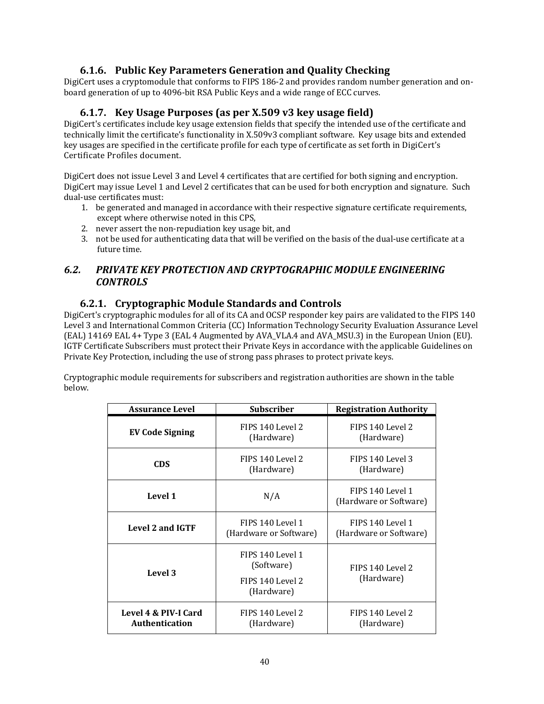## **6.1.6. Public Key Parameters Generation and Quality Checking**

DigiCert uses a cryptomodule that conforms to FIPS 186‐2 and provides random number generation and on‐ board generation of up to 4096‐bit RSA Public Keys and a wide range of ECC curves.

## **6.1.7. Key Usage Purposes (as per X.509 v3 key usage field)**

DigiCert's certificates include key usage extension fields that specify the intended use of the certificate and technically limit the certificate's functionality in X.509v3 compliant software. Key usage bits and extended key usages are specified in the certificate profile for each type of certificate as set forth in DigiCert's Certificate Profiles document.

DigiCert does not issue Level 3 and Level 4 certificates that are certified for both signing and encryption. DigiCert may issue Level 1 and Level 2 certificates that can be used for both encryption and signature. Such dual‐use certificates must:

- 1. be generated and managed in accordance with their respective signature certificate requirements, except where otherwise noted in this CPS,
- 2. never assert the non-repudiation key usage bit, and
- 3. not be used for authenticating data that will be verified on the basis of the dual‐use certificate at a future time.

## *6.2. PRIVATE KEY PROTECTION AND CRYPTOGRAPHIC MODULE ENGINEERING CONTROLS*

## **6.2.1. Cryptographic Module Standards and Controls**

DigiCert's cryptographic modules for all of its CA and OCSP responder key pairs are validated to the FIPS 140 Level 3 and International Common Criteria (CC) Information Technology Security Evaluation Assurance Level (EAL) 14169 EAL 4+ Type 3 (EAL 4 Augmented by AVA\_VLA.4 and AVA\_MSU.3) in the European Union (EU). IGTF Certificate Subscribers must protect their Private Keys in accordance with the applicable Guidelines on Private Key Protection, including the use of strong pass phrases to protect private keys.

Cryptographic module requirements for subscribers and registration authorities are shown in the table below.

| <b>Assurance Level</b>                                                      | <b>Subscriber</b>                          | <b>Registration Authority</b>              |
|-----------------------------------------------------------------------------|--------------------------------------------|--------------------------------------------|
| <b>EV Code Signing</b>                                                      | FIPS 140 Level 2<br>(Hardware)             | FIPS 140 Level 2<br>(Hardware)             |
| <b>CDS</b>                                                                  | FIPS 140 Level 2<br>(Hardware)             | FIPS 140 Level 3<br>(Hardware)             |
| Level 1                                                                     | N/A                                        | FIPS 140 Level 1<br>(Hardware or Software) |
| Level 2 and IGTF                                                            | FIPS 140 Level 1<br>(Hardware or Software) | FIPS 140 Level 1<br>(Hardware or Software) |
| FIPS 140 Level 1<br>(Software)<br>Level 3<br>FIPS 140 Level 2<br>(Hardware) |                                            | FIPS 140 Level 2<br>(Hardware)             |
| Level 4 & PIV-I Card<br>Authentication                                      | FIPS 140 Level 2<br>(Hardware)             | FIPS 140 Level 2<br>(Hardware)             |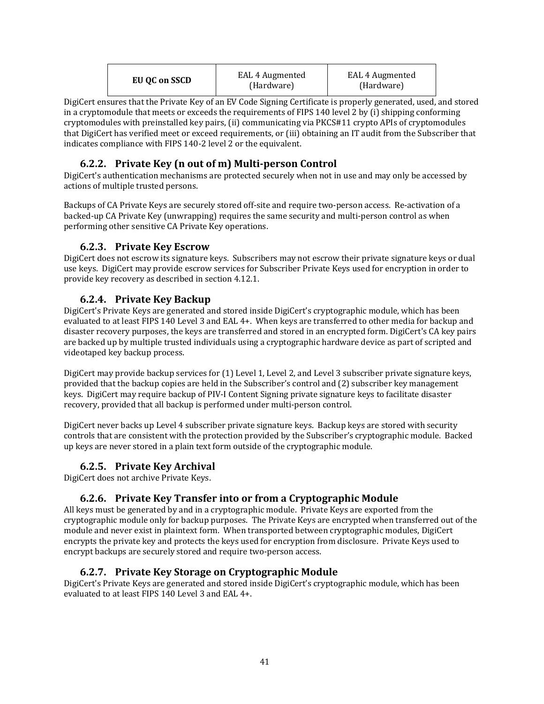| EU QC on SSCD<br>(Hardware)<br>(Hardware) |
|-------------------------------------------|
|-------------------------------------------|

DigiCert ensures that the Private Key of an EV Code Signing Certificate is properly generated, used, and stored in a cryptomodule that meets or exceeds the requirements of FIPS 140 level 2 by (i) shipping conforming cryptomodules with preinstalled key pairs, (ii) communicating via PKCS#11 crypto APIs of cryptomodules that DigiCert has verified meet or exceed requirements, or (iii) obtaining an IT audit from the Subscriber that indicates compliance with FIPS 140‐2 level 2 or the equivalent.

## **6.2.2. Private Key (n out of m) Multiperson Control**

DigiCert's authentication mechanisms are protected securely when not in use and may only be accessed by actions of multiple trusted persons.

Backups of CA Private Keys are securely stored off-site and require two-person access. Re-activation of a backed-up CA Private Key (unwrapping) requires the same security and multi-person control as when performing other sensitive CA Private Key operations.

#### **6.2.3. Private Key Escrow**

DigiCert does not escrow its signature keys. Subscribers may not escrow their private signature keys or dual use keys. DigiCert may provide escrow services for Subscriber Private Keys used for encryption in order to provide key recovery as described in section 4.12.1.

## **6.2.4. Private Key Backup**

DigiCert's Private Keys are generated and stored inside DigiCert's cryptographic module, which has been evaluated to at least FIPS 140 Level 3 and EAL 4+. When keys are transferred to other media for backup and disaster recovery purposes, the keys are transferred and stored in an encrypted form. DigiCert's CA key pairs are backed up by multiple trusted individuals using a cryptographic hardware device as part of scripted and videotaped key backup process.

DigiCert may provide backup services for (1) Level 1, Level 2, and Level 3 subscriber private signature keys, provided that the backup copies are held in the Subscriber's control and (2) subscriber key management keys. DigiCert may require backup of PIV‐I Content Signing private signature keys to facilitate disaster recovery, provided that all backup is performed under multi‐person control.

DigiCert never backs up Level 4 subscriber private signature keys. Backup keys are stored with security controls that are consistent with the protection provided by the Subscriber's cryptographic module. Backed up keys are never stored in a plain text form outside of the cryptographic module.

## **6.2.5. Private Key Archival**

DigiCert does not archive Private Keys.

## **6.2.6. Private Key Transfer into or from a Cryptographic Module**

All keys must be generated by and in a cryptographic module. Private Keys are exported from the cryptographic module only for backup purposes. The Private Keys are encrypted when transferred out of the module and never exist in plaintext form. When transported between cryptographic modules, DigiCert encrypts the private key and protects the keys used for encryption from disclosure. Private Keys used to encrypt backups are securely stored and require two-person access.

#### **6.2.7. Private Key Storage on Cryptographic Module**

DigiCert's Private Keys are generated and stored inside DigiCert's cryptographic module, which has been evaluated to at least FIPS 140 Level 3 and EAL 4+.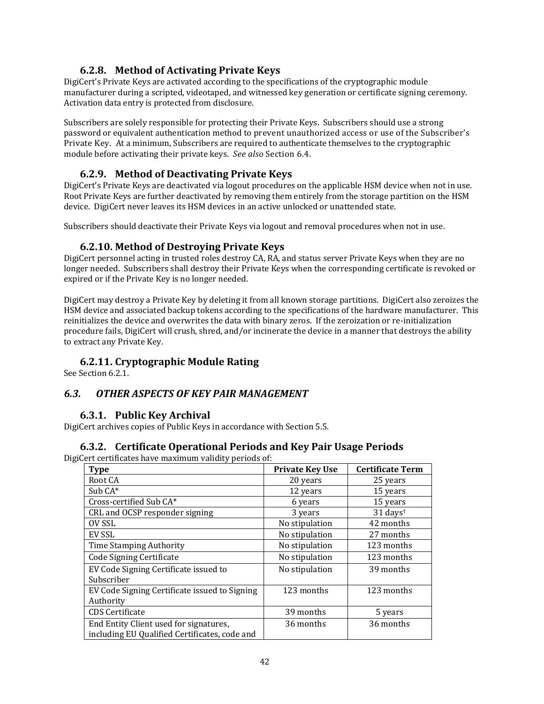#### **6.2.8. Method of Activating Private Keys**

DigiCert's Private Keys are activated according to the specifications of the cryptographic module manufacturer during a scripted, videotaped, and witnessed key generation or certificate signing ceremony. Activation data entry is protected from disclosure.

Subscribers are solely responsible for protecting their Private Keys. Subscribers should use a strong password or equivalent authentication method to prevent unauthorized access or use of the Subscriber's Private Key. At a minimum, Subscribers are required to authenticate themselves to the cryptographic module before activating their private keys. *See also* Section 6.4.

#### **6.2.9. Method of Deactivating Private Keys**

DigiCert's Private Keys are deactivated via logout procedures on the applicable HSM device when not in use. Root Private Keys are further deactivated by removing them entirely from the storage partition on the HSM device. DigiCert never leaves its HSM devices in an active unlocked or unattended state.

Subscribers should deactivate their Private Keys via logout and removal procedures when not in use.

#### **6.2.10. Method of Destroying Private Keys**

DigiCert personnel acting in trusted roles destroy CA, RA, and status server Private Keys when they are no longer needed. Subscribers shall destroy their Private Keys when the corresponding certificate is revoked or expired or if the Private Key is no longer needed.

DigiCert may destroy a Private Key by deleting it from all known storage partitions. DigiCert also zeroizes the HSM device and associated backup tokens according to the specifications of the hardware manufacturer. This reinitializes the device and overwrites the data with binary zeros. If the zeroization or re-initialization procedure fails, DigiCert will crush, shred, and/or incinerate the device in a manner that destroys the ability to extract any Private Key.

## **6.2.11. Cryptographic Module Rating**

See Section 6.2.1.

#### *6.3. OTHER ASPECTS OF KEY PAIR MANAGEMENT*

#### **6.3.1. Public Key Archival**

DigiCert archives copies of Public Keys in accordance with Section 5.5.

#### **6.3.2. Certificate Operational Periods and Key Pair Usage Periods**

DigiCert certificates have maximum validity periods of:

| <b>Type</b>                                                                             | <b>Private Key Use</b> | <b>Certificate Term</b> |
|-----------------------------------------------------------------------------------------|------------------------|-------------------------|
| Root CA                                                                                 | 20 years               | 25 years                |
| Sub CA*                                                                                 | 12 years               | 15 years                |
| Cross-certified Sub CA*                                                                 | 6 years                | 15 years                |
| CRL and OCSP responder signing                                                          | 3 years                | 31 days <sup>t</sup>    |
| OV SSL                                                                                  | No stipulation         | 42 months               |
| EV SSL                                                                                  | No stipulation         | 27 months               |
| <b>Time Stamping Authority</b>                                                          | No stipulation         | 123 months              |
| <b>Code Signing Certificate</b>                                                         | No stipulation         | 123 months              |
| EV Code Signing Certificate issued to<br>Subscriber                                     | No stipulation         | 39 months               |
| EV Code Signing Certificate issued to Signing<br>Authority                              | 123 months             | 123 months              |
| <b>CDS</b> Certificate                                                                  | 39 months              | 5 years                 |
| End Entity Client used for signatures,<br>including EU Qualified Certificates, code and | 36 months              | 36 months               |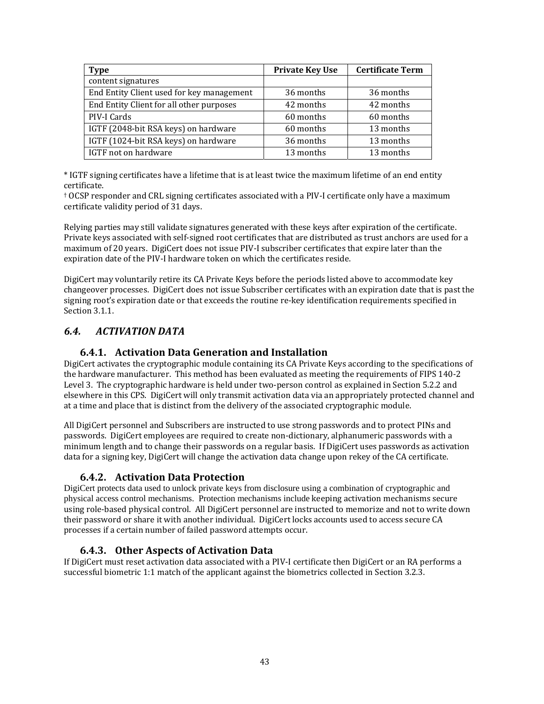| <b>Type</b>                               | <b>Private Key Use</b> | <b>Certificate Term</b> |
|-------------------------------------------|------------------------|-------------------------|
| content signatures                        |                        |                         |
| End Entity Client used for key management | 36 months              | 36 months               |
| End Entity Client for all other purposes  | 42 months              | 42 months               |
| PIV-I Cards                               | 60 months              | 60 months               |
| IGTF (2048-bit RSA keys) on hardware      | 60 months              | 13 months               |
| IGTF (1024-bit RSA keys) on hardware      | 36 months              | 13 months               |
| IGTF not on hardware                      | 13 months              | 13 months               |

\* IGTF signing certificates have a lifetime that is at least twice the maximum lifetime of an end entity certificate.

† OCSP responder and CRL signing certificates associated with a PIV‐I certificate only have a maximum certificate validity period of 31 days.

Relying parties may still validate signatures generated with these keys after expiration of the certificate. Private keys associated with self‐signed root certificates that are distributed as trust anchors are used for a maximum of 20 years. DigiCert does not issue PIV‐I subscriber certificates that expire later than the expiration date of the PIV‐I hardware token on which the certificates reside.

DigiCert may voluntarily retire its CA Private Keys before the periods listed above to accommodate key changeover processes. DigiCert does not issue Subscriber certificates with an expiration date that is past the signing root's expiration date or that exceeds the routine re-key identification requirements specified in Section 3.1.1.

## *6.4. ACTIVATION DATA*

#### **6.4.1. Activation Data Generation and Installation**

DigiCert activates the cryptographic module containing its CA Private Keys according to the specifications of the hardware manufacturer. This method has been evaluated as meeting the requirements of FIPS 140‐2 Level 3. The cryptographic hardware is held under two-person control as explained in Section 5.2.2 and elsewhere in this CPS. DigiCert will only transmit activation data via an appropriately protected channel and at a time and place that is distinct from the delivery of the associated cryptographic module.

All DigiCert personnel and Subscribers are instructed to use strong passwords and to protect PINs and passwords. DigiCert employees are required to create non‐dictionary, alphanumeric passwords with a minimum length and to change their passwords on a regular basis. If DigiCert uses passwords as activation data for a signing key, DigiCert will change the activation data change upon rekey of the CA certificate.

#### **6.4.2. Activation Data Protection**

DigiCert protects data used to unlock private keys from disclosure using a combination of cryptographic and physical access control mechanisms. Protection mechanisms include keeping activation mechanisms secure using role‐based physical control. All DigiCert personnel are instructed to memorize and not to write down their password or share it with another individual. DigiCert locks accounts used to access secure CA processes if a certain number of failed password attempts occur.

#### **6.4.3. Other Aspects of Activation Data**

If DigiCert must reset activation data associated with a PIV‐I certificate then DigiCert or an RA performs a successful biometric 1:1 match of the applicant against the biometrics collected in Section 3.2.3.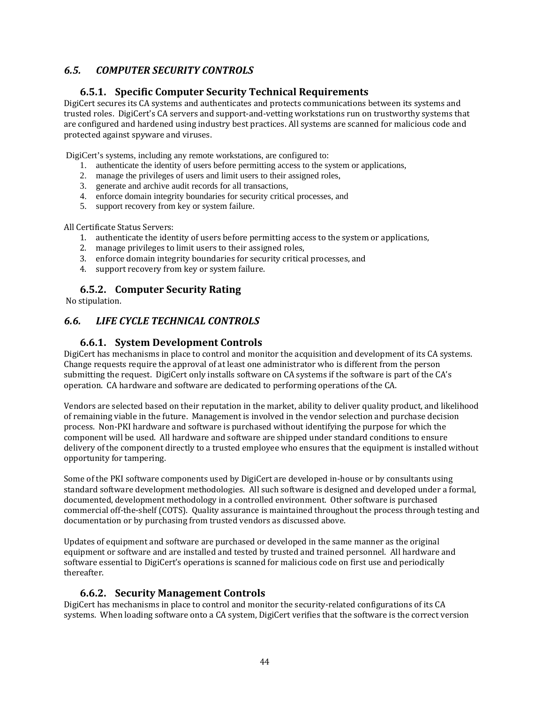## *6.5. COMPUTER SECURITY CONTROLS*

#### **6.5.1. Specific Computer Security Technical Requirements**

DigiCert secures its CA systems and authenticates and protects communications between its systems and trusted roles. DigiCert's CA servers and support‐and‐vetting workstations run on trustworthy systems that are configured and hardened using industry best practices. All systems are scanned for malicious code and protected against spyware and viruses.

DigiCert's systems, including any remote workstations, are configured to:

- 1. authenticate the identity of users before permitting access to the system or applications,
- 2. manage the privileges of users and limit users to their assigned roles,
- 3. generate and archive audit records for all transactions,
- 4. enforce domain integrity boundaries for security critical processes, and
- 5. support recovery from key or system failure.

All Certificate Status Servers:

- 1. authenticate the identity of users before permitting access to the system or applications,
- 2. manage privileges to limit users to their assigned roles,
- 3. enforce domain integrity boundaries for security critical processes, and
- 4. support recovery from key or system failure.

#### **6.5.2. Computer Security Rating**

No stipulation.

#### *6.6. LIFE CYCLE TECHNICAL CONTROLS*

#### **6.6.1. System Development Controls**

DigiCert has mechanisms in place to control and monitor the acquisition and development of its CA systems. Change requests require the approval of at least one administrator who is different from the person submitting the request. DigiCert only installs software on CA systems if the software is part of the CA's operation. CA hardware and software are dedicated to performing operations of the CA.

Vendors are selected based on their reputation in the market, ability to deliver quality product, and likelihood of remaining viable in the future. Management is involved in the vendor selection and purchase decision process. Non‐PKI hardware and software is purchased without identifying the purpose for which the component will be used. All hardware and software are shipped under standard conditions to ensure delivery of the component directly to a trusted employee who ensures that the equipment is installed without opportunity for tampering.

Some of the PKI software components used by DigiCert are developed in-house or by consultants using standard software development methodologies. All such software is designed and developed under a formal, documented, development methodology in a controlled environment. Other software is purchased commercial off-the-shelf (COTS). Quality assurance is maintained throughout the process through testing and documentation or by purchasing from trusted vendors as discussed above.

Updates of equipment and software are purchased or developed in the same manner as the original equipment or software and are installed and tested by trusted and trained personnel. All hardware and software essential to DigiCert's operations is scanned for malicious code on first use and periodically thereafter.

#### **6.6.2. Security Management Controls**

DigiCert has mechanisms in place to control and monitor the security-related configurations of its CA systems. When loading software onto a CA system, DigiCert verifies that the software is the correct version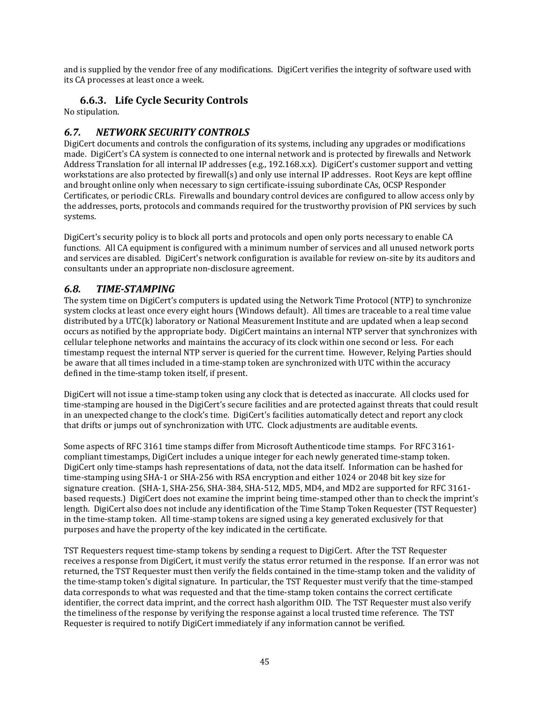and is supplied by the vendor free of any modifications. DigiCert verifies the integrity of software used with its CA processes at least once a week.

## **6.6.3. Life Cycle Security Controls**

No stipulation.

## *6.7. NETWORK SECURITY CONTROLS*

DigiCert documents and controls the configuration of its systems, including any upgrades or modifications made. DigiCert's CA system is connected to one internal network and is protected by firewalls and Network Address Translation for all internal IP addresses (e.g., 192.168.x.x). DigiCert's customer support and vetting workstations are also protected by firewall(s) and only use internal IP addresses. Root Keys are kept offline and brought online only when necessary to sign certificate‐issuing subordinate CAs, OCSP Responder Certificates, or periodic CRLs. Firewalls and boundary control devices are configured to allow access only by the addresses, ports, protocols and commands required for the trustworthy provision of PKI services by such systems.

DigiCert's security policy is to block all ports and protocols and open only ports necessary to enable CA functions. All CA equipment is configured with a minimum number of services and all unused network ports and services are disabled. DigiCert's network configuration is available for review on‐site by its auditors and consultants under an appropriate non‐disclosure agreement.

## *6.8. TIMESTAMPING*

The system time on DigiCert's computers is updated using the Network Time Protocol (NTP) to synchronize system clocks at least once every eight hours (Windows default). All times are traceable to a real time value distributed by a UTC(k) laboratory or National Measurement Institute and are updated when a leap second occurs as notified by the appropriate body. DigiCert maintains an internal NTP server that synchronizes with cellular telephone networks and maintains the accuracy of its clock within one second or less. For each timestamp request the internal NTP server is queried for the current time. However, Relying Parties should be aware that all times included in a time-stamp token are synchronized with UTC within the accuracy defined in the time‐stamp token itself, if present.

DigiCert will not issue a time‐stamp token using any clock that is detected as inaccurate. All clocks used for time‐stamping are housed in the DigiCert's secure facilities and are protected against threats that could result in an unexpected change to the clock's time. DigiCert's facilities automatically detect and report any clock that drifts or jumps out of synchronization with UTC. Clock adjustments are auditable events.

Some aspects of RFC 3161 time stamps differ from Microsoft Authenticode time stamps. For RFC 3161‐ compliant timestamps, DigiCert includes a unique integer for each newly generated time-stamp token. DigiCert only time‐stamps hash representations of data, not the data itself. Information can be hashed for time‐stamping using SHA‐1 or SHA‐256 with RSA encryption and either 1024 or 2048 bit key size for signature creation. (SHA‐1, SHA‐256, SHA‐384, SHA‐512, MD5, MD4, and MD2 are supported for RFC 3161‐ based requests.) DigiCert does not examine the imprint being time‐stamped other than to check the imprint's length. DigiCert also does not include any identification of the Time Stamp Token Requester (TST Requester) in the time‐stamp token. All time‐stamp tokens are signed using a key generated exclusively for that purposes and have the property of the key indicated in the certificate.

TST Requesters request time‐stamp tokens by sending a request to DigiCert. After the TST Requester receives a response from DigiCert, it must verify the status error returned in the response. If an error was not returned, the TST Requester must then verify the fields contained in the time‐stamp token and the validity of the time‐stamp token's digital signature. In particular, the TST Requester must verify that the time‐stamped data corresponds to what was requested and that the time‐stamp token contains the correct certificate identifier, the correct data imprint, and the correct hash algorithm OID. The TST Requester must also verify the timeliness of the response by verifying the response against a local trusted time reference. The TST Requester is required to notify DigiCert immediately if any information cannot be verified.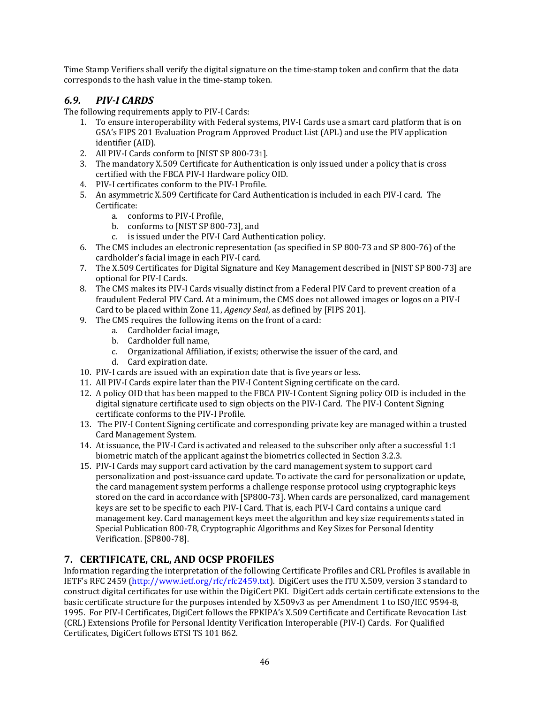Time Stamp Verifiers shall verify the digital signature on the time‐stamp token and confirm that the data corresponds to the hash value in the time‐stamp token.

## *6.9. PIVI CARDS*

The following requirements apply to PIV‐I Cards:

- 1. To ensure interoperability with Federal systems, PIV‐I Cards use a smart card platform that is on GSA's FIPS 201 Evaluation Program Approved Product List (APL) and use the PIV application identifier (AID).
- 2. All PIV-I Cards conform to [NIST SP 800-731].
- 3. The mandatory X.509 Certificate for Authentication is only issued under a policy that is cross certified with the FBCA PIV‐I Hardware policy OID.
- 4. PIV‐I certificates conform to the PIV‐I Profile.
- 5. An asymmetric X.509 Certificate for Card Authentication is included in each PIV-I card. The Certificate:
	- a. conforms to PIV‐I Profile,
	- b. conforms to [NIST SP 800‐73], and
	- c. is issued under the PIV‐I Card Authentication policy.
- 6. The CMS includes an electronic representation (as specified in SP 800‐73 and SP 800‐76) of the cardholder's facial image in each PIV‐I card.
- 7. The X.509 Certificates for Digital Signature and Key Management described in [NIST SP 800‐73] are optional for PIV‐I Cards.
- 8. The CMS makes its PIV-I Cards visually distinct from a Federal PIV Card to prevent creation of a fraudulent Federal PIV Card. At a minimum, the CMS does not allowed images or logos on a PIV‐I Card to be placed within Zone 11, *Agency Seal*, as defined by [FIPS 201].
- 9. The CMS requires the following items on the front of a card:
	- a. Cardholder facial image,
	- b. Cardholder full name,
	- c. Organizational Affiliation, if exists; otherwise the issuer of the card, and
	- d. Card expiration date.
- 10. PIV‐I cards are issued with an expiration date that is five years or less.
- 11. All PIV‐I Cards expire later than the PIV‐I Content Signing certificate on the card.
- 12. A policy OID that has been mapped to the FBCA PIV‐I Content Signing policy OID is included in the digital signature certificate used to sign objects on the PIV‐I Card. The PIV‐I Content Signing certificate conforms to the PIV‐I Profile.
- 13. The PIV‐I Content Signing certificate and corresponding private key are managed within a trusted Card Management System.
- 14. At issuance, the PIV‐I Card is activated and released to the subscriber only after a successful 1:1 biometric match of the applicant against the biometrics collected in Section 3.2.3.
- 15. PIV‐I Cards may support card activation by the card management system to support card personalization and post‐issuance card update. To activate the card for personalization or update, the card management system performs a challenge response protocol using cryptographic keys stored on the card in accordance with [SP800-73]. When cards are personalized, card management keys are set to be specific to each PIV‐I Card. That is, each PIV‐I Card contains a unique card management key. Card management keys meet the algorithm and key size requirements stated in Special Publication 800‐78, Cryptographic Algorithms and Key Sizes for Personal Identity Verification. [SP800‐78].

## **7. CERTIFICATE, CRL, AND OCSP PROFILES**

Information regarding the interpretation of the following Certificate Profiles and CRL Profiles is available in IETF's RFC 2459 (http://www.ietf.org/rfc/rfc2459.txt). DigiCert uses the ITU X.509, version 3 standard to construct digital certificates for use within the DigiCert PKI. DigiCert adds certain certificate extensions to the basic certificate structure for the purposes intended by X.509v3 as per Amendment 1 to ISO/IEC 9594‐8, 1995. For PIV‐I Certificates, DigiCert follows the FPKIPA's X.509 Certificate and Certificate Revocation List (CRL) Extensions Profile for Personal Identity Verification Interoperable (PIV‐I) Cards. For Qualified Certificates, DigiCert follows ETSI TS 101 862.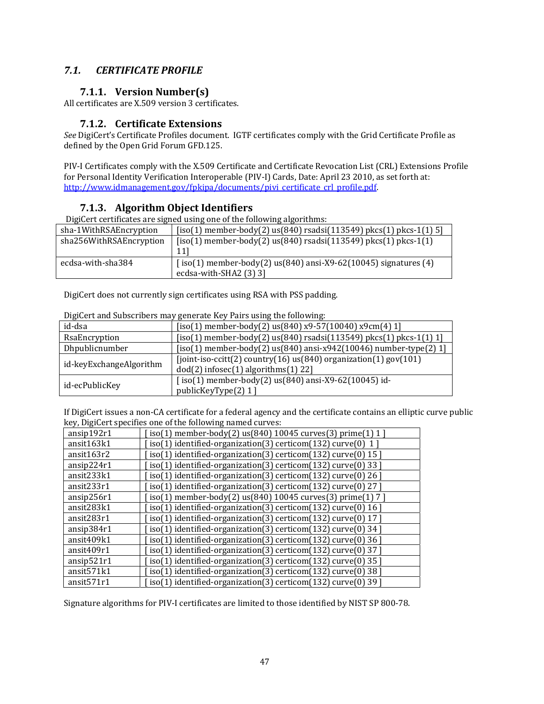## *7.1. CERTIFICATE PROFILE*

#### **7.1.1. Version Number(s)**

All certificates are X.509 version 3 certificates.

#### **7.1.2. Certificate Extensions**

*See* DigiCert's Certificate Profiles document. IGTF certificates comply with the Grid Certificate Profile as defined by the Open Grid Forum GFD.125.

PIV‐I Certificates comply with the X.509 Certificate and Certificate Revocation List (CRL) Extensions Profile for Personal Identity Verification Interoperable (PIV‐I) Cards, Date: April 23 2010, as set forth at: http://www.idmanagement.gov/fpkipa/documents/pivi\_certificate\_crl\_profile.pdf.

#### **7.1.3. Algorithm Object Identifiers**

DigiCert certificates are signed using one of the following algorithms:

| sha-1WithRSAEncryption  | $[iso(1)$ member-body(2) us(840) rsadsi(113549) pkcs(1) pkcs-1(1) 5]         |
|-------------------------|------------------------------------------------------------------------------|
| sha256WithRSAEncryption | $[iso(1)$ member-body(2) us(840) rsadsi(113549) pkcs(1) pkcs-1(1)            |
|                         | 111                                                                          |
| ecdsa-with-sha384       | $[iso(1)$ member-body $(2)$ us $(840)$ ansi-X9-62 $(10045)$ signatures $(4)$ |
|                         | ecdsa-with-SHA2 (3) 3]                                                       |

DigiCert does not currently sign certificates using RSA with PSS padding.

| DigiCert and Subscribers may generate Key Pairs using the following: |
|----------------------------------------------------------------------|
|                                                                      |

|                         | present and papper locks may generate hey I allo ability the following.                                           |
|-------------------------|-------------------------------------------------------------------------------------------------------------------|
| id-dsa                  | $[iso(1)$ member-body(2) us(840) x9-57(10040) x9cm(4) 1]                                                          |
| RsaEncryption           | $[iso(1)$ member-body(2) us(840) rsadsi(113549) pkcs(1) pkcs-1(1) 1]                                              |
| Dhpublicnumber          | $[iso(1)$ member-body(2) us(840) ansi-x942(10046) number-type(2) 1]                                               |
| id-keyExchangeAlgorithm | [joint-iso-ccitt(2) country(16) $us(840)$ organization(1) gov(101)<br>$dod(2)$ infosec $(1)$ algorithms $(1)$ 22] |
| id-ecPublicKey          | $[iso(1)$ member-body $(2)$ us $(840)$ ansi-X9-62 $(10045)$ id-<br>publicKeyType(2) 1 ]                           |

If DigiCert issues a non‐CA certificate for a federal agency and the certificate contains an elliptic curve public key, DigiCert specifies one of the following named curves:

| ansip192r1             | iso(1) member-body(2) us(840) 10045 curves(3) prime(1) 1 ]    |
|------------------------|---------------------------------------------------------------|
| ansit163k1             | iso(1) identified-organization(3) certicom(132) curve(0) 1]   |
| ansit163r2             | iso(1) identified-organization(3) certicom(132) curve(0) 15 ] |
| ansip224r1             | iso(1) identified-organization(3) certicom(132) curve(0) 33 ] |
| ansit233k1             | iso(1) identified-organization(3) certicom(132) curve(0) 26]  |
| ansit233r1             | iso(1) identified-organization(3) certicom(132) curve(0) 27 ] |
| ansip256r1             | iso(1) member-body(2) us(840) 10045 curves(3) prime(1) 7 ]    |
| ansit283k1             | iso(1) identified-organization(3) certicom(132) curve(0) 16 ] |
| ansit283r1             | iso(1) identified-organization(3) certicom(132) curve(0) 17 ] |
| ansip384r1             | iso(1) identified-organization(3) certicom(132) curve(0) 34 ] |
| ansit409k1             | iso(1) identified-organization(3) certicom(132) curve(0) 36 ] |
| ansit409r1             | iso(1) identified-organization(3) certicom(132) curve(0) 37 ] |
| ansip521r1             | iso(1) identified-organization(3) certicom(132) curve(0) 35 ] |
| ansit <sub>571k1</sub> | iso(1) identified-organization(3) certicom(132) curve(0) 38]  |
| ansit571r1             | iso(1) identified-organization(3) certicom(132) curve(0) 39]  |

Signature algorithms for PIV‐I certificates are limited to those identified by NIST SP 800‐78.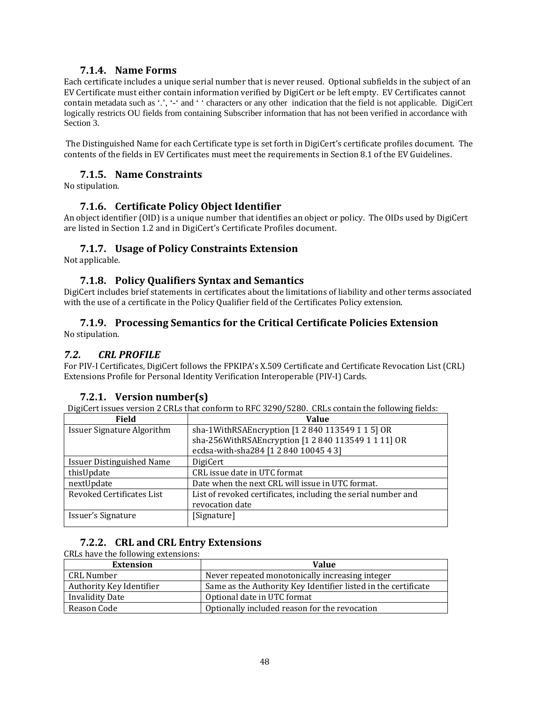#### **7.1.4. Name Forms**

Each certificate includes a unique serial number that is never reused. Optional subfields in the subject of an EV Certificate must either contain information verified by DigiCert or be left empty. EV Certificates cannot contain metadata such as '.', '-' and ' ' characters or any other indication that the field is not applicable. DigiCert logically restricts OU fields from containing Subscriber information that has not been verified in accordance with Section 3.

 The Distinguished Name for each Certificate type is set forth in DigiCert's certificate profiles document. The contents of the fields in EV Certificates must meet the requirements in Section 8.1 of the EV Guidelines.

#### **7.1.5. Name Constraints**

No stipulation.

#### **7.1.6. Certificate Policy Object Identifier**

An object identifier (OID) is a unique number that identifies an object or policy. The OIDs used by DigiCert are listed in Section 1.2 and in DigiCert's Certificate Profiles document.

#### **7.1.7. Usage of Policy Constraints Extension**

Not applicable.

#### **7.1.8. Policy Qualifiers Syntax and Semantics**

DigiCert includes brief statements in certificates about the limitations of liability and other terms associated with the use of a certificate in the Policy Qualifier field of the Certificates Policy extension.

## **7.1.9. Processing Semantics for the Critical Certificate Policies Extension**

No stipulation.

#### *7.2. CRL PROFILE*

For PIV‐I Certificates, DigiCert follows the FPKIPA's X.509 Certificate and Certificate Revocation List (CRL) Extensions Profile for Personal Identity Verification Interoperable (PIV‐I) Cards.

#### **7.2.1. Version number(s)**

DigiCert issues version 2 CRLs that conform to RFC 3290/5280. CRLs contain the following fields:

| <b>Field</b>                      | <b>Value</b>                                                  |
|-----------------------------------|---------------------------------------------------------------|
| <b>Issuer Signature Algorithm</b> | sha-1WithRSAEncryption [1 2 840 113549 1 1 5] OR              |
|                                   | sha-256WithRSAEncryption [1 2 840 113549 1 1 11] OR           |
|                                   | ecdsa-with-sha284 [1 2 840 10045 4 3]                         |
| <b>Issuer Distinguished Name</b>  | DigiCert                                                      |
| thisUpdate                        | CRL issue date in UTC format                                  |
| nextUpdate                        | Date when the next CRL will issue in UTC format.              |
| Revoked Certificates List         | List of revoked certificates, including the serial number and |
|                                   | revocation date                                               |
| Issuer's Signature                | [Signature]                                                   |

#### **7.2.2. CRL and CRL Entry Extensions**

CRLs have the following extensions:

| <b>Extension</b>         | Value                                                          |
|--------------------------|----------------------------------------------------------------|
| CRL Number               | Never repeated monotonically increasing integer                |
| Authority Key Identifier | Same as the Authority Key Identifier listed in the certificate |
| <b>Invalidity Date</b>   | Optional date in UTC format                                    |
| Reason Code              | Optionally included reason for the revocation                  |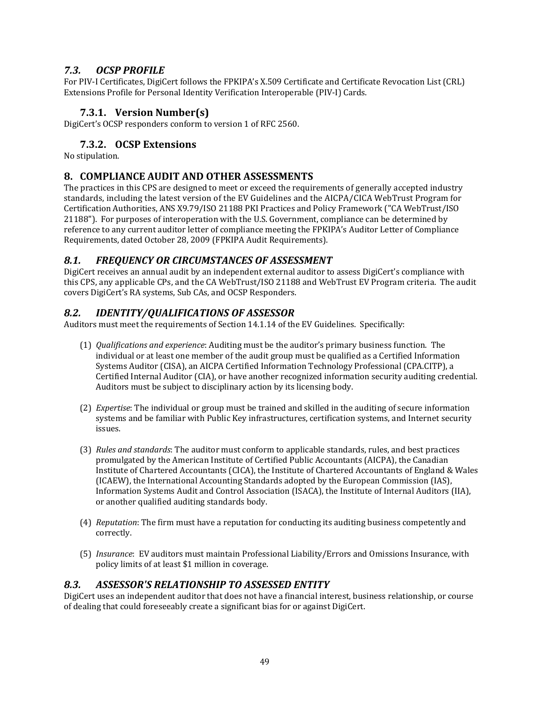## *7.3. OCSP PROFILE*

For PIV‐I Certificates, DigiCert follows the FPKIPA's X.509 Certificate and Certificate Revocation List (CRL) Extensions Profile for Personal Identity Verification Interoperable (PIV‐I) Cards.

## **7.3.1. Version Number(s)**

DigiCert's OCSP responders conform to version 1 of RFC 2560.

## **7.3.2. OCSP Extensions**

No stipulation.

## **8. COMPLIANCE AUDIT AND OTHER ASSESSMENTS**

The practices in this CPS are designed to meet or exceed the requirements of generally accepted industry standards, including the latest version of the EV Guidelines and the AICPA/CICA WebTrust Program for Certification Authorities, ANS X9.79/ISO 21188 PKI Practices and Policy Framework ("CA WebTrust/ISO 21188"). For purposes of interoperation with the U.S. Government, compliance can be determined by reference to any current auditor letter of compliance meeting the FPKIPA's Auditor Letter of Compliance Requirements, dated October 28, 2009 (FPKIPA Audit Requirements).

## *8.1. FREQUENCY OR CIRCUMSTANCES OF ASSESSMENT*

DigiCert receives an annual audit by an independent external auditor to assess DigiCert's compliance with this CPS, any applicable CPs, and the CA WebTrust/ISO 21188 and WebTrust EV Program criteria. The audit covers DigiCert's RA systems, Sub CAs, and OCSP Responders.

## *8.2. IDENTITY/QUALIFICATIONS OF ASSESSOR*

Auditors must meet the requirements of Section 14.1.14 of the EV Guidelines. Specifically:

- (1) *Qualifications and experience*: Auditing must be the auditor's primary business function. The individual or at least one member of the audit group must be qualified as a Certified Information Systems Auditor (CISA), an AICPA Certified Information Technology Professional (CPA.CITP), a Certified Internal Auditor (CIA), or have another recognized information security auditing credential. Auditors must be subject to disciplinary action by its licensing body.
- (2) *Expertise*: The individual or group must be trained and skilled in the auditing of secure information systems and be familiar with Public Key infrastructures, certification systems, and Internet security issues.
- (3) *Rules and standards*: The auditor must conform to applicable standards, rules, and best practices promulgated by the American Institute of Certified Public Accountants (AICPA), the Canadian Institute of Chartered Accountants (CICA), the Institute of Chartered Accountants of England & Wales (ICAEW), the International Accounting Standards adopted by the European Commission (IAS), Information Systems Audit and Control Association (ISACA), the Institute of Internal Auditors (IIA), or another qualified auditing standards body.
- (4) *Reputation*: The firm must have a reputation for conducting its auditing business competently and correctly.
- (5) *Insurance*: EV auditors must maintain Professional Liability/Errors and Omissions Insurance, with policy limits of at least \$1 million in coverage.

## *8.3. ASSESSOR'S RELATIONSHIP TO ASSESSED ENTITY*

DigiCert uses an independent auditor that does not have a financial interest, business relationship, or course of dealing that could foreseeably create a significant bias for or against DigiCert.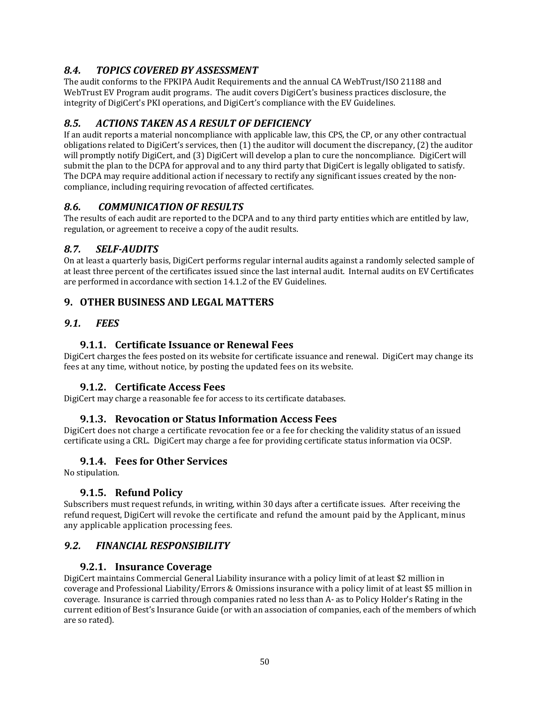## *8.4. TOPICS COVERED BY ASSESSMENT*

The audit conforms to the FPKIPA Audit Requirements and the annual CA WebTrust/ISO 21188 and WebTrust EV Program audit programs. The audit covers DigiCert's business practices disclosure, the integrity of DigiCert's PKI operations, and DigiCert's compliance with the EV Guidelines.

## *8.5. ACTIONS TAKEN AS A RESULT OF DEFICIENCY*

If an audit reports a material noncompliance with applicable law, this CPS, the CP, or any other contractual obligations related to DigiCert's services, then (1) the auditor will document the discrepancy, (2) the auditor will promptly notify DigiCert, and (3) DigiCert will develop a plan to cure the noncompliance. DigiCert will submit the plan to the DCPA for approval and to any third party that DigiCert is legally obligated to satisfy. The DCPA may require additional action if necessary to rectify any significant issues created by the noncompliance, including requiring revocation of affected certificates.

## *8.6. COMMUNICATION OF RESULTS*

The results of each audit are reported to the DCPA and to any third party entities which are entitled by law, regulation, or agreement to receive a copy of the audit results.

## *8.7. SELFAUDITS*

On at least a quarterly basis, DigiCert performs regular internal audits against a randomly selected sample of at least three percent of the certificates issued since the last internal audit. Internal audits on EV Certificates are performed in accordance with section 14.1.2 of the EV Guidelines.

## **9. OTHER BUSINESS AND LEGAL MATTERS**

#### *9.1. FEES*

## **9.1.1. Certificate Issuance or Renewal Fees**

DigiCert charges the fees posted on its website for certificate issuance and renewal. DigiCert may change its fees at any time, without notice, by posting the updated fees on its website.

## **9.1.2. Certificate Access Fees**

DigiCert may charge a reasonable fee for access to its certificate databases.

#### **9.1.3. Revocation or Status Information Access Fees**

DigiCert does not charge a certificate revocation fee or a fee for checking the validity status of an issued certificate using a CRL. DigiCert may charge a fee for providing certificate status information via OCSP.

#### **9.1.4. Fees for Other Services**

No stipulation.

## **9.1.5. Refund Policy**

Subscribers must request refunds, in writing, within 30 days after a certificate issues. After receiving the refund request, DigiCert will revoke the certificate and refund the amount paid by the Applicant, minus any applicable application processing fees.

## *9.2. FINANCIAL RESPONSIBILITY*

#### **9.2.1. Insurance Coverage**

DigiCert maintains Commercial General Liability insurance with a policy limit of at least \$2 million in coverage and Professional Liability/Errors & Omissions insurance with a policy limit of at least \$5 million in coverage. Insurance is carried through companies rated no less than A‐ as to Policy Holder's Rating in the current edition of Best's Insurance Guide (or with an association of companies, each of the members of which are so rated).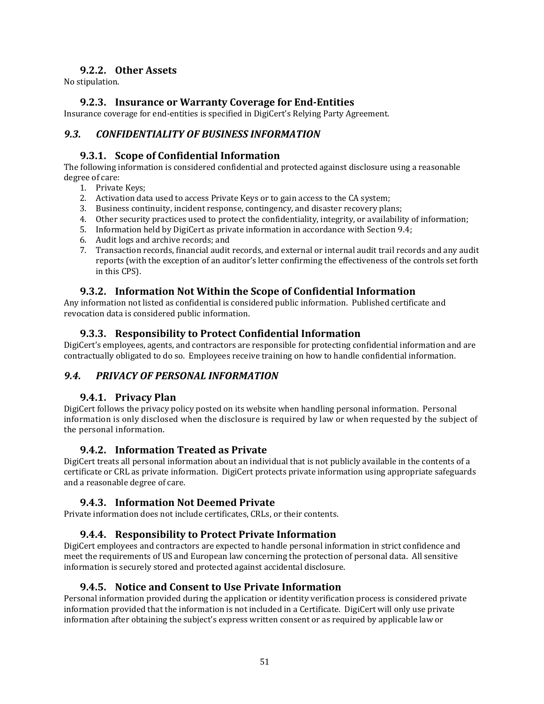#### **9.2.2. Other Assets**

No stipulation.

#### **9.2.3. Insurance or Warranty Coverage for EndEntities**

Insurance coverage for end‐entities is specified in DigiCert's Relying Party Agreement.

## *9.3. CONFIDENTIALITY OF BUSINESS INFORMATION*

#### **9.3.1. Scope of Confidential Information**

The following information is considered confidential and protected against disclosure using a reasonable degree of care:

- 1. Private Keys;
- 2. Activation data used to access Private Keys or to gain access to the CA system;
- 3. Business continuity, incident response, contingency, and disaster recovery plans;
- 4. Other security practices used to protect the confidentiality, integrity, or availability of information;
- 5. Information held by DigiCert as private information in accordance with Section 9.4;
- 6. Audit logs and archive records; and
- 7. Transaction records, financial audit records, and external or internal audit trail records and any audit reports (with the exception of an auditor's letter confirming the effectiveness of the controls set forth in this CPS).

#### **9.3.2. Information Not Within the Scope of Confidential Information**

Any information not listed as confidential is considered public information. Published certificate and revocation data is considered public information.

#### **9.3.3. Responsibility to Protect Confidential Information**

DigiCert's employees, agents, and contractors are responsible for protecting confidential information and are contractually obligated to do so. Employees receive training on how to handle confidential information.

## *9.4. PRIVACY OF PERSONAL INFORMATION*

#### **9.4.1. Privacy Plan**

DigiCert follows the privacy policy posted on its website when handling personal information. Personal information is only disclosed when the disclosure is required by law or when requested by the subject of the personal information.

#### **9.4.2. Information Treated as Private**

DigiCert treats all personal information about an individual that is not publicly available in the contents of a certificate or CRL as private information. DigiCert protects private information using appropriate safeguards and a reasonable degree of care.

## **9.4.3. Information Not Deemed Private**

Private information does not include certificates, CRLs, or their contents.

## **9.4.4. Responsibility to Protect Private Information**

DigiCert employees and contractors are expected to handle personal information in strict confidence and meet the requirements of US and European law concerning the protection of personal data. All sensitive information is securely stored and protected against accidental disclosure.

#### **9.4.5. Notice and Consent to Use Private Information**

Personal information provided during the application or identity verification process is considered private information provided that the information is not included in a Certificate. DigiCert will only use private information after obtaining the subject's express written consent or as required by applicable law or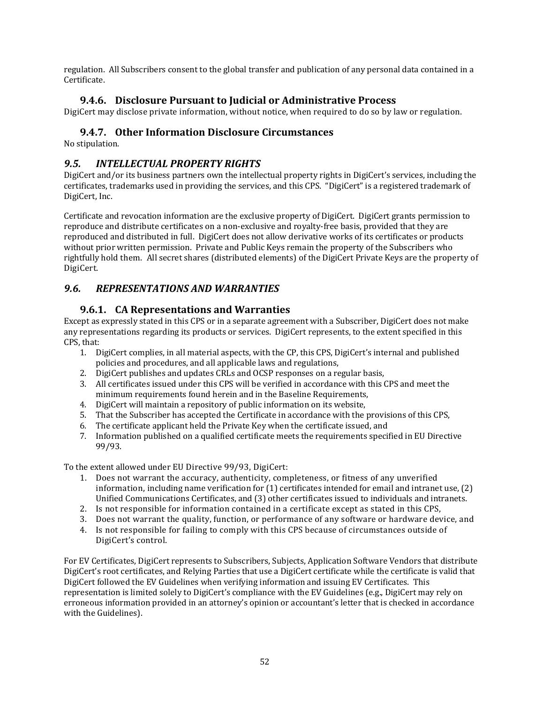regulation. All Subscribers consent to the global transfer and publication of any personal data contained in a Certificate.

## **9.4.6. Disclosure Pursuant to Judicial or Administrative Process**

DigiCert may disclose private information, without notice, when required to do so by law or regulation.

## **9.4.7. Other Information Disclosure Circumstances**

No stipulation.

## *9.5. INTELLECTUAL PROPERTY RIGHTS*

DigiCert and/or its business partners own the intellectual property rights in DigiCert's services, including the certificates, trademarks used in providing the services, and this CPS. "DigiCert" is a registered trademark of DigiCert, Inc.

Certificate and revocation information are the exclusive property of DigiCert. DigiCert grants permission to reproduce and distribute certificates on a non-exclusive and royalty-free basis, provided that they are reproduced and distributed in full. DigiCert does not allow derivative works of its certificates or products without prior written permission. Private and Public Keys remain the property of the Subscribers who rightfully hold them. All secret shares (distributed elements) of the DigiCert Private Keys are the property of DigiCert.

## *9.6. REPRESENTATIONS AND WARRANTIES*

## **9.6.1. CA Representations and Warranties**

Except as expressly stated in this CPS or in a separate agreement with a Subscriber, DigiCert does not make any representations regarding its products or services. DigiCert represents, to the extent specified in this CPS, that:

- 1. DigiCert complies, in all material aspects, with the CP, this CPS, DigiCert's internal and published policies and procedures, and all applicable laws and regulations,
- 2. DigiCert publishes and updates CRLs and OCSP responses on a regular basis,
- 3. All certificates issued under this CPS will be verified in accordance with this CPS and meet the minimum requirements found herein and in the Baseline Requirements,
- 4. DigiCert will maintain a repository of public information on its website,
- 5. That the Subscriber has accepted the Certificate in accordance with the provisions of this CPS,
- 6. The certificate applicant held the Private Key when the certificate issued, and
- 7. Information published on a qualified certificate meets the requirements specified in EU Directive 99/93.

To the extent allowed under EU Directive 99/93, DigiCert:

- 1. Does not warrant the accuracy, authenticity, completeness, or fitness of any unverified information, including name verification for (1) certificates intended for email and intranet use, (2) Unified Communications Certificates, and (3) other certificates issued to individuals and intranets.
- 2. Is not responsible for information contained in a certificate except as stated in this CPS,
- 3. Does not warrant the quality, function, or performance of any software or hardware device, and
- 4. Is not responsible for failing to comply with this CPS because of circumstances outside of DigiCert's control.

For EV Certificates, DigiCert represents to Subscribers, Subjects, Application Software Vendors that distribute DigiCert's root certificates, and Relying Parties that use a DigiCert certificate while the certificate is valid that DigiCert followed the EV Guidelines when verifying information and issuing EV Certificates. This representation is limited solely to DigiCert's compliance with the EV Guidelines (e.g., DigiCert may rely on erroneous information provided in an attorney's opinion or accountant's letter that is checked in accordance with the Guidelines).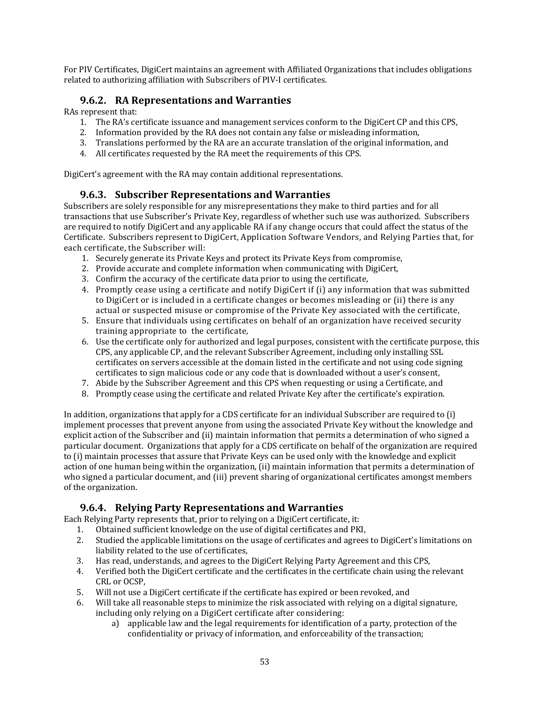For PIV Certificates, DigiCert maintains an agreement with Affiliated Organizations that includes obligations related to authorizing affiliation with Subscribers of PIV‐I certificates.

#### **9.6.2. RA Representations and Warranties**

RAs represent that:

- 1. The RA's certificate issuance and management services conform to the DigiCert CP and this CPS,
- 2. Information provided by the RA does not contain any false or misleading information,
- 3. Translations performed by the RA are an accurate translation of the original information, and
- 4. All certificates requested by the RA meet the requirements of this CPS.

DigiCert's agreement with the RA may contain additional representations.

#### **9.6.3. Subscriber Representations and Warranties**

Subscribers are solely responsible for any misrepresentations they make to third parties and for all transactions that use Subscriber's Private Key, regardless of whether such use was authorized. Subscribers are required to notify DigiCert and any applicable RA if any change occurs that could affect the status of the Certificate. Subscribers represent to DigiCert, Application Software Vendors, and Relying Parties that, for each certificate, the Subscriber will:

- 1. Securely generate its Private Keys and protect its Private Keys from compromise,
- 2. Provide accurate and complete information when communicating with DigiCert,
- 3. Confirm the accuracy of the certificate data prior to using the certificate,
- 4. Promptly cease using a certificate and notify DigiCert if (i) any information that was submitted to DigiCert or is included in a certificate changes or becomes misleading or (ii) there is any actual or suspected misuse or compromise of the Private Key associated with the certificate,
- 5. Ensure that individuals using certificates on behalf of an organization have received security training appropriate to the certificate,
- 6. Use the certificate only for authorized and legal purposes, consistent with the certificate purpose, this CPS, any applicable CP, and the relevant Subscriber Agreement, including only installing SSL certificates on servers accessible at the domain listed in the certificate and not using code signing certificates to sign malicious code or any code that is downloaded without a user's consent,
- 7. Abide by the Subscriber Agreement and this CPS when requesting or using a Certificate, and
- 8. Promptly cease using the certificate and related Private Key after the certificate's expiration.

In addition, organizations that apply for a CDS certificate for an individual Subscriber are required to (i) implement processes that prevent anyone from using the associated Private Key without the knowledge and explicit action of the Subscriber and (ii) maintain information that permits a determination of who signed a particular document. Organizations that apply for a CDS certificate on behalf of the organization are required to (i) maintain processes that assure that Private Keys can be used only with the knowledge and explicit action of one human being within the organization, (ii) maintain information that permits a determination of who signed a particular document, and (iii) prevent sharing of organizational certificates amongst members of the organization.

#### **9.6.4. Relying Party Representations and Warranties**

Each Relying Party represents that, prior to relying on a DigiCert certificate, it:

- 1. Obtained sufficient knowledge on the use of digital certificates and PKI,
- 2. Studied the applicable limitations on the usage of certificates and agrees to DigiCert's limitations on liability related to the use of certificates,
- 3. Has read, understands, and agrees to the DigiCert Relying Party Agreement and this CPS,
- 4. Verified both the DigiCert certificate and the certificates in the certificate chain using the relevant CRL or OCSP,
- 5. Will not use a DigiCert certificate if the certificate has expired or been revoked, and
- 6. Will take all reasonable steps to minimize the risk associated with relying on a digital signature, including only relying on a DigiCert certificate after considering:
	- a) applicable law and the legal requirements for identification of a party, protection of the confidentiality or privacy of information, and enforceability of the transaction;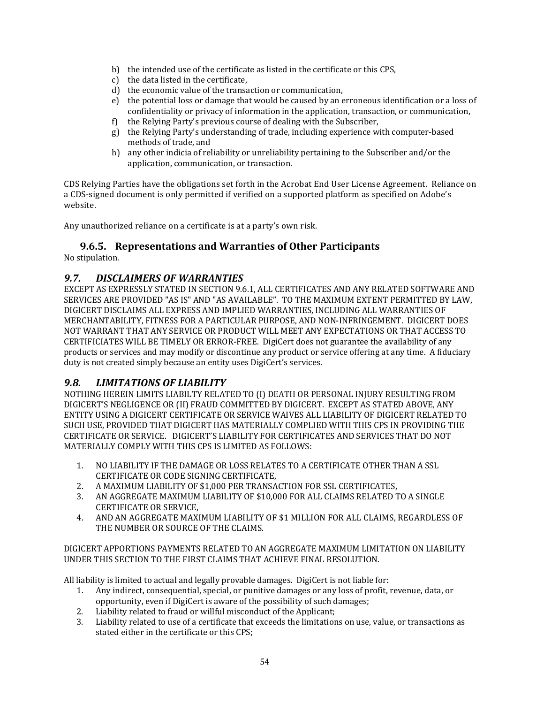- b) the intended use of the certificate as listed in the certificate or this CPS,
- c) the data listed in the certificate,
- d) the economic value of the transaction or communication,
- e) the potential loss or damage that would be caused by an erroneous identification or a loss of confidentiality or privacy of information in the application, transaction, or communication,
- f) the Relying Party's previous course of dealing with the Subscriber,
- g) the Relying Party's understanding of trade, including experience with computer‐based methods of trade, and
- h) any other indicia of reliability or unreliability pertaining to the Subscriber and/or the application, communication, or transaction.

CDS Relying Parties have the obligations set forth in the Acrobat End User License Agreement. Reliance on a CDS‐signed document is only permitted if verified on a supported platform as specified on Adobe's website.

Any unauthorized reliance on a certificate is at a party's own risk.

#### **9.6.5. Representations and Warranties of Other Participants**

No stipulation.

#### *9.7. DISCLAIMERS OF WARRANTIES*

EXCEPT AS EXPRESSLY STATED IN SECTION 9.6.1, ALL CERTIFICATES AND ANY RELATED SOFTWARE AND SERVICES ARE PROVIDED "AS IS" AND "AS AVAILABLE". TO THE MAXIMUM EXTENT PERMITTED BY LAW, DIGICERT DISCLAIMS ALL EXPRESS AND IMPLIED WARRANTIES, INCLUDING ALL WARRANTIES OF MERCHANTABILITY, FITNESS FOR A PARTICULAR PURPOSE, AND NON‐INFRINGEMENT. DIGICERT DOES NOT WARRANT THAT ANY SERVICE OR PRODUCT WILL MEET ANY EXPECTATIONS OR THAT ACCESS TO CERTIFICIATES WILL BE TIMELY OR ERROR‐FREE. DigiCert does not guarantee the availability of any products or services and may modify or discontinue any product or service offering at any time. A fiduciary duty is not created simply because an entity uses DigiCert's services.

#### *9.8. LIMITATIONS OF LIABILITY*

NOTHING HEREIN LIMITS LIABILTY RELATED TO (I) DEATH OR PERSONAL INJURY RESULTING FROM DIGICERT'S NEGLIGENCE OR (II) FRAUD COMMITTED BY DIGICERT. EXCEPT AS STATED ABOVE, ANY ENTITY USING A DIGICERT CERTIFICATE OR SERVICE WAIVES ALL LIABILITY OF DIGICERT RELATED TO SUCH USE, PROVIDED THAT DIGICERT HAS MATERIALLY COMPLIED WITH THIS CPS IN PROVIDING THE CERTIFICATE OR SERVICE. DIGICERT'S LIABILITY FOR CERTIFICATES AND SERVICES THAT DO NOT MATERIALLY COMPLY WITH THIS CPS IS LIMITED AS FOLLOWS:

- 1. NO LIABILITY IF THE DAMAGE OR LOSS RELATES TO A CERTIFICATE OTHER THAN A SSL CERTIFICATE OR CODE SIGNING CERTIFICATE,
- 2. A MAXIMUM LIABILITY OF \$1,000 PER TRANSACTION FOR SSL CERTIFICATES,
- 3. AN AGGREGATE MAXIMUM LIABILITY OF \$10,000 FOR ALL CLAIMS RELATED TO A SINGLE CERTIFICATE OR SERVICE,
- 4. AND AN AGGREGATE MAXIMUM LIABILITY OF \$1 MILLION FOR ALL CLAIMS, REGARDLESS OF THE NUMBER OR SOURCE OF THE CLAIMS.

DIGICERT APPORTIONS PAYMENTS RELATED TO AN AGGREGATE MAXIMUM LIMITATION ON LIABILITY UNDER THIS SECTION TO THE FIRST CLAIMS THAT ACHIEVE FINAL RESOLUTION.

All liability is limited to actual and legally provable damages. DigiCert is not liable for:

- 1. Any indirect, consequential, special, or punitive damages or any loss of profit, revenue, data, or opportunity, even if DigiCert is aware of the possibility of such damages;
- 2. Liability related to fraud or willful misconduct of the Applicant;
- 3. Liability related to use of a certificate that exceeds the limitations on use, value, or transactions as stated either in the certificate or this CPS;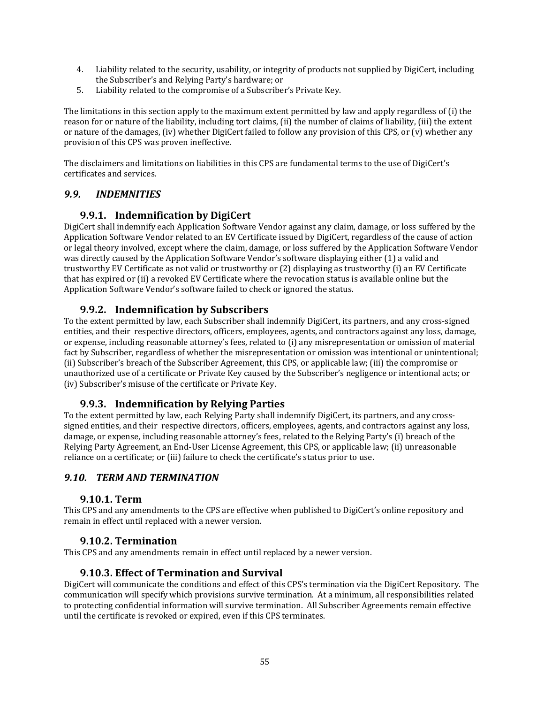- 4. Liability related to the security, usability, or integrity of products not supplied by DigiCert, including the Subscriber's and Relying Party's hardware; or
- 5. Liability related to the compromise of a Subscriber's Private Key.

The limitations in this section apply to the maximum extent permitted by law and apply regardless of (i) the reason for or nature of the liability, including tort claims, (ii) the number of claims of liability, (iii) the extent or nature of the damages, (iv) whether DigiCert failed to follow any provision of this CPS, or (v) whether any provision of this CPS was proven ineffective.

The disclaimers and limitations on liabilities in this CPS are fundamental terms to the use of DigiCert's certificates and services.

#### *9.9. INDEMNITIES*

#### **9.9.1. Indemnification by DigiCert**

DigiCert shall indemnify each Application Software Vendor against any claim, damage, or loss suffered by the Application Software Vendor related to an EV Certificate issued by DigiCert, regardless of the cause of action or legal theory involved, except where the claim, damage, or loss suffered by the Application Software Vendor was directly caused by the Application Software Vendor's software displaying either (1) a valid and trustworthy EV Certificate as not valid or trustworthy or (2) displaying as trustworthy (i) an EV Certificate that has expired or (ii) a revoked EV Certificate where the revocation status is available online but the Application Software Vendor's software failed to check or ignored the status.

#### **9.9.2. Indemnification by Subscribers**

To the extent permitted by law, each Subscriber shall indemnify DigiCert, its partners, and any cross‐signed entities, and their respective directors, officers, employees, agents, and contractors against any loss, damage, or expense, including reasonable attorney's fees, related to (i) any misrepresentation or omission of material fact by Subscriber, regardless of whether the misrepresentation or omission was intentional or unintentional; (ii) Subscriber's breach of the Subscriber Agreement, this CPS, or applicable law; (iii) the compromise or unauthorized use of a certificate or Private Key caused by the Subscriber's negligence or intentional acts; or (iv) Subscriber's misuse of the certificate or Private Key.

#### **9.9.3. Indemnification by Relying Parties**

To the extent permitted by law, each Relying Party shall indemnify DigiCert, its partners, and any cross‐ signed entities, and their respective directors, officers, employees, agents, and contractors against any loss, damage, or expense, including reasonable attorney's fees, related to the Relying Party's (i) breach of the Relying Party Agreement, an End‐User License Agreement, this CPS, or applicable law; (ii) unreasonable reliance on a certificate; or (iii) failure to check the certificate's status prior to use.

#### *9.10. TERM AND TERMINATION*

#### **9.10.1. Term**

This CPS and any amendments to the CPS are effective when published to DigiCert's online repository and remain in effect until replaced with a newer version.

#### **9.10.2. Termination**

This CPS and any amendments remain in effect until replaced by a newer version.

#### **9.10.3. Effect of Termination and Survival**

DigiCert will communicate the conditions and effect of this CPS's termination via the DigiCert Repository. The communication will specify which provisions survive termination. At a minimum, all responsibilities related to protecting confidential information will survive termination. All Subscriber Agreements remain effective until the certificate is revoked or expired, even if this CPS terminates.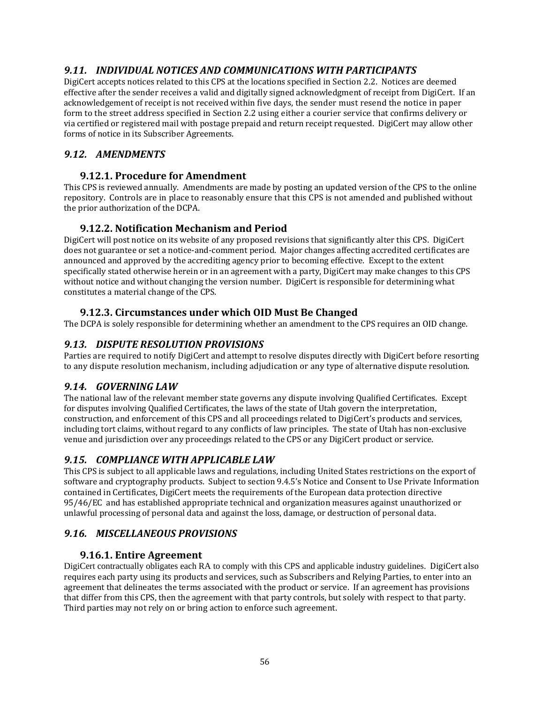## *9.11. INDIVIDUAL NOTICES AND COMMUNICATIONS WITH PARTICIPANTS*

DigiCert accepts notices related to this CPS at the locations specified in Section 2.2. Notices are deemed effective after the sender receives a valid and digitally signed acknowledgment of receipt from DigiCert. If an acknowledgement of receipt is not received within five days, the sender must resend the notice in paper form to the street address specified in Section 2.2 using either a courier service that confirms delivery or via certified or registered mail with postage prepaid and return receipt requested. DigiCert may allow other forms of notice in its Subscriber Agreements.

## *9.12. AMENDMENTS*

#### **9.12.1. Procedure for Amendment**

This CPS is reviewed annually. Amendments are made by posting an updated version of the CPS to the online repository. Controls are in place to reasonably ensure that this CPS is not amended and published without the prior authorization of the DCPA.

## **9.12.2. Notification Mechanism and Period**

DigiCert will post notice on its website of any proposed revisions that significantly alter this CPS. DigiCert does not guarantee or set a notice‐and‐comment period. Major changes affecting accredited certificates are announced and approved by the accrediting agency prior to becoming effective. Except to the extent specifically stated otherwise herein or in an agreement with a party, DigiCert may make changes to this CPS without notice and without changing the version number. DigiCert is responsible for determining what constitutes a material change of the CPS.

## **9.12.3. Circumstances under which OID Must Be Changed**

The DCPA is solely responsible for determining whether an amendment to the CPS requires an OID change.

## *9.13. DISPUTE RESOLUTION PROVISIONS*

Parties are required to notify DigiCert and attempt to resolve disputes directly with DigiCert before resorting to any dispute resolution mechanism, including adjudication or any type of alternative dispute resolution.

## *9.14. GOVERNING LAW*

The national law of the relevant member state governs any dispute involving Qualified Certificates. Except for disputes involving Qualified Certificates, the laws of the state of Utah govern the interpretation, construction, and enforcement of this CPS and all proceedings related to DigiCert's products and services, including tort claims, without regard to any conflicts of law principles. The state of Utah has non‐exclusive venue and jurisdiction over any proceedings related to the CPS or any DigiCert product or service.

## *9.15. COMPLIANCE WITH APPLICABLE LAW*

This CPS is subject to all applicable laws and regulations, including United States restrictions on the export of software and cryptography products. Subject to section 9.4.5's Notice and Consent to Use Private Information contained in Certificates, DigiCert meets the requirements of the European data protection directive 95/46/EC and has established appropriate technical and organization measures against unauthorized or unlawful processing of personal data and against the loss, damage, or destruction of personal data.

## *9.16. MISCELLANEOUS PROVISIONS*

## **9.16.1. Entire Agreement**

DigiCert contractually obligates each RA to comply with this CPS and applicable industry guidelines. DigiCert also requires each party using its products and services, such as Subscribers and Relying Parties, to enter into an agreement that delineates the terms associated with the product or service. If an agreement has provisions that differ from this CPS, then the agreement with that party controls, but solely with respect to that party. Third parties may not rely on or bring action to enforce such agreement.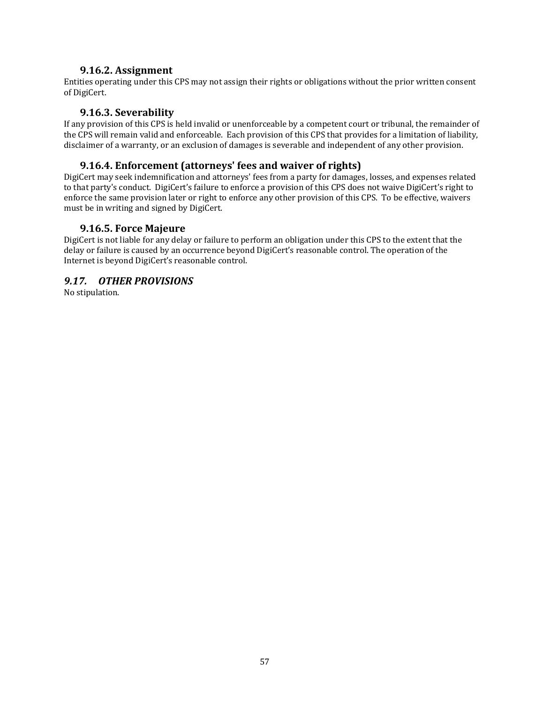#### **9.16.2. Assignment**

Entities operating under this CPS may not assign their rights or obligations without the prior written consent of DigiCert.

#### **9.16.3. Severability**

If any provision of this CPS is held invalid or unenforceable by a competent court or tribunal, the remainder of the CPS will remain valid and enforceable. Each provision of this CPS that provides for a limitation of liability, disclaimer of a warranty, or an exclusion of damages is severable and independent of any other provision.

#### **9.16.4. Enforcement (attorneys' fees and waiver of rights)**

DigiCert may seek indemnification and attorneys' fees from a party for damages, losses, and expenses related to that party's conduct. DigiCert's failure to enforce a provision of this CPS does not waive DigiCert's right to enforce the same provision later or right to enforce any other provision of this CPS. To be effective, waivers must be in writing and signed by DigiCert.

#### **9.16.5. Force Majeure**

DigiCert is not liable for any delay or failure to perform an obligation under this CPS to the extent that the delay or failure is caused by an occurrence beyond DigiCert's reasonable control. The operation of the Internet is beyond DigiCert's reasonable control.

#### *9.17. OTHER PROVISIONS*

No stipulation.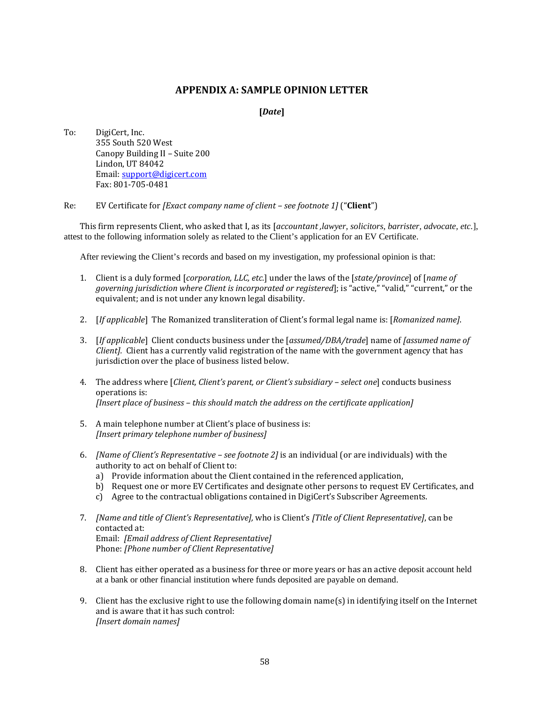#### **APPENDIX A: SAMPLE OPINION LETTER**

**[***Date***]**

To: DigiCert, Inc. 355 South 520 West Canopy Building II – Suite 200 Lindon, UT 84042 Email: support@digicert.com Fax: 801‐705‐0481

Re: EV Certificate for *[Exact company name of client – see footnote 1]* ("**Client**")

This firm represents Client, who asked that I, as its [*accountant ,lawyer, solicitors, barrister, advocate, etc.*], attest to the following information solely as related to the Client's application for an EV Certificate.

After reviewing the Client's records and based on my investigation, my professional opinion is that:

- 1. Client is a duly formed [*corporation, LLC, etc.*] under the laws of the [*state/province*] of [*name of governing jurisdiction where Client is incorporated or registered*]; is "active," "valid," "current," or the equivalent; and is not under any known legal disability.
- 2. [*If applicable*] The Romanized transliteration of Client's formal legal name is: [*Romanized name]*.
- 3. [*If applicable*] Client conducts business under the [*assumed/DBA/trade*] name of *[assumed name of Client].* Client has a currently valid registration of the name with the government agency that has jurisdiction over the place of business listed below.
- 4. The address where [*Client, Client's parent, or Client's subsidiary – select one*] conducts business operations is: *[Insert place of business – this should match the address on the certificate application]*
- 5. A main telephone number at Client's place of business is: *[Insert primary telephone number of business]*
- 6. *[Name of Client's Representative – see footnote 2]* is an individual (or are individuals) with the authority to act on behalf of Client to:
	- a) Provide information about the Client contained in the referenced application,
	- b) Request one or more EV Certificates and designate other persons to request EV Certificates, and
	- c) Agree to the contractual obligations contained in DigiCert's Subscriber Agreements.
- 7. *[Name and title of Client's Representative],* who is Client's *[Title of Client Representative]*, can be contacted at: Email: *[Email address of Client Representative]* Phone: *[Phone number of Client Representative]*
- 8. Client has either operated as a business for three or more years or has an active deposit account held at a bank or other financial institution where funds deposited are payable on demand.
- 9. Client has the exclusive right to use the following domain name(s) in identifying itself on the Internet and is aware that it has such control: *[Insert domain names]*